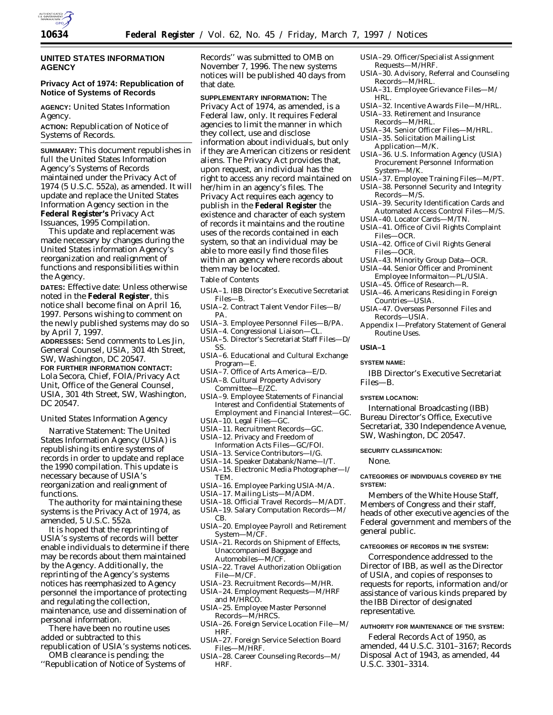

# **UNITED STATES INFORMATION AGENCY**

# **Privacy Act of 1974: Republication of Notice of Systems of Records**

**AGENCY:** United States Information Agency.

**ACTION:** Republication of Notice of Systems of Records.

**SUMMARY:** This document republishes in full the United States Information Agency's Systems of Records maintained under the Privacy Act of 1974 (5 U.S.C. 552a), as amended. It will update and replace the United States Information Agency section in the **Federal Register's** Privacy Act Issuances, 1995 Compilation.

This update and replacement was made necessary by changes during the United States information Agency's reorganization and realignment of functions and responsibilities within the Agency.

**DATES:** Effective date: Unless otherwise noted in the **Federal Register**, this notice shall become final on April 16, 1997. Persons wishing to comment on the newly published systems may do so by April 7, 1997.

**ADDRESSES:** Send comments to Les Jin, General Counsel, USIA, 301 4th Street, SW, Washington, DC 20547.

**FOR FURTHER INFORMATION CONTACT:**

Lola Secora, Chief, FOIA/Privacy Act Unit, Office of the General Counsel, USIA, 301 4th Street, SW, Washington, DC 20547.

United States Information Agency

Narrative Statement: The United States Information Agency (USIA) is republishing its entire systems of records in order to update and replace the 1990 compilation. This update is necessary because of USIA's reorganization and realignment of functions.

The authority for maintaining these systems is the Privacy Act of 1974, as amended, 5 U.S.C. 552a.

It is hoped that the reprinting of USIA's systems of records will better enable individuals to determine if there may be records about them maintained by the Agency. Additionally, the reprinting of the Agency's systems notices has reemphasized to Agency personnel the importance of protecting and regulating the collection, maintenance, use and dissemination of personal information.

There have been no routine uses added or subtracted to this republication of USIA's systems notices.

- OMB clearance is pending; the
- ''Republication of Notice of Systems of

Records'' was submitted to OMB on November 7, 1996. The new systems notices will be published 40 days from that date.

**SUPPLEMENTARY INFORMATION:** The Privacy Act of 1974, as amended, is a Federal law, only. It requires Federal agencies to limit the manner in which they collect, use and disclose information about individuals, but only if they are American citizens or resident aliens. The Privacy Act provides that, upon request, an individual has the right to access any record maintained on her/him in an agency's files. The Privacy Act requires each agency to publish in the **Federal Register** the existence and character of each system of records it maintains and the routine uses of the records contained in each system, so that an individual may be able to more easily find those files within an agency where records about them may be located.

#### Table of Contents

- USIA–1. IBB Director's Executive Secretariat Files—B.
- USIA–2. Contract Talent Vendor Files—B/ PA.
- USIA–3. Employee Personnel Files—B/PA.
- USIA–4. Congressional Liaison—CL.
- USIA–5. Director's Secretariat Staff Files—D/ SS.
- USIA–6. Educational and Cultural Exchange Program—E.
- USIA–7. Office of Arts America—E/D.
- USIA–8. Cultural Property Advisory Committee—E/ZC.
- USIA–9. Employee Statements of Financial Interest and Confidential Statements of Employment and Financial Interest—GC.
- USIA–10. Legal Files—GC.
- USIA–11. Recruitment Records—GC. USIA–12. Privacy and Freedom of
- Information Acts Files—GC/FOI.
- USIA–13. Service Contributors—I/G.
- USIA–14. Speaker Databank/Name—I/T. USIA–15. Electronic Media Photographer—I/
- **TEM** USIA–16. Employee Parking USIA-M/A.
- USIA–17. Mailing Lists—M/ADM.
- USIA–18. Official Travel Records—M/ADT.
- USIA–19. Salary Computation Records—M/ CB.
- USIA–20. Employee Payroll and Retirement System—M/CF.
- USIA–21. Records on Shipment of Effects, Unaccompanied Baggage and Automobiles—M/CF.
- USIA–22. Travel Authorization Obligation File—M/CF.
- USIA–23. Recruitment Records—M/HR.
- USIA–24. Employment Requests—M/HRF
- and M/HRCO.
- USIA–25. Employee Master Personnel Records—M/HRCS.
- USIA–26. Foreign Service Location File—M/ HRF.
- USIA–27. Foreign Service Selection Board Files—M/HRF.
- USIA–28. Career Counseling Records—M/ HRF.
- USIA–29. Officer/Specialist Assignment Requests—M/HRF.
- USIA–30. Advisory, Referral and Counseling Records—M/HRL.
- USIA–31. Employee Grievance Files—M/ HRL.
- USIA–32. Incentive Awards File—M/HRL.
- USIA–33. Retirement and Insurance Records—M/HRL.
- USIA–34. Senior Officer Files—M/HRL.
- USIA–35. Solicitation Mailing List Application—M/K.
- USIA–36. U.S. Information Agency (USIA) Procurement Personnel Information System—M/K.
- USIA–37. Employee Training Files—M/PT.
- USIA–38. Personnel Security and Integrity Records—M/S.
- USIA–39. Security Identification Cards and Automated Access Control Files—M/S.
- USIA–40. Locator Cards—M/TN. USIA–41. Office of Civil Rights Complaint Files—OCR.
- USIA–42. Office of Civil Rights General Files—OCR.
- USIA–43. Minority Group Data—OCR.
- USIA–44. Senior Officer and Prominent Employee Informaiton—PL/USIA.
- USIA–45. Office of Research—R.
- USIA–46. Americans Residing in Foreign Countries—USIA.
- USIA–47. Overseas Personnel Files and Records—USIA.
- Appendix I—Prefatory Statement of General Routine Uses.

### **USIA–1**

### **SYSTEM NAME:**

IBB Director's Executive Secretariat Files—B.

### **SYSTEM LOCATION:**

International Broadcasting (IBB) Bureau Director's Office, Executive Secretariat, 330 Independence Avenue, SW, Washington, DC 20547.

### **SECURITY CLASSIFICATION:**

None.

### **CATEGORIES OF INDIVIDUALS COVERED BY THE SYSTEM:**

Members of the White House Staff, Members of Congress and their staff, heads of other executive agencies of the Federal government and members of the general public.

### **CATEGORIES OF RECORDS IN THE SYSTEM:**

Correspondence addressed to the Director of IBB, as well as the Director of USIA, and copies of responses to requests for reports, information and/or assistance of various kinds prepared by the IBB Director of designated representative.

# **AUTHORITY FOR MAINTENANCE OF THE SYSTEM:**

Federal Records Act of 1950, as amended, 44 U.S.C. 3101–3167; Records Disposal Act of 1943, as amended, 44 U.S.C. 3301–3314.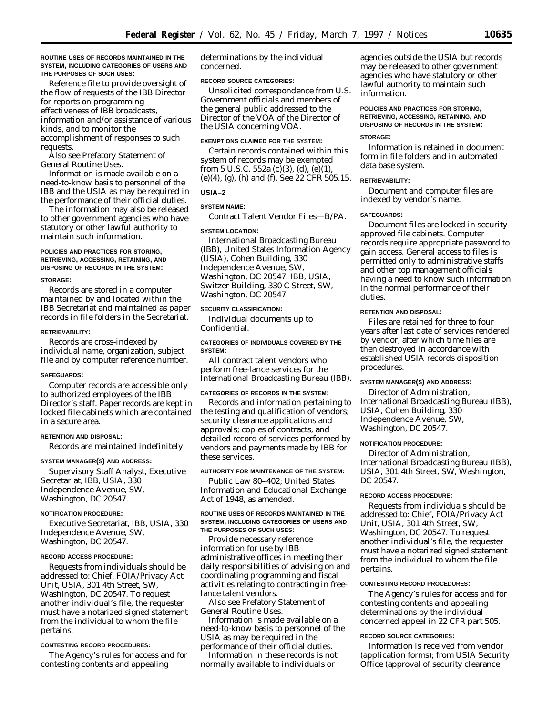**ROUTINE USES OF RECORDS MAINTAINED IN THE SYSTEM, INCLUDING CATEGORIES OF USERS AND THE PURPOSES OF SUCH USES:**

Reference file to provide oversight of the flow of requests of the IBB Director for reports on programming effectiveness of IBB broadcasts, information and/or assistance of various kinds, and to monitor the accomplishment of responses to such requests.

Also see Prefatory Statement of General Routine Uses.

Information is made available on a need-to-know basis to personnel of the IBB and the USIA as may be required in the performance of their official duties.

The information may also be released to other government agencies who have statutory or other lawful authority to maintain such information.

### **POLICIES AND PRACTICES FOR STORING, RETRIEVING, ACCESSING, RETAINING, AND DISPOSING OF RECORDS IN THE SYSTEM:**

#### **STORAGE:**

Records are stored in a computer maintained by and located within the IBB Secretariat and maintained as paper records in file folders in the Secretariat.

### **RETRIEVABILITY:**

Records are cross-indexed by individual name, organization, subject file and by computer reference number.

#### **SAFEGUARDS:**

Computer records are accessible only to authorized employees of the IBB Director's staff. Paper records are kept in locked file cabinets which are contained in a secure area.

#### **RETENTION AND DISPOSAL:**

Records are maintained indefinitely.

### **SYSTEM MANAGER(S) AND ADDRESS:**

Supervisory Staff Analyst, Executive Secretariat, IBB, USIA, 330 Independence Avenue, SW, Washington, DC 20547.

#### **NOTIFICATION PROCEDURE:**

Executive Secretariat, IBB, USIA, 330 Independence Avenue, SW, Washington, DC 20547.

#### **RECORD ACCESS PROCEDURE:**

Requests from individuals should be addressed to: Chief, FOIA/Privacy Act Unit, USIA, 301 4th Street, SW, Washington, DC 20547. To request another individual's file, the requester must have a notarized signed statement from the individual to whom the file pertains.

### **CONTESTING RECORD PROCEDURES:**

The Agency's rules for access and for contesting contents and appealing

determinations by the individual concerned.

### **RECORD SOURCE CATEGORIES:**

Unsolicited correspondence from U.S. Government officials and members of the general public addressed to the Director of the VOA of the Director of the USIA concerning VOA.

#### **EXEMPTIONS CLAIMED FOR THE SYSTEM:**

Certain records contained within this system of records may be exempted from 5 U.S.C. 552a (c)(3), (d), (e)(1), (e)(4), (g), (h) and (f). See 22 CFR 505.15.

# **USIA–2**

#### **SYSTEM NAME:**

Contract Talent Vendor Files—B/PA.

#### **SYSTEM LOCATION:**

International Broadcasting Bureau (IBB), United States Information Agency (USIA), Cohen Building, 330 Independence Avenue, SW, Washington, DC 20547. IBB, USIA, Switzer Building, 330 C Street, SW, Washington, DC 20547.

#### **SECURITY CLASSIFICATION:**

Individual documents up to Confidential.

#### **CATEGORIES OF INDIVIDUALS COVERED BY THE SYSTEM:**

All contract talent vendors who perform free-lance services for the International Broadcasting Bureau (IBB).

### **CATEGORIES OF RECORDS IN THE SYSTEM:**

Records and information pertaining to the testing and qualification of vendors; security clearance applications and approvals; copies of contracts, and detailed record of services performed by vendors and payments made by IBB for these services.

### **AUTHORITY FOR MAINTENANCE OF THE SYSTEM:**

Public Law 80–402; United States Information and Educational Exchange Act of 1948, as amended.

#### **ROUTINE USES OF RECORDS MAINTAINED IN THE SYSTEM, INCLUDING CATEGORIES OF USERS AND THE PURPOSES OF SUCH USES:**

Provide necessary reference information for use by IBB administrative offices in meeting their daily responsibilities of advising on and coordinating programming and fiscal activities relating to contracting in freelance talent vendors.

Also see Prefatory Statement of General Routine Uses.

Information is made available on a need-to-know basis to personnel of the USIA as may be required in the performance of their official duties.

Information in these records is not normally available to individuals or

agencies outside the USIA but records may be released to other government agencies who have statutory or other lawful authority to maintain such information.

# **POLICIES AND PRACTICES FOR STORING, RETRIEVING, ACCESSING, RETAINING, AND DISPOSING OF RECORDS IN THE SYSTEM:**

### **STORAGE:**

Information is retained in document form in file folders and in automated data base system.

### **RETRIEVABILITY:**

Document and computer files are indexed by vendor's name.

### **SAFEGUARDS:**

Document files are locked in securityapproved file cabinets. Computer records require appropriate password to gain access. General access to files is permitted only to administrative staffs and other top management officials having a need to know such information in the normal performance of their duties.

### **RETENTION AND DISPOSAL:**

Files are retained for three to four years after last date of services rendered by vendor, after which time files are then destroyed in accordance with established USIA records disposition procedures.

### **SYSTEM MANAGER(S) AND ADDRESS:**

Director of Administration, International Broadcasting Bureau (IBB), USIA, Cohen Building, 330 Independence Avenue, SW, Washington, DC 20547.

#### **NOTIFICATION PROCEDURE:**

Director of Administration, International Broadcasting Bureau (IBB), USIA, 301 4th Street, SW, Washington, DC 20547.

### **RECORD ACCESS PROCEDURE:**

Requests from individuals should be addressed to: Chief, FOIA/Privacy Act Unit, USIA, 301 4th Street, SW, Washington, DC 20547. To request another individual's file, the requester must have a notarized signed statement from the individual to whom the file pertains.

#### **CONTESTING RECORD PROCEDURES:**

The Agency's rules for access and for contesting contents and appealing determinations by the individual concerned appeal in 22 CFR part 505.

### **RECORD SOURCE CATEGORIES:**

Information is received from vendor (application forms); from USIA Security Office (approval of security clearance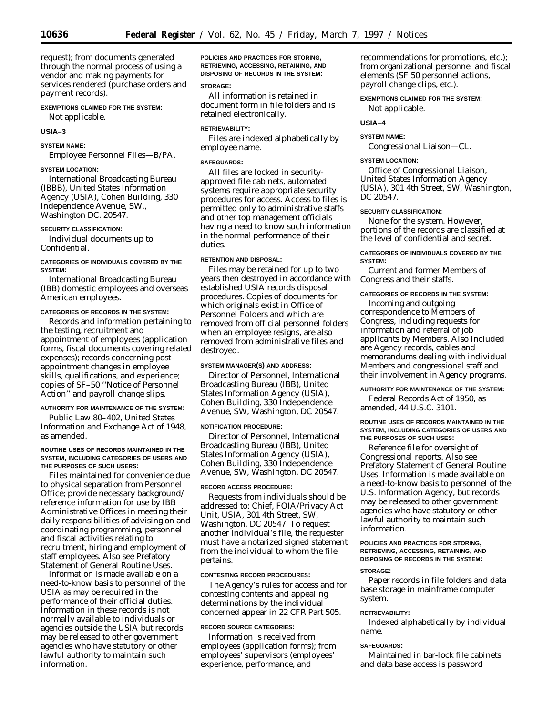request); from documents generated through the normal process of using a vendor and making payments for services rendered (purchase orders and payment records).

# **EXEMPTIONS CLAIMED FOR THE SYSTEM:**

Not applicable.

# **USIA–3**

### **SYSTEM NAME:**

Employee Personnel Files—B/PA.

# **SYSTEM LOCATION:**

International Broadcasting Bureau (IBBB), United States Information Agency (USIA), Cohen Building, 330 Independence Avenue, SW., Washington DC. 20547.

### **SECURITY CLASSIFICATION:**

Individual documents up to Confidential.

# **CATEGORIES OF INDIVIDUALS COVERED BY THE SYSTEM:**

International Broadcasting Bureau (IBB) domestic employees and overseas American employees.

### **CATEGORIES OF RECORDS IN THE SYSTEM:**

Records and information pertaining to the testing, recruitment and appointment of employees (application forms, fiscal documents covering related expenses); records concerning postappointment changes in employee skills, qualifications, and experience; copies of SF–50 ''Notice of Personnel Action'' and payroll change slips.

### **AUTHORITY FOR MAINTENANCE OF THE SYSTEM:**

Public Law 80–402, United States Information and Exchange Act of 1948, as amended.

#### **ROUTINE USES OF RECORDS MAINTAINED IN THE SYSTEM, INCLUDING CATEGORIES OF USERS AND THE PURPOSES OF SUCH USERS:**

Files maintained for convenience due to physical separation from Personnel Office; provide necessary background/ reference information for use by IBB Administrative Offices in meeting their daily responsibilities of advising on and coordinating programming, personnel and fiscal activities relating to recruitment, hiring and employment of staff employees. Also see Prefatory Statement of General Routine Uses.

Information is made available on a need-to-know basis to personnel of the USIA as may be required in the performance of their official duties. Information in these records is not normally available to individuals or agencies outside the USIA but records may be released to other government agencies who have statutory or other lawful authority to maintain such information.

**POLICIES AND PRACTICES FOR STORING, RETRIEVING, ACCESSING, RETAINING, AND DISPOSING OF RECORDS IN THE SYSTEM:**

# **STORAGE:**

All information is retained in document form in file folders and is retained electronically.

#### **RETRIEVABILITY:**

Files are indexed alphabetically by employee name.

# **SAFEGUARDS:**

All files are locked in securityapproved file cabinets, automated systems require appropriate security procedures for access. Access to files is permitted only to administrative staffs and other top management officials having a need to know such information in the normal performance of their duties.

### **RETENTION AND DISPOSAL:**

Files may be retained for up to two years then destroyed in accordance with established USIA records disposal procedures. Copies of documents for which originals exist in Office of Personnel Folders and which are removed from official personnel folders when an employee resigns, are also removed from administrative files and destroyed.

#### **SYSTEM MANAGER(S) AND ADDRESS:**

Director of Personnel, International Broadcasting Bureau (IBB), United States Information Agency (USIA), Cohen Building, 330 Independence Avenue, SW, Washington, DC 20547.

### **NOTIFICATION PROCEDURE:**

Director of Personnel, International Broadcasting Bureau (IBB), United States Information Agency (USIA), Cohen Building, 330 Independence Avenue, SW, Washington, DC 20547.

#### **RECORD ACCESS PROCEDURE:**

Requests from individuals should be addressed to: Chief, FOIA/Privacy Act Unit, USIA, 301 4th Street, SW, Washington, DC 20547. To request another individual's file, the requester must have a notarized signed statement from the individual to whom the file pertains.

### **CONTESTING RECORD PROCEDURES:**

The Agency's rules for access and for contesting contents and appealing determinations by the individual concerned appear in 22 CFR Part 505.

# **RECORD SOURCE CATEGORIES:**

Information is received from employees (application forms); from employees' supervisors (employees' experience, performance, and

recommendations for promotions, etc.); from organizational personnel and fiscal elements (SF 50 personnel actions, payroll change clips, etc.).

#### **EXEMPTIONS CLAIMED FOR THE SYSTEM:**

Not applicable.

### **USIA–4**

# **SYSTEM NAME:**

Congressional Liaison—CL.

#### **SYSTEM LOCATION:**

Office of Congressional Liaison, United States Information Agency (USIA), 301 4th Street, SW, Washington, DC 20547.

#### **SECURITY CLASSIFICATION:**

None for the system. However, portions of the records are classified at the level of confidential and secret.

### **CATEGORIES OF INDIVIDUALS COVERED BY THE SYSTEM:**

Current and former Members of Congress and their staffs.

# **CATEGORIES OF RECORDS IN THE SYSTEM:**

Incoming and outgoing correspondence to Members of Congress, including requests for information and referral of job applicants by Members. Also included are Agency records, cables and memorandums dealing with individual Members and congressional staff and their involvement in Agency programs.

### **AUTHORITY FOR MAINTENANCE OF THE SYSTEM:**

Federal Records Act of 1950, as amended, 44 U.S.C. 3101.

### **ROUTINE USES OF RECORDS MAINTAINED IN THE SYSTEM, INCLUDING CATEGORIES OF USERS AND THE PURPOSES OF SUCH USES:**

Reference file for oversight of Congressional reports. Also see Prefatory Statement of General Routine Uses. Information is made available on a need-to-know basis to personnel of the U.S. Information Agency, but records may be released to other government agencies who have statutory or other lawful authority to maintain such information.

### **POLICIES AND PRACTICES FOR STORING, RETRIEVING, ACCESSING, RETAINING, AND DISPOSING OF RECORDS IN THE SYSTEM:**

## **STORAGE:**

Paper records in file folders and data base storage in mainframe computer system.

# **RETRIEVABILITY:**

Indexed alphabetically by individual name.

### **SAFEGUARDS:**

Maintained in bar-lock file cabinets and data base access is password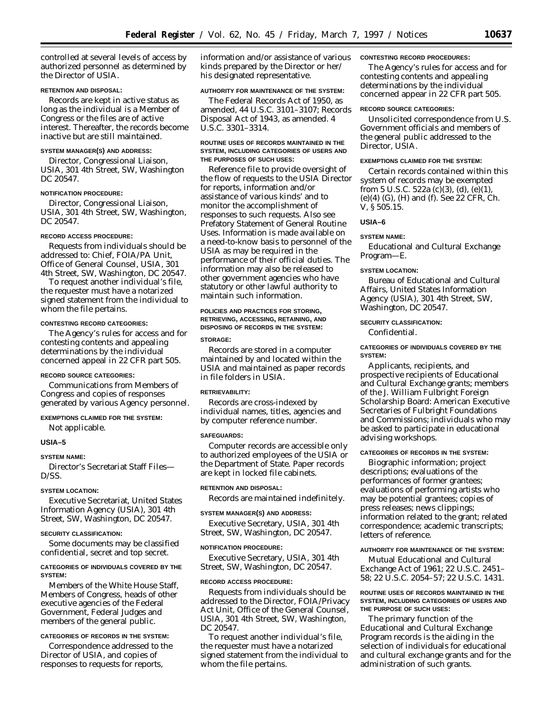controlled at several levels of access by authorized personnel as determined by the Director of USIA.

### **RETENTION AND DISPOSAL:**

Records are kept in active status as long as the individual is a Member of Congress or the files are of active interest. Thereafter, the records become inactive but are still maintained.

### **SYSTEM MANAGER(S) AND ADDRESS:**

Director, Congressional Liaison, USIA, 301 4th Street, SW, Washington DC 20547.

### **NOTIFICATION PROCEDURE:**

Director, Congressional Liaison, USIA, 301 4th Street, SW, Washington, DC 20547.

#### **RECORD ACCESS PROCEDURE:**

Requests from individuals should be addressed to: Chief, FOIA/PA Unit, Office of General Counsel, USIA, 301 4th Street, SW, Washington, DC 20547.

To request another individual's file, the requester must have a notarized signed statement from the individual to whom the file pertains.

#### **CONTESTING RECORD CATEGORIES:**

The Agency's rules for access and for contesting contents and appealing determinations by the individual concerned appeal in 22 CFR part 505.

# **RECORD SOURCE CATEGORIES:**

Communications from Members of Congress and copies of responses generated by various Agency personnel.

# **EXEMPTIONS CLAIMED FOR THE SYSTEM:** Not applicable.

# **USIA–5**

#### **SYSTEM NAME:**

Director's Secretariat Staff Files— D/SS.

# **SYSTEM LOCATION:**

Executive Secretariat, United States Information Agency (USIA), 301 4th Street, SW, Washington, DC 20547.

#### **SECURITY CLASSIFICATION:**

Some documents may be classified confidential, secret and top secret.

### **CATEGORIES OF INDIVIDUALS COVERED BY THE SYSTEM:**

Members of the White House Staff, Members of Congress, heads of other executive agencies of the Federal Government, Federal Judges and members of the general public.

# **CATEGORIES OF RECORDS IN THE SYSTEM:**

Correspondence addressed to the Director of USIA, and copies of responses to requests for reports,

information and/or assistance of various kinds prepared by the Director or her/ his designated representative.

### **AUTHORITY FOR MAINTENANCE OF THE SYSTEM:**

The Federal Records Act of 1950, as amended, 44 U.S.C. 3101–3107; Records Disposal Act of 1943, as amended. 4 U.S.C. 3301–3314.

### **ROUTINE USES OF RECORDS MAINTAINED IN THE SYSTEM, INCLUDING CATEGORIES OF USERS AND THE PURPOSES OF SUCH USES:**

Reference file to provide oversight of the flow of requests to the USIA Director for reports, information and/or assistance of various kinds' and to monitor the accomplishment of responses to such requests. Also see Prefatory Statement of General Routine Uses. Information is made available on a need-to-know basis to personnel of the USIA as may be required in the performance of their official duties. The information may also be released to other government agencies who have statutory or other lawful authority to maintain such information.

# **POLICIES AND PRACTICES FOR STORING, RETRIEVING, ACCESSING, RETAINING, AND DISPOSING OF RECORDS IN THE SYSTEM:**

#### **STORAGE:**

Records are stored in a computer maintained by and located within the USIA and maintained as paper records in file folders in USIA.

#### **RETRIEVABILITY:**

Records are cross-indexed by individual names, titles, agencies and by computer reference number.

#### **SAFEGUARDS:**

Computer records are accessible only to authorized employees of the USIA or the Department of State. Paper records are kept in locked file cabinets.

#### **RETENTION AND DISPOSAL:**

Records are maintained indefinitely.

#### **SYSTEM MANAGER(S) AND ADDRESS:**

Executive Secretary, USIA, 301 4th Street, SW, Washington, DC 20547.

### **NOTIFICATION PROCEDURE:**

Executive Secretary, USIA, 301 4th Street, SW, Washington, DC 20547.

#### **RECORD ACCESS PROCEDURE:**

Requests from individuals should be addressed to the Director, FOIA/Privacy Act Unit, Office of the General Counsel, USIA, 301 4th Street, SW, Washington, DC 20547.

To request another individual's file, the requester must have a notarized signed statement from the individual to whom the file pertains.

#### **CONTESTING RECORD PROCEDURES:**

The Agency's rules for access and for contesting contents and appealing determinations by the individual concerned appear in 22 CFR part 505.

### **RECORD SOURCE CATEGORIES:**

Unsolicited correspondence from U.S. Government officials and members of the general public addressed to the Director, USIA.

### **EXEMPTIONS CLAIMED FOR THE SYSTEM:**

Certain records contained within this system of records may be exempted from 5 U.S.C. 522a (c)(3), (d), (e)(1), (e)(4) (G), (H) and (f). See 22 CFR, Ch. V, § 505.15.

# **USIA–6**

### **SYSTEM NAME:**

Educational and Cultural Exchange Program—E.

#### **SYSTEM LOCATION:**

Bureau of Educational and Cultural Affairs, United States Information Agency (USIA), 301 4th Street, SW, Washington, DC 20547.

# **SECURITY CLASSIFICATION:**

Confidential.

### **CATEGORIES OF INDIVIDUALS COVERED BY THE SYSTEM:**

Applicants, recipients, and prospective recipients of Educational and Cultural Exchange grants; members of the J. William Fulbright Foreign Scholarship Board: American Executive Secretaries of Fulbright Foundations and Commissions; individuals who may be asked to participate in educational advising workshops.

### **CATEGORIES OF RECORDS IN THE SYSTEM:**

Biographic information; project descriptions; evaluations of the performances of former grantees; evaluations of performing artists who may be potential grantees; copies of press releases; news clippings; information related to the grant; related correspondence; academic transcripts; letters of reference.

# **AUTHORITY FOR MAINTENANCE OF THE SYSTEM:**

Mutual Educational and Cultural Exchange Act of 1961; 22 U.S.C. 2451– 58; 22 U.S.C. 2054–57; 22 U.S.C. 1431.

### **ROUTINE USES OF RECORDS MAINTAINED IN THE SYSTEM, INCLUDING CATEGORIES OF USERS AND THE PURPOSE OF SUCH USES:**

The primary function of the Educational and Cultural Exchange Program records is the aiding in the selection of individuals for educational and cultural exchange grants and for the administration of such grants.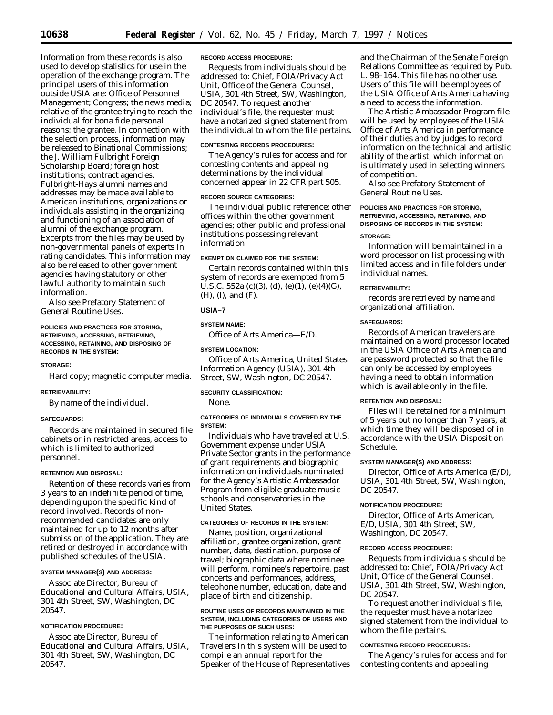Information from these records is also used to develop statistics for use in the operation of the exchange program. The principal users of this information outside USIA are: Office of Personnel Management; Congress; the news media; relative of the grantee trying to reach the individual for bona fide personal reasons; the grantee. In connection with the selection process, information may be released to Binational Commissions; the J. William Fulbright Foreign Scholarship Board; foreign host institutions; contract agencies. Fulbright-Hays alumni names and addresses may be made available to American institutions, organizations or individuals assisting in the organizing and functioning of an association of alumni of the exchange program. Excerpts from the files may be used by non-governmental panels of experts in rating candidates. This information may also be released to other government agencies having statutory or other lawful authority to maintain such information.

Also see Prefatory Statement of General Routine Uses.

### **POLICIES AND PRACTICES FOR STORING, RETRIEVING, ACCESSING, RETRIEVING, ACCESSING, RETAINING, AND DISPOSING OF RECORDS IN THE SYSTEM:**

#### **STORAGE:**

Hard copy; magnetic computer media.

#### **RETRIEVABILITY:**

By name of the individual.

#### **SAFEGUARDS:**

Records are maintained in secured file cabinets or in restricted areas, access to which is limited to authorized personnel.

# **RETENTION AND DISPOSAL:**

Retention of these records varies from 3 years to an indefinite period of time, depending upon the specific kind of record involved. Records of nonrecommended candidates are only maintained for up to 12 months after submission of the application. They are retired or destroyed in accordance with published schedules of the USIA.

#### **SYSTEM MANAGER(S) AND ADDRESS:**

Associate Director, Bureau of Educational and Cultural Affairs, USIA, 301 4th Street, SW, Washington, DC 20547.

### **NOTIFICATION PROCEDURE:**

Associate Director, Bureau of Educational and Cultural Affairs, USIA, 301 4th Street, SW, Washington, DC 20547.

### **RECORD ACCESS PROCEDURE:**

Requests from individuals should be addressed to: Chief, FOIA/Privacy Act Unit, Office of the General Counsel, USIA, 301 4th Street, SW, Washington, DC 20547. To request another individual's file, the requester must have a notarized signed statement from the individual to whom the file pertains.

#### **CONTESTING RECORDS PROCEDURES:**

The Agency's rules for access and for contesting contents and appealing determinations by the individual concerned appear in 22 CFR part 505.

### **RECORD SOURCE CATEGORIES:**

The individual public reference; other offices within the other government agencies; other public and professional institutions possessing relevant information.

# **EXEMPTION CLAIMED FOR THE SYSTEM:**

Certain records contained within this system of records are exempted from 5 U.S.C. 552a (c)(3), (d), (e)(1), (e)(4)(G), (H), (I), and (F).

### **USIA–7**

#### **SYSTEM NAME:**

Office of Arts America—E/D.

#### **SYSTEM LOCATION:**

Office of Arts America, United States Information Agency (USIA), 301 4th Street, SW, Washington, DC 20547.

#### **SECURITY CLASSIFICATION:**

None.

### **CATEGORIES OF INDIVIDUALS COVERED BY THE SYSTEM:**

Individuals who have traveled at U.S. Government expense under USIA Private Sector grants in the performance of grant requirements and biographic information on individuals nominated for the Agency's Artistic Ambassador Program from eligible graduate music schools and conservatories in the United States.

# **CATEGORIES OF RECORDS IN THE SYSTEM:**

Name, position, organizational affiliation, grantee organization, grant number, date, destination, purpose of travel; biographic data where nominee will perform, nominee's repertoire, past concerts and performances, address, telephone number, education, date and place of birth and citizenship.

#### **ROUTINE USES OF RECORDS MAINTAINED IN THE SYSTEM, INCLUDING CATEGORIES OF USERS AND THE PURPOSES OF SUCH USES:**

The information relating to American Travelers in this system will be used to compile an annual report for the Speaker of the House of Representatives

and the Chairman of the Senate Foreign Relations Committee as required by Pub. L. 98–164. This file has no other use. Users of this file will be employees of the USIA Office of Arts America having a need to access the information.

The Artistic Ambassador Program file will be used by employees of the USIA Office of Arts America in performance of their duties and by judges to record information on the technical and artistic ability of the artist, which information is ultimately used in selecting winners of competition.

Also see Prefatory Statement of General Routine Uses.

# **POLICIES AND PRACTICES FOR STORING, RETRIEVING, ACCESSING, RETAINING, AND DISPOSING OF RECORDS IN THE SYSTEM:**

#### **STORAGE:**

Information will be maintained in a word processor on list processing with limited access and in file folders under individual names.

### **RETRIEVABILITY:**

records are retrieved by name and organizational affiliation.

### **SAFEGUARDS:**

Records of American travelers are maintained on a word processor located in the USIA Office of Arts America and are password protected so that the file can only be accessed by employees having a need to obtain information which is available only in the file.

### **RETENTION AND DISPOSAL:**

Files will be retained for a minimum of 5 years but no longer than 7 years, at which time they will be disposed of in accordance with the USIA Disposition Schedule.

#### **SYSTEM MANAGER(S) AND ADDRESS:**

Director, Office of Arts America (E/D), USIA, 301 4th Street, SW, Washington, DC 20547.

# **NOTIFICATION PROCEDURE:**

Director, Office of Arts American, E/D, USIA, 301 4th Street, SW, Washington, DC 20547.

#### **RECORD ACCESS PROCEDURE:**

Requests from individuals should be addressed to: Chief, FOIA/Privacy Act Unit, Office of the General Counsel, USIA, 301 4th Street, SW, Washington, DC 20547.

To request another individual's file, the requester must have a notarized signed statement from the individual to whom the file pertains.

#### **CONTESTING RECORD PROCEDURES:**

The Agency's rules for access and for contesting contents and appealing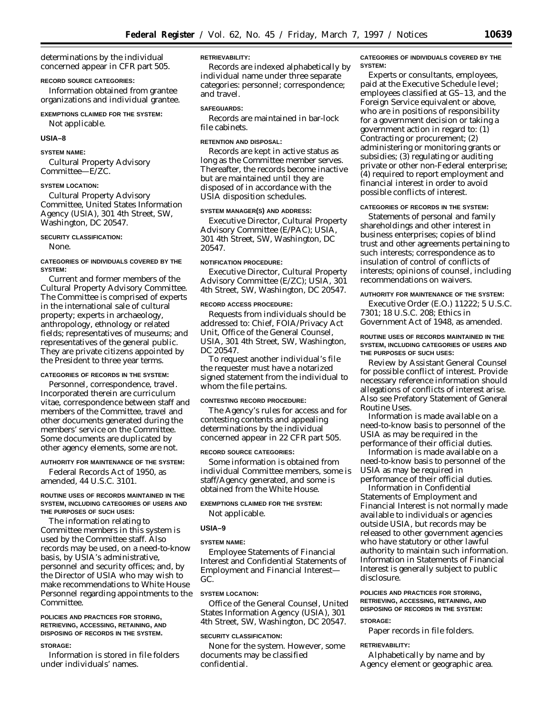determinations by the individual concerned appear in CFR part 505.

### **RECORD SOURCE CATEGORIES:**

Information obtained from grantee organizations and individual grantee.

# **EXEMPTIONS CLAIMED FOR THE SYSTEM:**

Not applicable.

### **USIA–8**

### **SYSTEM NAME:**

Cultural Property Advisory Committee—E/ZC.

#### **SYSTEM LOCATION:**

Cultural Property Advisory Committee, United States Information Agency (USIA), 301 4th Street, SW, Washington, DC 20547.

### **SECURITY CLASSIFICATION:**

None.

**CATEGORIES OF INDIVIDUALS COVERED BY THE SYSTEM:**

Current and former members of the Cultural Property Advisory Committee. The Committee is comprised of experts in the international sale of cultural property; experts in archaeology, anthropology, ethnology or related fields; representatives of museums; and representatives of the general public. They are private citizens appointed by the President to three year terms.

# **CATEGORIES OF RECORDS IN THE SYSTEM:**

Personnel, correspondence, travel. Incorporated therein are curriculum vitae, correspondence between staff and members of the Committee, travel and other documents generated during the members' service on the Committee. Some documents are duplicated by other agency elements, some are not.

# **AUTHORITY FOR MAINTENANCE OF THE SYSTEM:**

Federal Records Act of 1950, as amended, 44 U.S.C. 3101.

### **ROUTINE USES OF RECORDS MAINTAINED IN THE SYSTEM, INCLUDING CATEGORIES OF USERS AND THE PURPOSES OF SUCH USES:**

The information relating to Committee members in this system is used by the Committee staff. Also records may be used, on a need-to-know basis, by USIA's administrative, personnel and security offices; and, by the Director of USIA who may wish to make recommendations to White House Personnel regarding appointments to the Committee.

#### **POLICIES AND PRACTICES FOR STORING, RETRIEVING, ACCESSING, RETAINING, AND DISPOSING OF RECORDS IN THE SYSTEM.**

#### **STORAGE:**

Information is stored in file folders under individuals' names.

### **RETRIEVABILITY:**

Records are indexed alphabetically by individual name under three separate categories: personnel; correspondence; and travel.

#### **SAFEGUARDS:**

Records are maintained in bar-lock file cabinets.

### **RETENTION AND DISPOSAL:**

Records are kept in active status as long as the Committee member serves. Thereafter, the records become inactive but are maintained until they are disposed of in accordance with the USIA disposition schedules.

### **SYSTEM MANAGER(S) AND ADDRESS:**

Executive Director, Cultural Property Advisory Committee (E/PAC); USIA, 301 4th Street, SW, Washington, DC 20547.

### **NOTIFICATION PROCEDURE:**

Executive Director, Cultural Property Advisory Committee (E/ZC); USIA, 301 4th Street, SW, Washington, DC 20547.

#### **RECORD ACCESS PROCEDURE:**

Requests from individuals should be addressed to: Chief, FOIA/Privacy Act Unit, Office of the General Counsel, USIA, 301 4th Street, SW, Washington, DC 20547.

To request another individual's file the requester must have a notarized signed statement from the individual to whom the file pertains.

### **CONTESTING RECORD PROCEDURE:**

The Agency's rules for access and for contesting contents and appealing determinations by the individual concerned appear in 22 CFR part 505.

#### **RECORD SOURCE CATEGORIES:**

Some information is obtained from individual Committee members, some is staff/Agency generated, and some is obtained from the White House.

### **EXEMPTIONS CLAIMED FOR THE SYSTEM:**

Not applicable.

#### **USIA–9**

#### **SYSTEM NAME:**

Employee Statements of Financial Interest and Confidential Statements of Employment and Financial Interest— GC.

# **SYSTEM LOCATION:**

Office of the General Counsel, United States Information Agency (USIA), 301 4th Street, SW, Washington, DC 20547.

### **SECURITY CLASSIFICATION:**

None for the system. However, some documents may be classified confidential.

### **CATEGORIES OF INDIVIDUALS COVERED BY THE SYSTEM:**

Experts or consultants, employees, paid at the Executive Schedule level; employees classified at GS–13, and the Foreign Service equivalent or above, who are in positions of responsibility for a government decision or taking a government action in regard to: (1) Contracting or procurement; (2) administering or monitoring grants or subsidies; (3) regulating or auditing private or other non-Federal enterprise; (4) required to report employment and financial interest in order to avoid possible conflicts of interest.

# **CATEGORIES OF RECORDS IN THE SYSTEM:**

Statements of personal and family shareholdings and other interest in business enterprises; copies of blind trust and other agreements pertaining to such interests; correspondence as to insulation of control of conflicts of interests; opinions of counsel, including recommendations on waivers.

# **AUTHORITY FOR MAINTENANCE OF THE SYSTEM:**

Executive Order (E.O.) 11222; 5 U.S.C. 7301; 18 U.S.C. 208; Ethics in Government Act of 1948, as amended.

### **ROUTINE USES OF RECORDS MAINTAINED IN THE SYSTEM, INCLUDING CATEGORIES OF USERS AND THE PURPOSES OF SUCH USES:**

Review by Assistant General Counsel for possible conflict of interest. Provide necessary reference information should allegations of conflicts of interest arise. Also see Prefatory Statement of General Routine Uses.

Information is made available on a need-to-know basis to personnel of the USIA as may be required in the performance of their official duties.

Information is made available on a need-to-know basis to personnel of the USIA as may be required in performance of their official duties.

Information in Confidential Statements of Employment and Financial Interest is not normally made available to individuals or agencies outside USIA, but records may be released to other government agencies who have statutory or other lawful authority to maintain such information. Information in Statements of Financial Interest is generally subject to public disclosure.

# **POLICIES AND PRACTICES FOR STORING, RETRIEVING, ACCESSING, RETAINING, AND DISPOSING OF RECORDS IN THE SYSTEM:**

# **STORAGE:**

Paper records in file folders.

# **RETRIEVABILITY:**

Alphabetically by name and by Agency element or geographic area.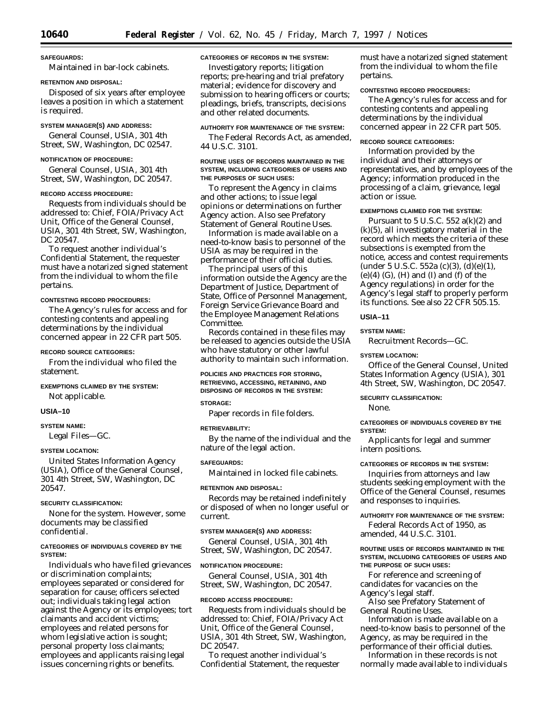**SAFEGUARDS:**

# Maintained in bar-lock cabinets.

# **RETENTION AND DISPOSAL:**

Disposed of six years after employee leaves a position in which a statement is required.

### **SYSTEM MANAGER(S) AND ADDRESS:**

General Counsel, USIA, 301 4th Street, SW, Washington, DC 02547.

# **NOTIFICATION OF PROCEDURE:**

General Counsel, USIA, 301 4th Street, SW, Washington, DC 20547.

### **RECORD ACCESS PROCEDURE:**

Requests from individuals should be addressed to: Chief, FOIA/Privacy Act Unit, Office of the General Counsel, USIA, 301 4th Street, SW, Washington, DC 20547.

To request another individual's Confidential Statement, the requester must have a notarized signed statement from the individual to whom the file pertains.

### **CONTESTING RECORD PROCEDURES:**

The Agency's rules for access and for contesting contents and appealing determinations by the individual concerned appear in 22 CFR part 505.

### **RECORD SOURCE CATEGORIES:**

From the individual who filed the statement.

### **EXEMPTIONS CLAIMED BY THE SYSTEM:**

Not applicable.

### **USIA–10**

## **SYSTEM NAME:**

Legal Files—GC.

# **SYSTEM LOCATION:**

United States Information Agency (USIA), Office of the General Counsel, 301 4th Street, SW, Washington, DC 20547.

## **SECURITY CLASSIFICATION:**

None for the system. However, some documents may be classified confidential.

### **CATEGORIES OF INDIVIDUALS COVERED BY THE SYSTEM:**

Individuals who have filed grievances or discrimination complaints; employees separated or considered for separation for cause; officers selected out; individuals taking legal action against the Agency or its employees; tort claimants and accident victims; employees and related persons for whom legislative action is sought; personal property loss claimants; employees and applicants raising legal issues concerning rights or benefits.

# **CATEGORIES OF RECORDS IN THE SYSTEM:**

Investigatory reports; litigation reports; pre-hearing and trial prefatory material; evidence for discovery and submission to hearing officers or courts; pleadings, briefs, transcripts, decisions and other related documents.

# **AUTHORITY FOR MAINTENANCE OF THE SYSTEM:**

The Federal Records Act, as amended, 44 U.S.C. 3101.

### **ROUTINE USES OF RECORDS MAINTAINED IN THE SYSTEM, INCLUDING CATEGORIES OF USERS AND THE PURPOSES OF SUCH USES:**

To represent the Agency in claims and other actions; to issue legal opinions or determinations on further Agency action. Also see Prefatory Statement of General Routine Uses.

Information is made available on a need-to-know basis to personnel of the USIA as may be required in the performance of their official duties.

The principal users of this information outside the Agency are the Department of Justice, Department of State, Office of Personnel Management, Foreign Service Grievance Board and the Employee Management Relations Committee.

Records contained in these files may be released to agencies outside the USIA who have statutory or other lawful authority to maintain such information.

### **POLICIES AND PRACTICES FOR STORING, RETRIEVING, ACCESSING, RETAINING, AND DISPOSING OF RECORDS IN THE SYSTEM:**

#### **STORAGE:**

Paper records in file folders.

#### **RETRIEVABILITY:**

By the name of the individual and the nature of the legal action.

# **SAFEGUARDS:**

Maintained in locked file cabinets.

#### **RETENTION AND DISPOSAL:**

Records may be retained indefinitely or disposed of when no longer useful or current.

# **SYSTEM MANAGER(S) AND ADDRESS:**

General Counsel, USIA, 301 4th Street, SW, Washington, DC 20547.

# **NOTIFICATION PROCEDURE:**

General Counsel, USIA, 301 4th Street, SW, Washington, DC 20547.

#### **RECORD ACCESS PROCEDURE:**

Requests from individuals should be addressed to: Chief, FOIA/Privacy Act Unit, Office of the General Counsel, USIA, 301 4th Street, SW, Washington, DC 20547.

To request another individual's Confidential Statement, the requester must have a notarized signed statement from the individual to whom the file pertains.

### **CONTESTING RECORD PROCEDURES:**

The Agency's rules for access and for contesting contents and appealing determinations by the individual concerned appear in 22 CFR part 505.

#### **RECORD SOURCE CATEGORIES:**

Information provided by the individual and their attorneys or representatives, and by employees of the Agency; information produced in the processing of a claim, grievance, legal action or issue.

#### **EXEMPTIONS CLAIMED FOR THE SYSTEM:**

Pursuant to 5 U.S.C. 552  $a(k)(2)$  and (k)(5), all investigatory material in the record which meets the criteria of these subsections is exempted from the notice, access and contest requirements (under 5 U.S.C. 552a (c)(3), (d)(e)(1),  $(e)(4)$   $(G)$ ,  $(H)$  and  $(I)$  and  $(f)$  of the Agency regulations) in order for the Agency's legal staff to properly perform its functions. See also 22 CFR 505.15.

### **USIA–11**

### **SYSTEM NAME:**

Recruitment Records—GC.

### **SYSTEM LOCATION:**

Office of the General Counsel, United States Information Agency (USIA), 301 4th Street, SW, Washington, DC 20547.

### **SECURITY CLASSIFICATION:**

None.

## **CATEGORIES OF INDIVIDUALS COVERED BY THE SYSTEM:**

Applicants for legal and summer intern positions.

#### **CATEGORIES OF RECORDS IN THE SYSTEM:**

Inquiries from attorneys and law students seeking employment with the Office of the General Counsel, resumes and responses to inquiries.

### **AUTHORITY FOR MAINTENANCE OF THE SYSTEM:**

Federal Records Act of 1950, as amended, 44 U.S.C. 3101.

### **ROUTINE USES OF RECORDS MAINTAINED IN THE SYSTEM, INCLUDING CATEGORIES OF USERS AND THE PURPOSE OF SUCH USES:**

For reference and screening of candidates for vacancies on the Agency's legal staff.

Also see Prefatory Statement of General Routine Uses.

Information is made available on a need-to-know basis to personnel of the Agency, as may be required in the performance of their official duties.

Information in these records is not normally made available to individuals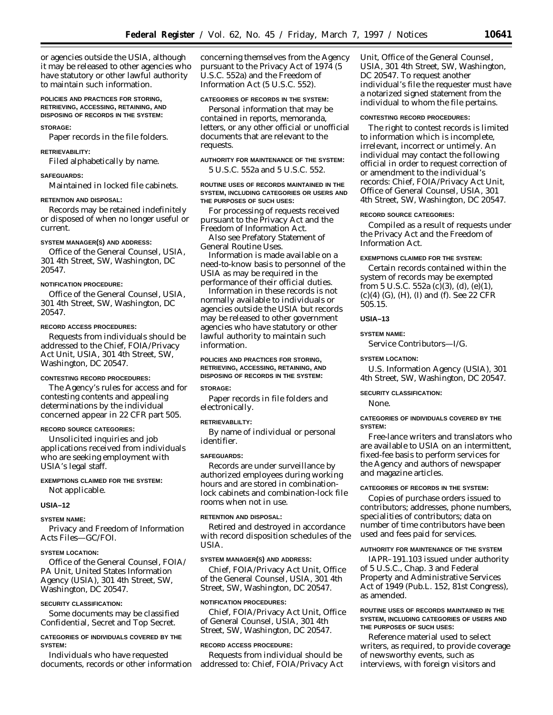or agencies outside the USIA, although it may be released to other agencies who have statutory or other lawful authority to maintain such information.

### **POLICIES AND PRACTICES FOR STORING, RETRIEVING, ACCESSING, RETAINING, AND DISPOSING OF RECORDS IN THE SYSTEM:**

#### **STORAGE:**

Paper records in the file folders.

### **RETRIEVABILITY:**

Filed alphabetically by name.

# **SAFEGUARDS:**

Maintained in locked file cabinets.

# **RETENTION AND DISPOSAL:**

Records may be retained indefinitely or disposed of when no longer useful or current.

#### **SYSTEM MANAGER(S) AND ADDRESS:**

Office of the General Counsel, USIA, 301 4th Street, SW, Washington, DC 20547.

#### **NOTIFICATION PROCEDURE:**

Office of the General Counsel, USIA, 301 4th Street, SW, Washington, DC 20547.

# **RECORD ACCESS PROCEDURES:**

Requests from individuals should be addressed to the Chief, FOIA/Privacy Act Unit, USIA, 301 4th Street, SW, Washington, DC 20547.

#### **CONTESTING RECORD PROCEDURES:**

The Agency's rules for access and for contesting contents and appealing determinations by the individual concerned appear in 22 CFR part 505.

### **RECORD SOURCE CATEGORIES:**

Unsolicited inquiries and job applications received from individuals who are seeking employment with USIA's legal staff.

### **EXEMPTIONS CLAIMED FOR THE SYSTEM:**

Not applicable.

#### **USIA–12**

#### **SYSTEM NAME:**

Privacy and Freedom of Information Acts Files—GC/FOI.

#### **SYSTEM LOCATION:**

Office of the General Counsel, FOIA/ PA Unit, United States Information Agency (USIA), 301 4th Street, SW, Washington, DC 20547.

#### **SECURITY CLASSIFICATION:**

Some documents may be classified Confidential, Secret and Top Secret.

#### **CATEGORIES OF INDIVIDUALS COVERED BY THE SYSTEM:**

Individuals who have requested documents, records or other information concerning themselves from the Agency pursuant to the Privacy Act of 1974 (5 U.S.C. 552a) and the Freedom of Information Act (5 U.S.C. 552).

# **CATEGORIES OF RECORDS IN THE SYSTEM:**

Personal information that may be contained in reports, memoranda, letters, or any other official or unofficial documents that are relevant to the requests.

## **AUTHORITY FOR MAINTENANCE OF THE SYSTEM:**

5 U.S.C. 552a and 5 U.S.C. 552.

### **ROUTINE USES OF RECORDS MAINTAINED IN THE SYSTEM, INCLUDING CATEGORIES OR USERS AND THE PURPOSES OF SUCH USES:**

For processing of requests received pursuant to the Privacy Act and the Freedom of Information Act.

Also see Prefatory Statement of General Routine Uses.

Information is made available on a need-to-know basis to personnel of the USIA as may be required in the performance of their official duties.

Information in these records is not normally available to individuals or agencies outside the USIA but records may be released to other government agencies who have statutory or other lawful authority to maintain such information.

### **POLICIES AND PRACTICES FOR STORING, RETRIEVING, ACCESSING, RETAINING, AND DISPOSING OF RECORDS IN THE SYSTEM:**

### **STORAGE:**

Paper records in file folders and electronically.

### **RETRIEVABLILTY:**

By name of individual or personal identifier.

#### **SAFEGUARDS:**

Records are under surveillance by authorized employees during working hours and are stored in combinationlock cabinets and combination-lock file rooms when not in use.

### **RETENTION AND DISPOSAL:**

Retired and destroyed in accordance with record disposition schedules of the USIA.

## **SYSTEM MANAGER(S) AND ADDRESS:**

Chief, FOIA/Privacy Act Unit, Office of the General Counsel, USIA, 301 4th Street, SW, Washington, DC 20547.

#### **NOTIFICATION PROCEDURES:**

Chief, FOIA/Privacy Act Unit, Office of General Counsel, USIA, 301 4th Street, SW, Washington, DC 20547.

#### **RECORD ACCESS PROCEDURE:**

Requests from individual should be addressed to: Chief, FOIA/Privacy Act Unit, Office of the General Counsel, USIA, 301 4th Street, SW, Washington, DC 20547. To request another individual's file the requester must have a notarized signed statement from the individual to whom the file pertains.

### **CONTESTING RECORD PROCEDURES:**

The right to contest records is limited to information which is incomplete, irrelevant, incorrect or untimely. An individual may contact the following official in order to request correction of or amendment to the individual's records: Chief, FOIA/Privacy Act Unit, Office of General Counsel, USIA, 301 4th Street, SW, Washington, DC 20547.

#### **RECORD SOURCE CATEGORIES:**

Compiled as a result of requests under the Privacy Act and the Freedom of Information Act.

## **EXEMPTIONS CLAIMED FOR THE SYSTEM:**

Certain records contained within the system of records may be exempted from 5 U.S.C. 552a (c)(3), (d), (e)(1), (c)(4) (G), (H), (I) and (f). See 22 CFR 505.15.

### **USIA–13**

### **SYSTEM NAME:**

Service Contributors—I/G.

#### **SYSTEM LOCATION:**

U.S. Information Agency (USIA), 301 4th Street, SW, Washington, DC 20547.

### **SECURITY CLASSIFICATION:**

None.

### **CATEGORIES OF INDIVIDUALS COVERED BY THE SYSTEM:**

Free-lance writers and translators who are available to USIA on an intermittent, fixed-fee basis to perform services for the Agency and authors of newspaper and magazine articles.

#### **CATEGORIES OF RECORDS IN THE SYSTEM:**

Copies of purchase orders issued to contributors; addresses, phone numbers, specialities of contributors; data on number of time contributors have been used and fees paid for services.

#### **AUTHORITY FOR MAINTENANCE OF THE SYSTEM**

IAPR–191.103 issued under authority of 5 U.S.C., Chap. 3 and Federal Property and Administrative Services Act of 1949 (Pub.L. 152, 81st Congress), as amended.

### **ROUTINE USES OF RECORDS MAINTAINED IN THE SYSTEM, INCLUDING CATEGORIES OF USERS AND THE PURPOSES OF SUCH USES:**

Reference material used to select writers, as required, to provide coverage of newsworthy events, such as interviews, with foreign visitors and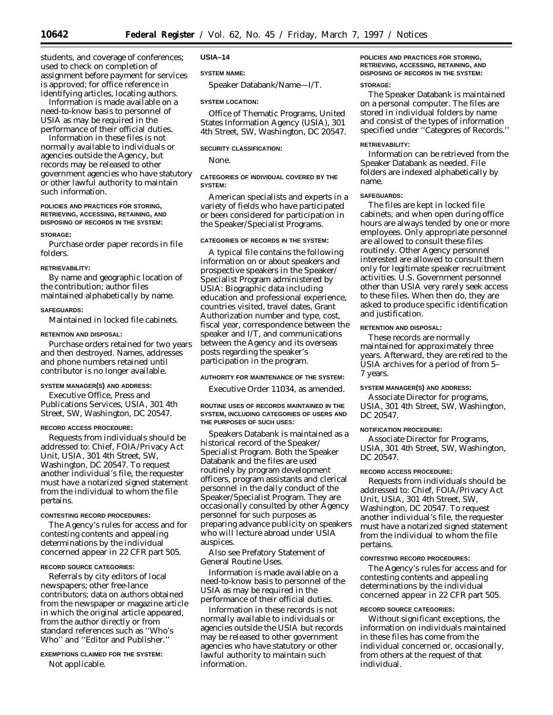students, and coverage of conferences; used to check on completion of assignment before payment for services is approved; for office reference in identifying articles, locating authors.

Information is made available on a need-to-know basis to personnel of USIA as may be required in the performance of their official duties.

Information in these files is not normally available to individuals or agencies outside the Agency, but records may be released to other government agencies who have statutory or other lawful authority to maintain such information.

### **POLICIES AND PRACTICES FOR STORING, RETRIEVING, ACCESSING, RETAINING, AND DISPOSING OF RECORDS IN THE SYSTEM:**

#### **STORAGE:**

Purchase order paper records in file folders.

#### **RETRIEVABILITY:**

By name and geographic location of the contribution; author files maintained alphabetically by name.

#### **SAFEGUARDS:**

Maintained in locked file cabinets.

### **RETENTION AND DISPOSAL:**

Purchase orders retained for two years and then destroyed. Names, addresses and phone numbers retained until contributor is no longer available.

# **SYSTEM MANAGER(S) AND ADDRESS:**

Executive Office, Press and Publications Services, USIA, 301 4th Street, SW, Washington, DC 20547.

#### **RECORD ACCESS PROCEDURE:**

Requests from individuals should be addressed to: Chief, FOIA/Privacy Act Unit, USIA, 301 4th Street, SW, Washington, DC 20547. To request another individual's file, the requester must have a notarized signed statement from the individual to whom the file pertains.

### **CONTESTING RECORD PROCEDURES:**

The Agency's rules for access and for contesting contents and appealing determinations by the individual concerned appear in 22 CFR part 505.

#### **RECORD SOURCE CATEGORIES:**

Referrals by city editors of local newspapers; other free-lance contributors; data on authors obtained from the newspaper or magazine article in which the original article appeared, from the author directly or from standard references such as ''Who's Who'' and ''Editor and Publisher.''

**EXEMPTIONS CLAIMED FOR THE SYSTEM:** Not applicable.

#### **USIA–14**

### **SYSTEM NAME:**

Speaker Databank/Name—I/T.

#### **SYSTEM LOCATION:**

Office of Thematic Programs, United States Information Agency (USIA), 301 4th Street, SW, Washington, DC 20547.

### **SECURITY CLASSIFICATION:**

None.

# **CATEGORIES OF INDIVIDUAL COVERED BY THE SYSTEM:**

American specialists and experts in a variety of fields who have participated or been considered for participation in the Speaker/Specialist Programs.

### **CATEGORIES OF RECORDS IN THE SYSTEM:**

A typical file contains the following information on or about speakers and prospective speakers in the Speaker/ Specialist Program administered by USIA: Biographic data including education and professional experience, countries visited, travel dates, Grant Authorization number and type, cost, fiscal year, correspondence between the speaker and I/T, and communications between the Agency and its overseas posts regarding the speaker's participation in the program.

# **AUTHORITY FOR MAINTENANCE OF THE SYSTEM:**

Executive Order 11034, as amended.

### **ROUTINE USES OF RECORDS MAINTAINED IN THE SYSTEM, INCLUDING CATEGORIES OF USERS AND THE PURPOSES OF SUCH USES:**

Speakers Databank is maintained as a historical record of the Speaker/ Specialist Program. Both the Speaker Databank and the files are used routinely by program development officers, program assistants and clerical personnel in the daily conduct of the Speaker/Specialist Program. They are occasionally consulted by other Agency personnel for such purposes as preparing advance publicity on speakers who will lecture abroad under USIA auspices.

Also see Prefatory Statement of General Routine Uses.

Information is made available on a need-to-know basis to personnel of the USIA as may be required in the performance of their official duties.

Information in these records is not normally available to individuals or agencies outside the USIA but records may be released to other government agencies who have statutory or other lawful authority to maintain such information.

# **POLICIES AND PRACTICES FOR STORING, RETRIEVING, ACCESSING, RETAINING, AND DISPOSING OF RECORDS IN THE SYSTEM:**

### **STORAGE:**

The Speaker Databank is maintained on a personal computer. The files are stored in individual folders by name and consist of the types of information specified under ''Categores of Records.''

#### **RETRIEVABILITY:**

Information can be retrieved from the Speaker Databank as needed. File folders are indexed alphabetically by name.

### **SAFEGUARDS:**

The files are kept in locked file cabinets, and when open during office hours are always tended by one or more employees. Only appropriate personnel are allowed to consult these files routinely. Other Agency personnel interested are allowed to consult them only for legitimate speaker recruitment activities. U.S. Government personnel other than USIA very rarely seek access to these files. When then do, they are asked to produce specific identification and justification.

#### **RETENTION AND DISPOSAL:**

These records are normally maintained for approximately three years. Afterward, they are retired to the USIA archives for a period of from 5– 7 years.

#### **SYSTEM MANAGER(S) AND ADDRESS:**

Associate Director for programs, USIA, 301 4th Street, SW, Washington, DC 20547

### **NOTIFICATION PROCEDURE:**

Associate Director for Programs, USIA, 301 4th Street, SW, Washington, DC 20547.

# **RECORD ACCESS PROCEDURE:**

Requests from individuals should be addressed to: Chief, FOIA/Privacy Act Unit, USIA, 301 4th Street, SW, Washington, DC 20547. To request another individual's file, the requester must have a notarized signed statement from the individual to whom the file pertains.

#### **CONTESTING RECORD PROCEDURES:**

The Agency's rules for access and for contesting contents and appealing determinations by the individual concerned appear in 22 CFR part 505.

#### **RECORD SOURCE CATEGORIES:**

Without significant exceptions, the information on individuals maintained in these files has come from the individual concerned or, occasionally, from others at the request of that individual.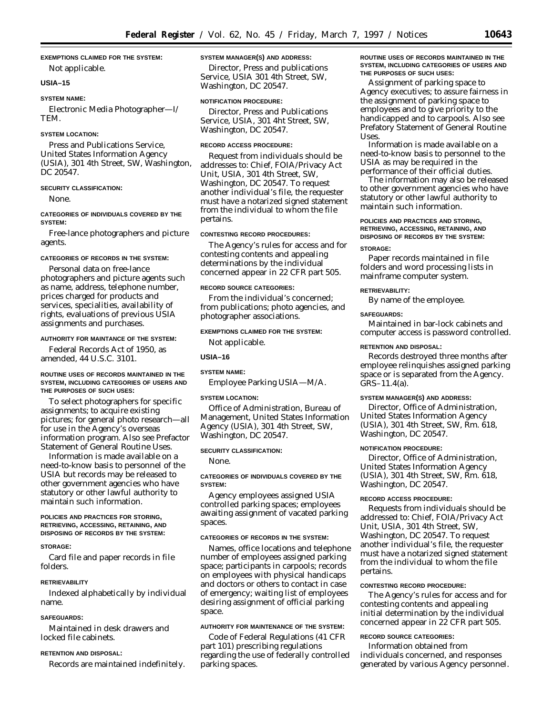### **EXEMPTIONS CLAIMED FOR THE SYSTEM:**

Not applicable.

# **USIA–15**

# **SYSTEM NAME:**

Electronic Media Photographer—I/ TEM.

#### **SYSTEM LOCATION:**

Press and Publications Service, United States Information Agency (USIA), 301 4th Street, SW, Washington, DC 20547.

### **SECURITY CLASSIFICATION:**

None.

### **CATEGORIES OF INDIVIDUALS COVERED BY THE SYSTEM:**

Free-lance photographers and picture agents.

#### **CATEGORIES OF RECORDS IN THE SYSTEM:**

Personal data on free-lance photographers and picture agents such as name, address, telephone number, prices charged for products and services, specialities, availability of rights, evaluations of previous USIA assignments and purchases.

#### **AUTHORITY FOR MAINTANCE OF THE SYSTEM:**

Federal Records Act of 1950, as amended, 44 U.S.C. 3101.

#### **ROUTINE USES OF RECORDS MAINTAINED IN THE SYSTEM, INCLUDING CATEGORIES OF USERS AND THE PURPOSES OF SUCH USES:**

To select photographers for specific assignments; to acquire existing pictures; for general photo research—all for use in the Agency's overseas information program. Also see Prefactor Statement of General Routine Uses.

Information is made available on a need-to-know basis to personnel of the USIA but records may be released to other government agencies who have statutory or other lawful authority to maintain such information.

### **POLICIES AND PRACTICES FOR STORING, RETRIEVING, ACCESSING, RETAINING, AND DISPOSING OF RECORDS BY THE SYSTEM:**

#### **STORAGE:**

Card file and paper records in file folders.

## **RETRIEVABILITY**

Indexed alphabetically by individual name.

# **SAFEGUARDS:**

Maintained in desk drawers and locked file cabinets.

# **RETENTION AND DISPOSAL:**

Records are maintained indefinitely.

### **SYSTEM MANAGER(S) AND ADDRESS:**

Director, Press and publications Service, USIA 301 4th Street, SW, Washington, DC 20547.

#### **NOTIFICATION PROCEDURE:**

Director, Press and Publications Service, USIA, 301 4ht Street, SW, Washington, DC 20547.

#### **RECORD ACCESS PROCEDURE:**

Request from individuals should be addresses to: Chief, FOIA/Privacy Act Unit, USIA, 301 4th Street, SW, Washington, DC 20547. To request another individual's file, the requester must have a notarized signed statement from the individual to whom the file pertains.

### **CONTESTING RECORD PROCEDURES:**

The Agency's rules for access and for contesting contents and appealing determinations by the individual concerned appear in 22 CFR part 505.

#### **RECORD SOURCE CATEGORIES:**

From the individual's concerned; from publications; photo agencies, and photographer associations.

# **EXEMPTIONS CLAIMED FOR THE SYSTEM:**

Not applicable.

### **USIA–16**

# **SYSTEM NAME:**

Employee Parking USIA—M/A.

#### **SYSTEM LOCATION:**

Office of Administration, Bureau of Management, United States Information Agency (USIA), 301 4th Street, SW, Washington, DC 20547.

### **SECURITY CLASSIFICATION:**

# None.

### **CATEGORIES OF INDIVIDUALS COVERED BY THE SYSTEM:**

Agency employees assigned USIA controlled parking spaces; employees awaiting assignment of vacated parking spaces.

### **CATEGORIES OF RECORDS IN THE SYSTEM:**

Names, office locations and telephone number of employees assigned parking space; participants in carpools; records on employees with physical handicaps and doctors or others to contact in case of emergency; waiting list of employees desiring assignment of official parking space.

## **AUTHORITY FOR MAINTENANCE OF THE SYSTEM:**

Code of Federal Regulations (41 CFR part 101) prescribing regulations regarding the use of federally controlled parking spaces.

### **ROUTINE USES OF RECORDS MAINTAINED IN THE SYSTEM, INCLUDING CATEGORIES OF USERS AND THE PURPOSES OF SUCH USES:**

Assignment of parking space to Agency executives; to assure fairness in the assignment of parking space to employees and to give priority to the handicapped and to carpools. Also see Prefatory Statement of General Routine Uses.

Information is made available on a need-to-know basis to personnel to the USIA as may be required in the performance of their official duties.

The information may also be released to other government agencies who have statutory or other lawful authority to maintain such information.

### **POLICIES AND PRACTICES AND STORING, RETRIEVING, ACCESSING, RETAINING, AND DISPOSING OF RECORDS BY THE SYSTEM:**

#### **STORAGE:**

Paper records maintained in file folders and word processing lists in mainframe computer system.

#### **RETRIEVABILITY:**

By name of the employee.

#### **SAFEGUARDS:**

Maintained in bar-lock cabinets and computer access is password controlled.

#### **RETENTION AND DISPOSAL:**

Records destroyed three months after employee relinquishes assigned parking space or is separated from the Agency.  $GRS-11.4(a)$ .

### **SYSTEM MANAGER(S) AND ADDRESS:**

Director, Office of Administration, United States Information Agency (USIA), 301 4th Street, SW, Rm. 618, Washington, DC 20547.

#### **NOTIFICATION PROCEDURE:**

Director, Office of Administration, United States Information Agency (USIA), 301 4th Street, SW, Rm. 618, Washington, DC 20547.

#### **RECORD ACCESS PROCEDURE:**

Requests from individuals should be addressed to: Chief, FOIA/Privacy Act Unit, USIA, 301 4th Street, SW, Washington, DC 20547. To request another individual's file, the requester must have a notarized signed statement from the individual to whom the file pertains.

### **CONTESTING RECORD PROCEDURE:**

The Agency's rules for access and for contesting contents and appealing initial determination by the individual concerned appear in 22 CFR part 505.

# **RECORD SOURCE CATEGORIES:**

Information obtained from individuals concerned, and responses generated by various Agency personnel.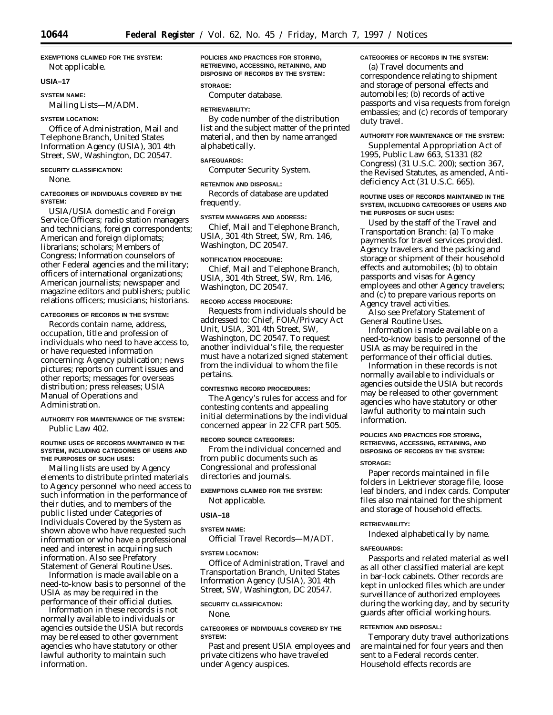# **EXEMPTIONS CLAIMED FOR THE SYSTEM:**

Not applicable.

# **USIA–17**

### **SYSTEM NAME:**

Mailing Lists—M/ADM.

# **SYSTEM LOCATION:**

Office of Administration, Mail and Telephone Branch, United States Information Agency (USIA), 301 4th Street, SW, Washington, DC 20547.

# **SECURITY CLASSIFICATION:**

None.

### **CATEGORIES OF INDIVIDUALS COVERED BY THE SYSTEM:**

USIA/USIA domestic and Foreign Service Officers; radio station managers and technicians, foreign correspondents; American and foreign diplomats; librarians; scholars; Members of Congress; Information counselors of other Federal agencies and the military; officers of international organizations; American journalists; newspaper and magazine editors and publishers; public relations officers; musicians; historians.

# **CATEGORIES OF RECORDS IN THE SYSTEM:**

Records contain name, address, occupation, title and profession of individuals who need to have access to, or have requested information concerning: Agency publication; news pictures; reports on current issues and other reports; messages for overseas distribution; press releases; USIA Manual of Operations and Administration.

### **AUTHORITY FOR MAINTENANCE OF THE SYSTEM:** Public Law 402.

### **ROUTINE USES OF RECORDS MAINTAINED IN THE SYSTEM, INCLUDING CATEGORIES OF USERS AND THE PURPOSES OF SUCH USES:**

Mailing lists are used by Agency elements to distribute printed materials to Agency personnel who need access to such information in the performance of their duties, and to members of the public listed under Categories of Individuals Covered by the System as shown above who have requested such information or who have a professional need and interest in acquiring such information. Also see Prefatory Statement of General Routine Uses.

Information is made available on a need-to-know basis to personnel of the USIA as may be required in the performance of their official duties.

Information in these records is not normally available to individuals or agencies outside the USIA but records may be released to other government agencies who have statutory or other lawful authority to maintain such information.

**POLICIES AND PRACTICES FOR STORING, RETRIEVING, ACCESSING, RETAINING, AND DISPOSING OF RECORDS BY THE SYSTEM:**

# **STORAGE:**

Computer database.

#### **RETRIEVABILITY:**

By code number of the distribution list and the subject matter of the printed material, and then by name arranged alphabetically.

### **SAFEGUARDS:**

Computer Security System.

### **RETENTION AND DISPOSAL:**

Records of database are updated frequently.

# **SYSTEM MANAGERS AND ADDRESS:**

Chief, Mail and Telephone Branch, USIA, 301 4th Street, SW, Rm. 146, Washington, DC 20547.

#### **NOTIFICATION PROCEDURE:**

Chief, Mail and Telephone Branch, USIA, 301 4th Street, SW, Rm. 146, Washington, DC 20547.

#### **RECORD ACCESS PROCEDURE:**

Requests from individuals should be addressed to: Chief, FOIA/Privacy Act Unit, USIA, 301 4th Street, SW, Washington, DC 20547. To request another individual's file, the requester must have a notarized signed statement from the individual to whom the file pertains.

### **CONTESTING RECORD PROCEDURES:**

The Agency's rules for access and for contesting contents and appealing initial determinations by the individual concerned appear in 22 CFR part 505.

### **RECORD SOURCE CATEGORIES:**

From the individual concerned and from public documents such as Congressional and professional directories and journals.

**EXEMPTIONS CLAIMED FOR THE SYSTEM:** Not applicable.

### **USIA–18**

### **SYSTEM NAME:**

Official Travel Records—M/ADT.

# **SYSTEM LOCATION:**

Office of Administration, Travel and Transportation Branch, United States Information Agency (USIA), 301 4th Street, SW, Washington, DC 20547.

## **SECURITY CLASSIFICATION:**

None.

**CATEGORIES OF INDIVIDUALS COVERED BY THE SYSTEM:**

Past and present USIA employees and private citizens who have traveled under Agency auspices.

# **CATEGORIES OF RECORDS IN THE SYSTEM:**

(a) Travel documents and correspondence relating to shipment and storage of personal effects and automobiles; (b) records of active passports and visa requests from foreign embassies; and (c) records of temporary duty travel.

### **AUTHORITY FOR MAINTENANCE OF THE SYSTEM:**

Supplemental Appropriation Act of 1995, Public Law 663, S1331 (82 Congress) (31 U.S.C. 200); section 367, the Revised Statutes, as amended, Antideficiency Act (31 U.S.C. 665).

### **ROUTINE USES OF RECORDS MAINTAINED IN THE SYSTEM, INCLUDING CATEGORIES OF USERS AND THE PURPOSES OF SUCH USES:**

Used by the staff of the Travel and Transportation Branch: (a) To make payments for travel services provided. Agency travelers and the packing and storage or shipment of their household effects and automobiles; (b) to obtain passports and visas for Agency employees and other Agency travelers; and (c) to prepare various reports on Agency travel activities.

Also see Prefatory Statement of General Routine Uses.

Information is made available on a need-to-know basis to personnel of the USIA as may be required in the performance of their official duties.

Information in these records is not normally available to individuals or agencies outside the USIA but records may be released to other government agencies who have statutory or other lawful authority to maintain such information.

# **POLICIES AND PRACTICES FOR STORING, RETRIEVING, ACCESSING, RETAINING, AND DISPOSING OF RECORDS BY THE SYSTEM:**

#### **STORAGE:**

Paper records maintained in file folders in Lektriever storage file, loose leaf binders, and index cards. Computer files also maintained for the shipment and storage of household effects.

#### **RETRIEVABILITY:**

Indexed alphabetically by name.

#### **SAFEGUARDS:**

Passports and related material as well as all other classified material are kept in bar-lock cabinets. Other records are kept in unlocked files which are under surveillance of authorized employees during the working day, and by security guards after official working hours.

# **RETENTION AND DISPOSAL:**

Temporary duty travel authorizations are maintained for four years and then sent to a Federal records center. Household effects records are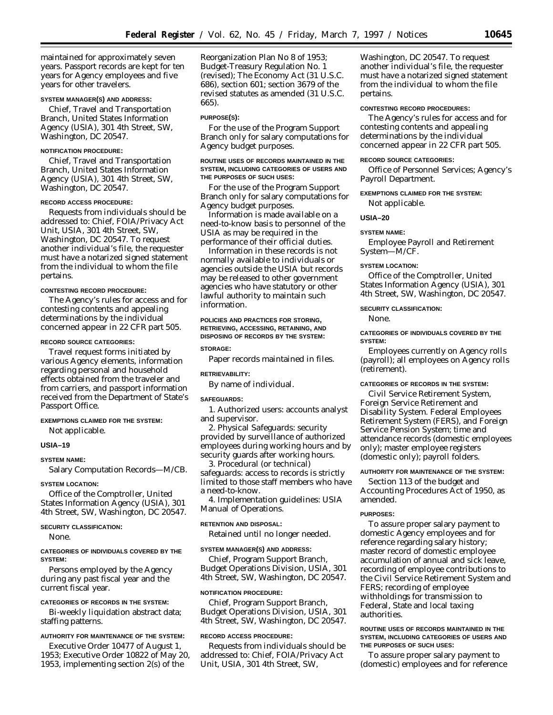maintained for approximately seven years. Passport records are kept for ten years for Agency employees and five years for other travelers.

#### **SYSTEM MANAGER(S) AND ADDRESS:**

Chief, Travel and Transportation Branch, United States Information Agency (USIA), 301 4th Street, SW, Washington, DC 20547.

### **NOTIFICATION PROCEDURE:**

Chief, Travel and Transportation Branch, United States Information Agency (USIA), 301 4th Street, SW, Washington, DC 20547.

### **RECORD ACCESS PROCEDURE:**

Requests from individuals should be addressed to: Chief, FOIA/Privacy Act Unit, USIA, 301 4th Street, SW, Washington, DC 20547. To request another individual's file, the requester must have a notarized signed statement from the individual to whom the file pertains.

#### **CONTESTING RECORD PROCEDURE:**

The Agency's rules for access and for contesting contents and appealing determinations by the individual concerned appear in 22 CFR part 505.

#### **RECORD SOURCE CATEGORIES:**

Travel request forms initiated by various Agency elements, information regarding personal and household effects obtained from the traveler and from carriers, and passport information received from the Department of State's Passport Office.

# **EXEMPTIONS CLAIMED FOR THE SYSTEM:** Not applicable.

**USIA–19**

# **SYSTEM NAME:**

Salary Computation Records—M/CB.

#### **SYSTEM LOCATION:**

Office of the Comptroller, United States Information Agency (USIA), 301 4th Street, SW, Washington, DC 20547.

### **SECURITY CLASSIFICATION:**

None.

#### **CATEGORIES OF INDIVIDUALS COVERED BY THE SYSTEM:**

Persons employed by the Agency during any past fiscal year and the current fiscal year.

#### **CATEGORIES OF RECORDS IN THE SYSTEM:**

Bi-weekly liquidation abstract data; staffing patterns.

### **AUTHORITY FOR MAINTENANCE OF THE SYSTEM:**

Executive Order 10477 of August 1, 1953; Executive Order 10822 of May 20, 1953, implementing section 2(s) of the

Reorganization Plan No 8 of 1953; Budget-Treasury Regulation No. 1 (revised); The Economy Act (31 U.S.C. 686), section 601; section 3679 of the revised statutes as amended (31 U.S.C. 665).

# **PURPOSE(S):**

For the use of the Program Support Branch only for salary computations for Agency budget purposes.

### **ROUTINE USES OF RECORDS MAINTAINED IN THE SYSTEM, INCLUDING CATEGORIES OF USERS AND THE PURPOSES OF SUCH USES:**

For the use of the Program Support Branch only for salary computations for Agency budget purposes.

Information is made available on a need-to-know basis to personnel of the USIA as may be required in the performance of their official duties.

Information in these records is not normally available to individuals or agencies outside the USIA but records may be released to other government agencies who have statutory or other lawful authority to maintain such information.

### **POLICIES AND PRACTICES FOR STORING, RETRIEVING, ACCESSING, RETAINING, AND DISPOSING OF RECORDS BY THE SYSTEM:**

#### **STORAGE:**

Paper records maintained in files.

### **RETRIEVABILITY:**

By name of individual.

#### **SAFEGUARDS:**

1. *Authorized users:* accounts analyst and supervisor.

2. *Physical Safeguards:* security provided by surveillance of authorized employees during working hours and by security guards after working hours.

3. *Procedural (or technical) safeguards:* access to records is strictly limited to those staff members who have a need-to-know.

4. *Implementation guidelines:* USIA Manual of Operations.

#### **RETENTION AND DISPOSAL:**

Retained until no longer needed.

# **SYSTEM MANAGER(S) AND ADDRESS:**

Chief, Program Support Branch, Budget Operations Division, USIA, 301 4th Street, SW, Washington, DC 20547.

#### **NOTIFICATION PROCEDURE:**

Chief, Program Support Branch, Budget Operations Division, USIA, 301 4th Street, SW, Washington, DC 20547.

#### **RECORD ACCESS PROCEDURE:**

Requests from individuals should be addressed to: Chief, FOIA/Privacy Act Unit, USIA, 301 4th Street, SW,

Washington, DC 20547. To request another individual's file, the requester must have a notarized signed statement from the individual to whom the file pertains.

### **CONTESTING RECORD PROCEDURES:**

The Agency's rules for access and for contesting contents and appealing determinations by the individual concerned appear in 22 CFR part 505.

#### **RECORD SOURCE CATEGORIES:**

Office of Personnel Services; Agency's Payroll Department.

# **EXEMPTIONS CLAIMED FOR THE SYSTEM:**

Not applicable.

### **USIA–20**

#### **SYSTEM NAME:**

Employee Payroll and Retirement System—M/CF.

#### **SYSTEM LOCATION:**

Office of the Comptroller, United States Information Agency (USIA), 301 4th Street, SW, Washington, DC 20547.

### **SECURITY CLASSIFICATION:**

None.

### **CATEGORIES OF INDIVIDUALS COVERED BY THE SYSTEM:**

Employees currently on Agency rolls (payroll); all employees on Agency rolls (retirement).

# **CATEGORIES OF RECORDS IN THE SYSTEM:**

Civil Service Retirement System, Foreign Service Retirement and Disability System. Federal Employees Retirement System (FERS), and Foreign Service Pension System; time and attendance records (domestic employees only); master employee registers (domestic only); payroll folders.

# **AUTHORITY FOR MAINTENANCE OF THE SYSTEM:**

Section 113 of the budget and Accounting Procedures Act of 1950, as amended.

### **PURPOSES:**

To assure proper salary payment to domestic Agency employees and for reference regarding salary history; master record of domestic employee accumulation of annual and sick leave, recording of employee contributions to the Civil Service Retirement System and FERS; recording of employee withholdings for transmission to Federal, State and local taxing authorities.

### **ROUTINE USES OF RECORDS MAINTAINED IN THE SYSTEM, INCLUDING CATEGORIES OF USERS AND THE PURPOSES OF SUCH USES:**

To assure proper salary payment to (domestic) employees and for reference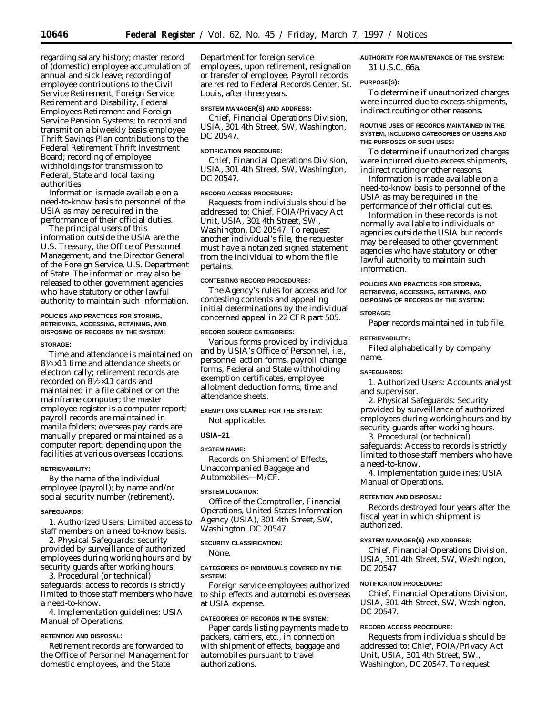regarding salary history; master record of (domestic) employee accumulation of annual and sick leave; recording of employee contributions to the Civil Service Retirement, Foreign Service Retirement and Disability, Federal Employees Retirement and Foreign Service Pension Systems; to record and transmit on a biweekly basis employee Thrift Savings Plan contributions to the Federal Retirement Thrift Investment Board; recording of employee withholdings for transmission to Federal, State and local taxing authorities.

Information is made available on a need-to-know basis to personnel of the USIA as may be required in the performance of their official duties.

The principal users of this information outside the USIA are the U.S. Treasury, the Office of Personnel Management, and the Director General of the Foreign Service, U.S. Department of State. The information may also be released to other government agencies who have statutory or other lawful authority to maintain such information.

# **POLICIES AND PRACTICES FOR STORING, RETRIEVING, ACCESSING, RETAINING, AND DISPOSING OF RECORDS BY THE SYSTEM:**

#### **STORAGE:**

Time and attendance is maintained on 81⁄2×11 time and attendance sheets or electronically; retirement records are recorded on 81⁄2×11 cards and maintained in a file cabinet or on the mainframe computer; the master employee register is a computer report; payroll records are maintained in manila folders; overseas pay cards are manually prepared or maintained as a computer report, depending upon the facilities at various overseas locations.

#### **RETRIEVABILITY:**

By the name of the individual employee (payroll); by name and/or social security number (retirement).

#### **SAFEGUARDS:**

1. *Authorized Users:* Limited access to staff members on a need to-know basis.

2. *Physical Safeguards:* security provided by surveillance of authorized employees during working hours and by security guards after working hours.

3. *Procedural (or technical) safeguards:* access to records is strictly limited to those staff members who have a need-to-know.

4. *Implementation guidelines:* USIA Manual of Operations.

# **RETENTION AND DISPOSAL:**

Retirement records are forwarded to the Office of Personnel Management for domestic employees, and the State

Department for foreign service employees, upon retirement, resignation or transfer of employee. Payroll records are retired to Federal Records Center, St. Louis, after three years.

### **SYSTEM MANAGER(S) AND ADDRESS:**

Chief, Financial Operations Division, USIA, 301 4th Street, SW, Washington, DC 20547.

### **NOTIFICATION PROCEDURE:**

Chief, Financial Operations Division, USIA, 301 4th Street, SW, Washington, DC 20547.

### **RECORD ACCESS PROCEDURE:**

Requests from individuals should be addressed to: Chief, FOIA/Privacy Act Unit, USIA, 301 4th Street, SW., Washington, DC 20547. To request another individual's file, the requester must have a notarized signed statement from the individual to whom the file pertains.

#### **CONTESTING RECORD PROCEDURES:**

The Agency's rules for access and for contesting contents and appealing initial determinations by the individual concerned appeal in 22 CFR part 505.

#### **RECORD SOURCE CATEGORIES:**

Various forms provided by individual and by USIA's Office of Personnel, i.e., personnel action forms, payroll change forms, Federal and State withholding exemption certificates, employee allotment deduction forms, time and attendance sheets.

# **EXEMPTIONS CLAIMED FOR THE SYSTEM:**

Not applicable.

### **USIA–21**

#### **SYSTEM NAME:**

Records on Shipment of Effects, Unaccompanied Baggage and Automobiles—M/CF.

### **SYSTEM LOCATION:**

Office of the Comptroller, Financial Operations, United States Information Agency (USIA), 301 4th Street, SW, Washington, DC 20547.

#### **SECURITY CLASSIFICATION:**

None.

### **CATEGORIES OF INDIVIDUALS COVERED BY THE SYSTEM:**

Foreign service employees authorized to ship effects and automobiles overseas at USIA expense.

#### **CATEGORIES OF RECORDS IN THE SYSTEM:**

Paper cards listing payments made to packers, carriers, etc., in connection with shipment of effects, baggage and automobiles pursuant to travel authorizations.

**AUTHORITY FOR MAINTENANCE OF THE SYSTEM:** 31 U.S.C. 66a.

#### **PURPOSE(S):**

To determine if unauthorized charges were incurred due to excess shipments, indirect routing or other reasons.

### **ROUTINE USES OF RECORDS MAINTAINED IN THE SYSTEM, INCLUDING CATEGORIES OF USERS AND THE PURPOSES OF SUCH USES:**

To determine if unauthorized charges were incurred due to excess shipments, indirect routing or other reasons.

Information is made available on a need-to-know basis to personnel of the USIA as may be required in the performance of their official duties.

Information in these records is not normally available to individuals or agencies outside the USIA but records may be released to other government agencies who have statutory or other lawful authority to maintain such information.

#### **POLICIES AND PRACTICES FOR STORING, RETRIEVING, ACCESSING, RETAINING, AND DISPOSING OF RECORDS BY THE SYSTEM:**

#### **STORAGE:**

Paper records maintained in tub file.

#### **RETRIEVABILITY:**

Filed alphabetically by company name.

# **SAFEGUARDS:**

1. *Authorized Users:* Accounts analyst and supervisor.

2. *Physical Safeguards:* Security provided by surveillance of authorized employees during working hours and by security guards after working hours.

3. *Procedural (or technical) safeguards:* Access to records is strictly limited to those staff members who have a need-to-know.

4. *Implementation guidelines:* USIA Manual of Operations.

#### **RETENTION AND DISPOSAL:**

Records destroyed four years after the fiscal year in which shipment is authorized.

### **SYSTEM MANAGER(S) AND ADDRESS:**

Chief, Financial Operations Division, USIA, 301 4th Street, SW, Washington, DC 20547

#### **NOTIFICATION PROCEDURE:**

Chief, Financial Operations Division, USIA, 301 4th Street, SW, Washington, DC 20547.

### **RECORD ACCESS PROCEDURE:**

Requests from individuals should be addressed to: Chief, FOIA/Privacy Act Unit, USIA, 301 4th Street, SW., Washington, DC 20547. To request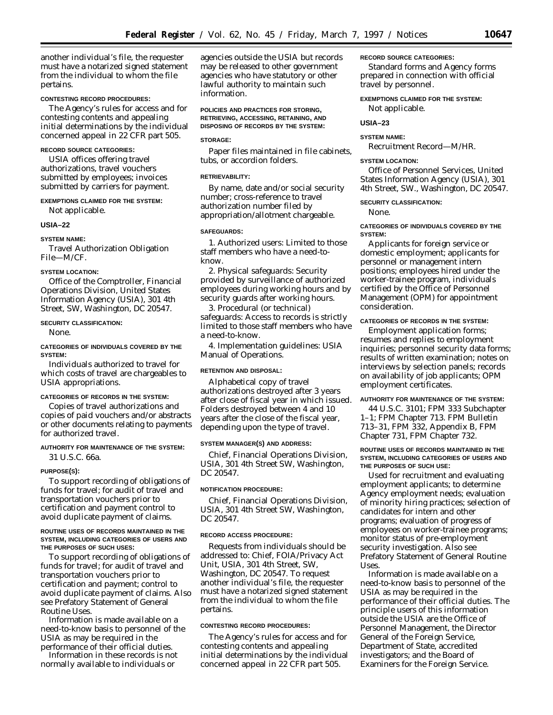another individual's file, the requester must have a notarized signed statement from the individual to whom the file pertains.

#### **CONTESTING RECORD PROCEDURES:**

The Agency's rules for access and for contesting contents and appealing initial determinations by the individual concerned appeal in 22 CFR part 505.

#### **RECORD SOURCE CATEGORIES:**

USIA offices offering travel authorizations, travel vouchers submitted by employees; invoices submitted by carriers for payment.

### **EXEMPTIONS CLAIMED FOR THE SYSTEM:**

Not applicable.

#### **USIA–22**

**SYSTEM NAME:**

Travel Authorization Obligation File—M/CF.

### **SYSTEM LOCATION:**

Office of the Comptroller, Financial Operations Division, United States Information Agency (USIA), 301 4th Street, SW, Washington, DC 20547.

#### **SECURITY CLASSIFICATION:**

None.

# **CATEGORIES OF INDIVIDUALS COVERED BY THE SYSTEM:**

Individuals authorized to travel for which costs of travel are chargeables to USIA appropriations.

### **CATEGORIES OF RECORDS IN THE SYSTEM:**

Copies of travel authorizations and copies of paid vouchers and/or abstracts or other documents relating to payments for authorized travel.

### **AUTHORITY FOR MAINTENANCE OF THE SYSTEM:** 31 U.S.C. 66a.

#### **PURPOSE(S):**

To support recording of obligations of funds for travel; for audit of travel and transportation vouchers prior to certification and payment control to avoid duplicate payment of claims.

### **ROUTINE USES OF RECORDS MAINTAINED IN THE SYSTEM, INCLUDING CATEGORIES OF USERS AND THE PURPOSES OF SUCH USES:**

To support recording of obligations of funds for travel; for audit of travel and transportation vouchers prior to certification and payment; control to avoid duplicate payment of claims. Also see Prefatory Statement of General Routine Uses.

Information is made available on a need-to-know basis to personnel of the USIA as may be required in the performance of their official duties.

Information in these records is not normally available to individuals or

agencies outside the USIA but records may be released to other government agencies who have statutory or other lawful authority to maintain such information.

### **POLICIES AND PRACTICES FOR STORING, RETRIEVING, ACCESSING, RETAINING, AND DISPOSING OF RECORDS BY THE SYSTEM:**

### **STORAGE:**

Paper files maintained in file cabinets, tubs, or accordion folders.

#### **RETRIEVABILITY:**

By name, date and/or social security number; cross-reference to travel authorization number filed by appropriation/allotment chargeable.

#### **SAFEGUARDS:**

1. *Authorized users:* Limited to those staff members who have a need-toknow.

2. *Physical safeguards:* Security provided by surveillance of authorized employees during working hours and by security guards after working hours.

3. *Procedural (or technical) safeguards:* Access to records is strictly limited to those staff members who have a need-to-know.

4. *Implementation guidelines:* USIA Manual of Operations.

### **RETENTION AND DISPOSAL:**

Alphabetical copy of travel authorizations destroyed after 3 years after close of fiscal year in which issued. Folders destroyed between 4 and 10 years after the close of the fiscal year, depending upon the type of travel.

#### **SYSTEM MANAGER(S) AND ADDRESS:**

Chief, Financial Operations Division, USIA, 301 4th Street SW, Washington, DC 20547.

#### **NOTIFICATION PROCEDURE:**

Chief, Financial Operations Division, USIA, 301 4th Street SW, Washington, DC 20547.

### **RECORD ACCESS PROCEDURE:**

Requests from individuals should be addressed to: Chief, FOIA/Privacy Act Unit, USIA, 301 4th Street, SW, Washington, DC 20547. To request another individual's file, the requester must have a notarized signed statement from the individual to whom the file pertains.

#### **CONTESTING RECORD PROCEDURES:**

The Agency's rules for access and for contesting contents and appealing initial determinations by the individual concerned appeal in 22 CFR part 505.

### **RECORD SOURCE CATEGORIES:**

Standard forms and Agency forms prepared in connection with official travel by personnel.

### **EXEMPTIONS CLAIMED FOR THE SYSTEM:**

Not applicable.

### **USIA–23**

#### **SYSTEM NAME:**

Recruitment Record—M/HR.

#### **SYSTEM LOCATION:**

Office of Personnel Services, United States Information Agency (USIA), 301 4th Street, SW., Washington, DC 20547.

### **SECURITY CLASSIFICATION:**

None.

### **CATEGORIES OF INDIVIDUALS COVERED BY THE SYSTEM:**

Applicants for foreign service or domestic employment; applicants for personnel or management intern positions; employees hired under the worker-trainee program, individuals certified by the Office of Personnel Management (OPM) for appointment consideration.

### **CATEGORIES OF RECORDS IN THE SYSTEM:**

Employment application forms; resumes and replies to employment inquiries; personnel security data forms; results of written examination; notes on interviews by selection panels; records on availability of job applicants; OPM employment certificates.

#### **AUTHORITY FOR MAINTENANCE OF THE SYSTEM:**

44 U.S.C. 3101; FPM 333 Subchapter 1–1; FPM Chapter 713. FPM Bulletin 713–31, FPM 332, Appendix B, FPM Chapter 731, FPM Chapter 732.

#### **ROUTINE USES OF RECORDS MAINTAINED IN THE SYSTEM, INCLUDING CATEGORIES OF USERS AND THE PURPOSES OF SUCH USE:**

Used for recruitment and evaluating employment applicants; to determine Agency employment needs; evaluation of minority hiring practices; selection of candidates for intern and other programs; evaluation of progress of employees on worker-trainee programs; monitor status of pre-employment security investigation. Also see Prefatory Statement of General Routine Uses.

Information is made available on a need-to-know basis to personnel of the USIA as may be required in the performance of their official duties. The principle users of this information outside the USIA are the Office of Personnel Management, the Director General of the Foreign Service, Department of State, accredited investigators; and the Board of Examiners for the Foreign Service.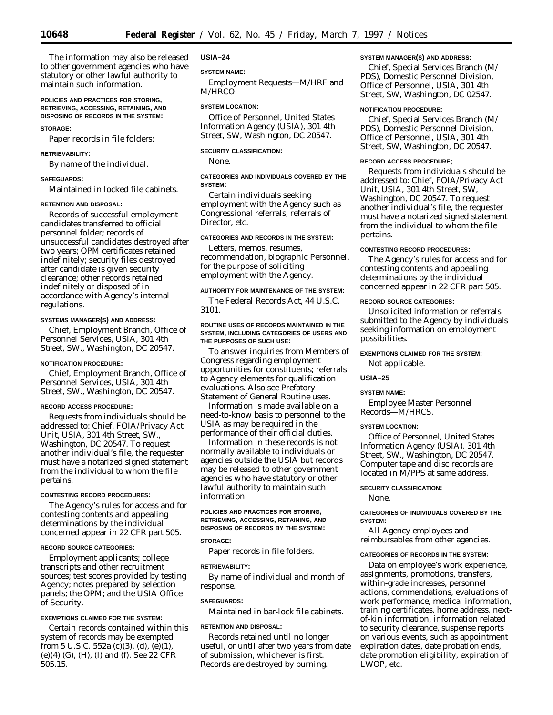The information may also be released to other government agencies who have statutory or other lawful authority to maintain such information.

### **POLICIES AND PRACTICES FOR STORING, RETRIEVING, ACCESSING, RETAINING, AND DISPOSING OF RECORDS IN THE SYSTEM:**

#### **STORAGE:**

Paper records in file folders:

### **RETRIEVABILITY:**

By name of the individual.

### **SAFEGUARDS:**

Maintained in locked file cabinets.

#### **RETENTION AND DISPOSAL:**

Records of successful employment candidates transferred to official personnel folder; records of unsuccessful candidates destroyed after two years; OPM certificates retained indefinitely; security files destroyed after candidate is given security clearance; other records retained indefinitely or disposed of in accordance with Agency's internal regulations.

### **SYSTEMS MANAGER(S) AND ADDRESS:**

Chief, Employment Branch, Office of Personnel Services, USIA, 301 4th Street, SW., Washington, DC 20547.

#### **NOTIFICATION PROCEDURE:**

Chief, Employment Branch, Office of Personnel Services, USIA, 301 4th Street, SW., Washington, DC 20547.

#### **RECORD ACCESS PROCEDURE:**

Requests from individuals should be addressed to: Chief, FOIA/Privacy Act Unit, USIA, 301 4th Street, SW., Washington, DC 20547. To request another individual's file, the requester must have a notarized signed statement from the individual to whom the file pertains.

### **CONTESTING RECORD PROCEDURES:**

The Agency's rules for access and for contesting contents and appealing determinations by the individual concerned appear in 22 CFR part 505.

#### **RECORD SOURCE CATEGORIES:**

Employment applicants; college transcripts and other recruitment sources; test scores provided by testing Agency; notes prepared by selection panels; the OPM; and the USIA Office of Security.

### **EXEMPTIONS CLAIMED FOR THE SYSTEM:**

Certain records contained within this system of records may be exempted from 5 U.S.C. 552a (c)(3), (d), (e)(1), (e)(4) (G), (H), (I) and (f). See 22 CFR 505.15.

#### **USIA–24**

#### **SYSTEM NAME:**

Employment Requests—M/HRF and M/HRCO.

#### **SYSTEM LOCATION:**

Office of Personnel, United States Information Agency (USIA), 301 4th Street, SW, Washington, DC 20547.

### **SECURITY CLASSIFICATION:**

None.

# **CATEGORIES AND INDIVIDUALS COVERED BY THE SYSTEM:**

Certain individuals seeking employment with the Agency such as Congressional referrals, referrals of Director, etc.

# **CATEGORIES AND RECORDS IN THE SYSTEM:**

Letters, memos, resumes, recommendation, biographic Personnel, for the purpose of soliciting employment with the Agency.

#### **AUTHORITY FOR MAINTENANCE OF THE SYSTEM:**

The Federal Records Act, 44 U.S.C. 3101.

### **ROUTINE USES OF RECORDS MAINTAINED IN THE SYSTEM, INCLUDING CATEGORIES OF USERS AND THE PURPOSES OF SUCH USE:**

To answer inquiries from Members of Congress regarding employment opportunities for constituents; referrals to Agency elements for qualification evaluations. Also see Prefatory Statement of General Routine uses.

Information is made available on a need-to-know basis to personnel to the USIA as may be required in the performance of their official duties.

Information in these records is not normally available to individuals or agencies outside the USIA but records may be released to other government agencies who have statutory or other lawful authority to maintain such information.

### **POLICIES AND PRACTICES FOR STORING, RETRIEVING, ACCESSING, RETAINING, AND DISPOSING OF RECORDS BY THE SYSTEM:**

### **STORAGE:**

Paper records in file folders.

### **RETRIEVABILITY:**

By name of individual and month of response.

#### **SAFEGUARDS:**

Maintained in bar-lock file cabinets.

#### **RETENTION AND DISPOSAL:**

Records retained until no longer useful, or until after two years from date of submission, whichever is first. Records are destroyed by burning.

### **SYSTEM MANAGER(S) AND ADDRESS:**

Chief, Special Services Branch (M/ PDS), Domestic Personnel Division, Office of Personnel, USIA, 301 4th Street, SW, Washington, DC 02547.

### **NOTIFICATION PROCEDURE:**

Chief, Special Services Branch (M/ PDS), Domestic Personnel Division, Office of Personnel, USIA, 301 4th Street, SW, Washington, DC 20547.

#### **RECORD ACCESS PROCEDURE;**

Requests from individuals should be addressed to: Chief, FOIA/Privacy Act Unit, USIA, 301 4th Street, SW, Washington, DC 20547. To request another individual's file, the requester must have a notarized signed statement from the individual to whom the file pertains.

#### **CONTESTING RECORD PROCEDURES:**

The Agency's rules for access and for contesting contents and appealing determinations by the individual concerned appear in 22 CFR part 505.

### **RECORD SOURCE CATEGORIES:**

Unsolicited information or referrals submitted to the Agency by individuals seeking information on employment possibilities.

### **EXEMPTIONS CLAIMED FOR THE SYSTEM:**

Not applicable.

#### **USIA–25**

#### **SYSTEM NAME:**

Employee Master Personnel Records—M/HRCS.

### **SYSTEM LOCATION:**

Office of Personnel, United States Information Agency (USIA), 301 4th Street, SW., Washington, DC 20547. Computer tape and disc records are located in M/PPS at same address.

#### **SECURITY CLASSIFICATION:**

None.

### **CATEGORIES OF INDIVIDUALS COVERED BY THE SYSTEM:**

All Agency employees and reimbursables from other agencies.

### **CATEGORIES OF RECORDS IN THE SYSTEM:**

Data on employee's work experience, assignments, promotions, transfers, within-grade increases, personnel actions, commendations, evaluations of work performance, medical information, training certificates, home address, nextof-kin information, information related to security clearance, suspense reports on various events, such as appointment expiration dates, date probation ends, date promotion eligibility, expiration of LWOP, etc.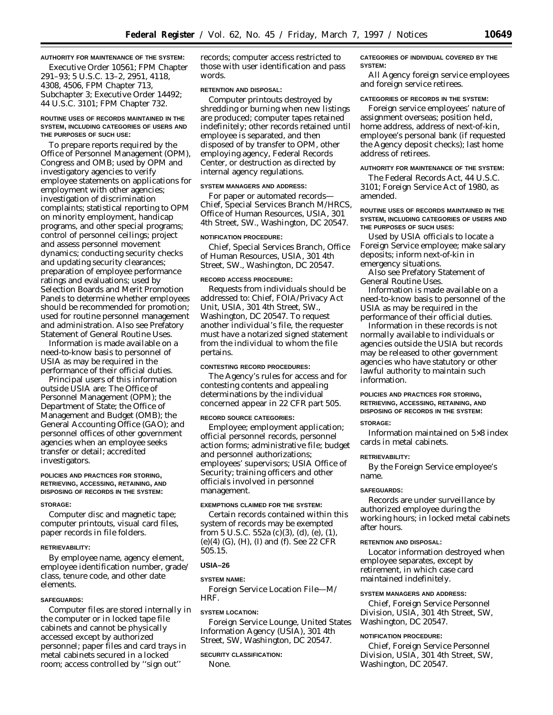# **AUTHORITY FOR MAINTENANCE OF THE SYSTEM:**

Executive Order 10561; FPM Chapter 291–93; 5 U.S.C. 13–2, 2951, 4118, 4308, 4506, FPM Chapter 713, Subchapter 3; Executive Order 14492; 44 U.S.C. 3101; FPM Chapter 732.

### **ROUTINE USES OF RECORDS MAINTAINED IN THE SYSTEM, INCLUDING CATEGORIES OF USERS AND THE PURPOSES OF SUCH USE:**

To prepare reports required by the Office of Personnel Management (OPM), Congress and OMB; used by OPM and investigatory agencies to verify employee statements on applications for employment with other agencies; investigation of discrimination complaints; statistical reporting to OPM on minority employment, handicap programs, and other special programs; control of personnel ceilings; project and assess personnel movement dynamics; conducting security checks and updating security clearances; preparation of employee performance ratings and evaluations; used by Selection Boards and Merit Promotion Panels to determine whether employees should be recommended for promotion; used for routine personnel management and administration. Also see Prefatory Statement of General Routine Uses.

Information is made available on a need-to-know basis to personnel of USIA as may be required in the performance of their official duties.

Principal users of this information outside USIA are: The Office of Personnel Management (OPM); the Department of State; the Office of Management and Budget (OMB); the General Accounting Office (GAO); and personnel offices of other government agencies when an employee seeks transfer or detail; accredited investigators.

### **POLICIES AND PRACTICES FOR STORING, RETRIEVING, ACCESSING, RETAINING, AND DISPOSING OF RECORDS IN THE SYSTEM:**

#### **STORAGE:**

Computer disc and magnetic tape; computer printouts, visual card files, paper records in file folders.

#### **RETRIEVABILITY:**

By employee name, agency element, employee identification number, grade/ class, tenure code, and other date elements.

### **SAFEGUARDS:**

Computer files are stored internally in the computer or in locked tape file cabinets and cannot be physically accessed except by authorized personnel; paper files and card trays in metal cabinets secured in a locked room; access controlled by ''sign out''

records; computer access restricted to those with user identification and pass words.

#### **RETENTION AND DISPOSAL:**

Computer printouts destroyed by shredding or burning when new listings are produced; computer tapes retained indefinitely; other records retained until employee is separated, and then disposed of by transfer to OPM, other employing agency, Federal Records Center, or destruction as directed by internal agency regulations.

# **SYSTEM MANAGERS AND ADDRESS:**

For paper or automated records— Chief, Special Services Branch M/HRCS, Office of Human Resources, USIA, 301 4th Street, SW., Washington, DC 20547.

#### **NOTIFICATION PROCEDURE:**

Chief, Special Services Branch, Office of Human Resources, USIA, 301 4th Street, SW., Washington, DC 20547.

### **RECORD ACCESS PROCEDURE:**

Requests from individuals should be addressed to: Chief, FOIA/Privacy Act Unit, USIA, 301 4th Street, SW., Washington, DC 20547. To request another individual's file, the requester must have a notarized signed statement from the individual to whom the file pertains.

#### **CONTESTING RECORD PROCEDURES:**

The Agency's rules for access and for contesting contents and appealing determinations by the individual concerned appear in 22 CFR part 505.

### **RECORD SOURCE CATEGORIES:**

Employee; employment application; official personnel records, personnel action forms; administrative file; budget and personnel authorizations; employees' supervisors; USIA Office of Security; training officers and other officials involved in personnel management.

# **EXEMPTIONS CLAIMED FOR THE SYSTEM:**

Certain records contained within this system of records may be exempted from 5 U.S.C. 552a (c)(3), (d), (e), (1), (e)(4) (G), (H), (I) and (f). See 22 CFR 505.15.

### **USIA–26**

### **SYSTEM NAME:**

Foreign Service Location File—M/ HRF.

# **SYSTEM LOCATION:**

Foreign Service Lounge, United States Information Agency (USIA), 301 4th Street, SW, Washington, DC 20547.

### **SECURITY CLASSIFICATION:**

None.

### **CATEGORIES OF INDIVIDUAL COVERED BY THE SYSTEM:**

All Agency foreign service employees and foreign service retirees.

### **CATEGORIES OF RECORDS IN THE SYSTEM:**

Foreign service employees' nature of assignment overseas; position held, home address, address of next-of-kin, employee's personal bank (if requested the Agency deposit checks); last home address of retirees.

### **AUTHORITY FOR MAINTENANCE OF THE SYSTEM:**

The Federal Records Act, 44 U.S.C. 3101; Foreign Service Act of 1980, as amended.

### **ROUTINE USES OF RECORDS MAINTAINED IN THE SYSTEM, INCLUDING CATEGORIES OF USERS AND THE PURPOSES OF SUCH USES:**

Used by USIA officials to locate a Foreign Service employee; make salary deposits; inform next-of-kin in emergency situations.

Also see Prefatory Statement of General Routine Uses.

Information is made available on a need-to-know basis to personnel of the USIA as may be required in the performance of their official duties.

Information in these records is not normally available to individuals or agencies outside the USIA but records may be released to other government agencies who have statutory or other lawful authority to maintain such information.

### **POLICIES AND PRACTICES FOR STORING, RETRIEVING, ACCESSING, RETAINING, AND DISPOSING OF RECORDS IN THE SYSTEM:**

### **STORAGE:**

Information maintained on 5×8 index cards in metal cabinets.

#### **RETRIEVABILITY:**

By the Foreign Service employee's name.

# **SAFEGUARDS:**

Records are under surveillance by authorized employee during the working hours; in locked metal cabinets after hours.

### **RETENTION AND DISPOSAL:**

Locator information destroyed when employee separates, except by retirement, in which case card maintained indefinitely.

### **SYSTEM MANAGERS AND ADDRESS:**

Chief, Foreign Service Personnel Division, USIA, 301 4th Street, SW, Washington, DC 20547.

### **NOTIFICATION PROCEDURE:**

Chief, Foreign Service Personnel Division, USIA, 301 4th Street, SW, Washington, DC 20547.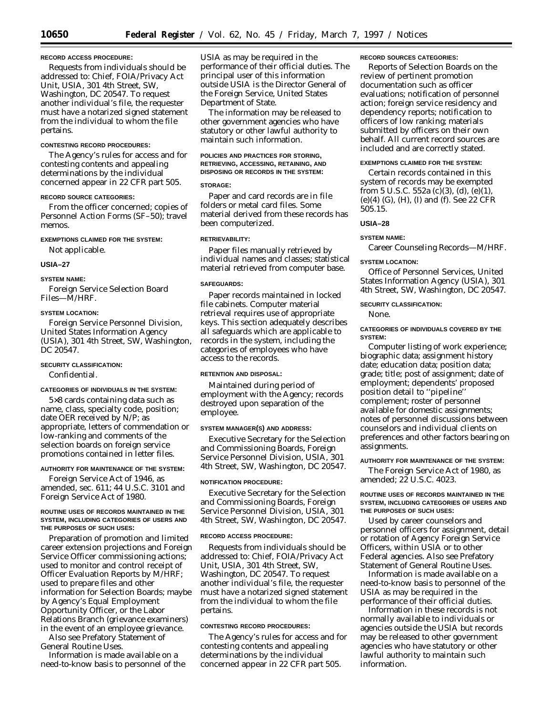### **RECORD ACCESS PROCEDURE:**

Requests from individuals should be addressed to: Chief, FOIA/Privacy Act Unit, USIA, 301 4th Street, SW, Washington, DC 20547. To request another individual's file, the requester must have a notarized signed statement from the individual to whom the file pertains.

# **CONTESTING RECORD PROCEDURES:**

The Agency's rules for access and for contesting contents and appealing determinations by the individual concerned appear in 22 CFR part 505.

#### **RECORD SOURCE CATEGORIES:**

From the officer concerned; copies of Personnel Action Forms (SF–50); travel memos.

### **EXEMPTIONS CLAIMED FOR THE SYSTEM:** Not applicable.

# **USIA–27**

# **SYSTEM NAME:**

Foreign Service Selection Board Files—M/HRF.

### **SYSTEM LOCATION:**

Foreign Service Personnel Division, United States Information Agency (USIA), 301 4th Street, SW, Washington, DC 20547.

### **SECURITY CLASSIFICATION:**

Confidential.

#### **CATEGORIES OF INDIVIDUALS IN THE SYSTEM:**

5×8 cards containing data such as name, class, specialty code, position; date OER received by N/P; as appropriate, letters of commendation or low-ranking and comments of the selection boards on foreign service promotions contained in letter files.

#### **AUTHORITY FOR MAINTENANCE OF THE SYSTEM:**

Foreign Service Act of 1946, as amended, sec. 611; 44 U.S.C. 3101 and Foreign Service Act of 1980.

### **ROUTINE USES OF RECORDS MAINTAINED IN THE SYSTEM, INCLUDING CATEGORIES OF USERS AND THE PURPOSES OF SUCH USES:**

Preparation of promotion and limited career extension projections and Foreign Service Officer commissioning actions; used to monitor and control receipt of Officer Evaluation Reports by M/HRF; used to prepare files and other information for Selection Boards; maybe by Agency's Equal Employment Opportunity Officer, or the Labor Relations Branch (grievance examiners) in the event of an employee grievance.

Also see Prefatory Statement of General Routine Uses.

Information is made available on a need-to-know basis to personnel of the USIA as may be required in the performance of their official duties. The principal user of this information outside USIA is the Director General of the Foreign Service, United States Department of State.

The information may be released to other government agencies who have statutory or other lawful authority to maintain such information.

# **POLICIES AND PRACTICES FOR STORING, RETRIEVING, ACCESSING, RETAINING, AND DISPOSING OR RECORDS IN THE SYSTEM:**

#### **STORAGE:**

Paper and card records are in file folders or metal card files. Some material derived from these records has been computerized.

#### **RETRIEVABILITY:**

Paper files manually retrieved by individual names and classes; statistical material retrieved from computer base.

#### **SAFEGUARDS:**

Paper records maintained in locked file cabinets. Computer material retrieval requires use of appropriate keys. This section adequately describes all safeguards which are applicable to records in the system, including the categories of employees who have access to the records.

# **RETENTION AND DISPOSAL:**

Maintained during period of employment with the Agency; records destroyed upon separation of the employee.

#### **SYSTEM MANAGER(S) AND ADDRESS:**

Executive Secretary for the Selection and Commissioning Boards, Foreign Service Personnel Division, USIA, 301 4th Street, SW, Washington, DC 20547.

#### **NOTIFICATION PROCEDURE:**

Executive Secretary for the Selection and Commissioning Boards, Foreign Service Personnel Division, USIA, 301 4th Street, SW, Washington, DC 20547.

# **RECORD ACCESS PROCEDURE:**

Requests from individuals should be addressed to: Chief, FOIA/Privacy Act Unit, USIA, 301 4th Street, SW, Washington, DC 20547. To request another individual's file, the requester must have a notarized signed statement from the individual to whom the file pertains.

#### **CONTESTING RECORD PROCEDURES:**

The Agency's rules for access and for contesting contents and appealing determinations by the individual concerned appear in 22 CFR part 505.

#### **RECORD SOURCES CATEGORIES:**

Reports of Selection Boards on the review of pertinent promotion documentation such as officer evaluations; notification of personnel action; foreign service residency and dependency reports; notification to officers of low ranking; materials submitted by officers on their own behalf. All current record sources are included and are correctly stated.

### **EXEMPTIONS CLAIMED FOR THE SYSTEM:**

Certain records contained in this system of records may be exempted from 5 U.S.C. 552a (c)(3), (d), (e)(1), (e)(4) (G), (H), (I) and (f). See 22 CFR 505.15.

### **USIA–28**

# **SYSTEM NAME:**

Career Counseling Records—M/HRF.

#### **SYSTEM LOCATION:**

Office of Personnel Services, United States Information Agency (USIA), 301 4th Street, SW, Washington, DC 20547.

#### **SECURITY CLASSIFICATION:**

None.

### **CATEGORIES OF INDIVIDUALS COVERED BY THE SYSTEM:**

Computer listing of work experience; biographic data; assignment history date; education data; position data; grade; title; post of assignment; date of employment; dependents' proposed position detail to ''pipeline'' complement; roster of personnel available for domestic assignments; notes of personnel discussions between counselors and individual clients on preferences and other factors bearing on assignments.

# **AUTHORITY FOR MAINTENANCE OF THE SYSTEM:**

The Foreign Service Act of 1980, as amended; 22 U.S.C. 4023.

#### **ROUTINE USES OF RECORDS MAINTAINED IN THE SYSTEM, INCLUDING CATEGORIES OF USERS AND THE PURPOSES OF SUCH USES:**

Used by career counselors and personnel officers for assignment, detail or rotation of Agency Foreign Service Officers, within USIA or to other Federal agencies. Also see Prefatory Statement of General Routine Uses.

Information is made available on a need-to-know basis to personnel of the USIA as may be required in the performance of their official duties.

Information in these records is not normally available to individuals or agencies outside the USIA but records may be released to other government agencies who have statutory or other lawful authority to maintain such information.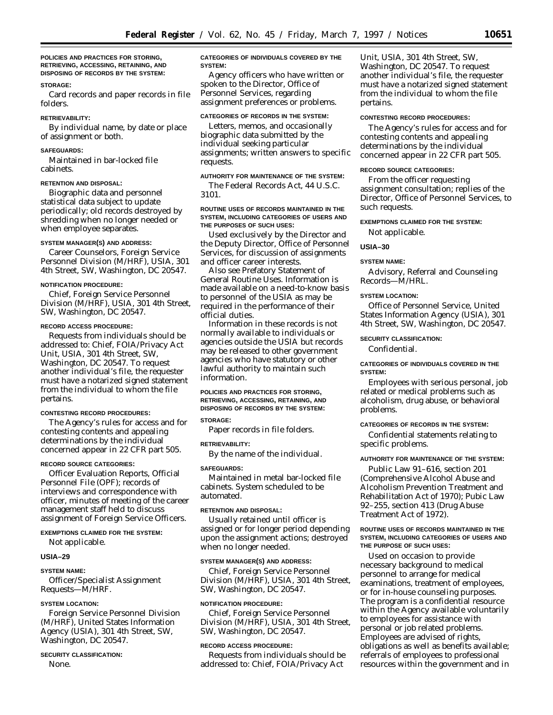**POLICIES AND PRACTICES FOR STORING, RETRIEVING, ACCESSING, RETAINING, AND DISPOSING OF RECORDS BY THE SYSTEM:**

### **STORAGE:**

Card records and paper records in file folders.

### **RETRIEVABILITY:**

By individual name, by date or place of assignment or both.

#### **SAFEGUARDS:**

Maintained in bar-locked file cabinets.

#### **RETENTION AND DISPOSAL:**

Biographic data and personnel statistical data subject to update periodically; old records destroyed by shredding when no longer needed or when employee separates.

### **SYSTEM MANAGER(S) AND ADDRESS:**

Career Counselors, Foreign Service Personnel Division (M/HRF), USIA, 301 4th Street, SW, Washington, DC 20547.

#### **NOTIFICATION PROCEDURE:**

Chief, Foreign Service Personnel Division (M/HRF), USIA, 301 4th Street, SW, Washington, DC 20547.

# **RECORD ACCESS PROCEDURE:**

Requests from individuals should be addressed to: Chief, FOIA/Privacy Act Unit, USIA, 301 4th Street, SW, Washington, DC 20547. To request another individual's file, the requester must have a notarized signed statement from the individual to whom the file pertains.

### **CONTESTING RECORD PROCEDURES:**

The Agency's rules for access and for contesting contents and appealing determinations by the individual concerned appear in 22 CFR part 505.

#### **RECORD SOURCE CATEGORIES:**

Officer Evaluation Reports, Official Personnel File (OPF); records of interviews and correspondence with officer, minutes of meeting of the career management staff held to discuss assignment of Foreign Service Officers.

# **EXEMPTIONS CLAIMED FOR THE SYSTEM:**

Not applicable.

#### **USIA–29**

#### **SYSTEM NAME:**

Officer/Specialist Assignment Requests—M/HRF.

### **SYSTEM LOCATION:**

Foreign Service Personnel Division (M/HRF), United States Information Agency (USIA), 301 4th Street, SW, Washington, DC 20547.

#### **SECURITY CLASSIFICATION:**

None.

### **CATEGORIES OF INDIVIDUALS COVERED BY THE SYSTEM:**

Agency officers who have written or spoken to the Director, Office of Personnel Services, regarding assignment preferences or problems.

#### **CATEGORIES OF RECORDS IN THE SYSTEM:**

Letters, memos, and occasionally biographic data submitted by the individual seeking particular assignments; written answers to specific requests.

# **AUTHORITY FOR MAINTENANCE OF THE SYSTEM:**

The Federal Records Act, 44 U.S.C. 3101.

### **ROUTINE USES OF RECORDS MAINTAINED IN THE SYSTEM, INCLUDING CATEGORIES OF USERS AND THE PURPOSES OF SUCH USES:**

Used exclusively by the Director and the Deputy Director, Office of Personnel Services, for discussion of assignments and officer career interests.

Also see Prefatory Statement of General Routine Uses. Information is made available on a need-to-know basis to personnel of the USIA as may be required in the performance of their official duties.

Information in these records is not normally available to individuals or agencies outside the USIA but records may be released to other government agencies who have statutory or other lawful authority to maintain such information.

### **POLICIES AND PRACTICES FOR STORING, RETRIEVING, ACCESSING, RETAINING, AND DISPOSING OF RECORDS BY THE SYSTEM: STORAGE:**

Paper records in file folders.

#### **RETRIEVABILITY:**

By the name of the individual.

### **SAFEGUARDS:**

Maintained in metal bar-locked file cabinets. System scheduled to be automated.

### **RETENTION AND DISPOSAL:**

Usually retained until officer is assigned or for longer period depending upon the assignment actions; destroyed when no longer needed.

#### **SYSTEM MANAGER(S) AND ADDRESS:**

Chief, Foreign Service Personnel Division (M/HRF), USIA, 301 4th Street, SW, Washington, DC 20547.

### **NOTIFICATION PROCEDURE:**

Chief, Foreign Service Personnel Division (M/HRF), USIA, 301 4th Street, SW, Washington, DC 20547.

### **RECORD ACCESS PROCEDURE:**

Requests from individuals should be addressed to: Chief, FOIA/Privacy Act

Unit, USIA, 301 4th Street, SW, Washington, DC 20547. To request another individual's file, the requester must have a notarized signed statement from the individual to whom the file pertains.

### **CONTESTING RECORD PROCEDURES:**

The Agency's rules for access and for contesting contents and appealing determinations by the individual concerned appear in 22 CFR part 505.

### **RECORD SOURCE CATEGORIES:**

From the officer requesting assignment consultation; replies of the Director, Office of Personnel Services, to such requests.

### **EXEMPTIONS CLAIMED FOR THE SYSTEM:**

Not applicable.

### **USIA–30**

#### **SYSTEM NAME:**

Advisory, Referral and Counseling Records—M/HRL.

### **SYSTEM LOCATION:**

Office of Personnel Service, United States Information Agency (USIA), 301 4th Street, SW, Washington, DC 20547.

### **SECURITY CLASSIFICATION:**

Confidential.

### **CATEGORIES OF INDIVIDUALS COVERED IN THE SYSTEM:**

Employees with serious personal, job related or medical problems such as alcoholism, drug abuse, or behavioral problems.

## **CATEGORIES OF RECORDS IN THE SYSTEM:**

Confidential statements relating to specific problems.

#### **AUTHORITY FOR MAINTENANCE OF THE SYSTEM:**

Public Law 91–616, section 201 (Comprehensive Alcohol Abuse and Alcoholism Prevention Treatment and Rehabilitation Act of 1970); Pubic Law 92–255, section 413 (Drug Abuse Treatment Act of 1972).

### **ROUTINE USES OF RECORDS MAINTAINED IN THE SYSTEM, INCLUDING CATEGORIES OF USERS AND THE PURPOSE OF SUCH USES:**

Used on occasion to provide necessary background to medical personnel to arrange for medical examinations, treatment of employees, or for in-house counseling purposes. The program is a confidential resource within the Agency available voluntarily to employees for assistance with personal or job related problems. Employees are advised of rights, obligations as well as benefits available; referrals of employees to professional resources within the government and in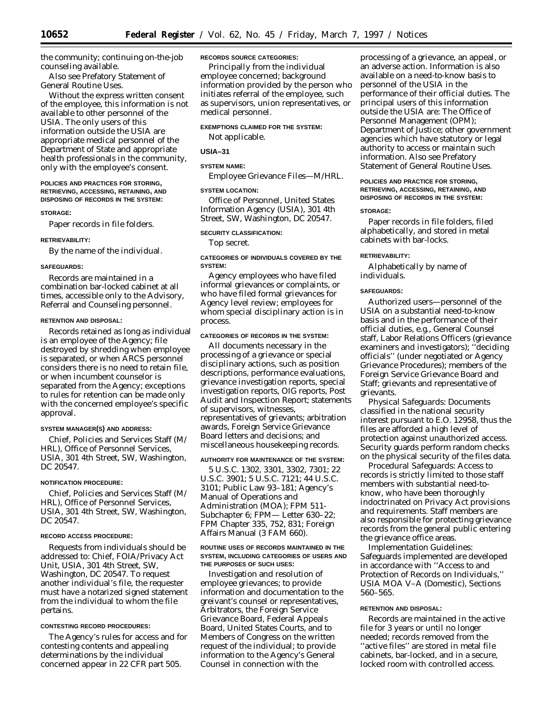the community; continuing on-the-job counseling available.

Also see Prefatory Statement of General Routine Uses.

Without the express written consent of the employee, this information is not available to other personnel of the USIA. The only users of this information outside the USIA are appropriate medical personnel of the Department of State and appropriate health professionals in the community, only with the employee's consent.

### **POLICIES AND PRACTICES FOR STORING, RETRIEVING, ACCESSING, RETAINING, AND DISPOSING OF RECORDS IN THE SYSTEM:**

### **STORAGE:**

Paper records in file folders.

### **RETRIEVABILITY:**

By the name of the individual.

### **SAFEGUARDS:**

Records are maintained in a combination bar-locked cabinet at all times, accessible only to the Advisory, Referral and Counseling personnel.

#### **RETENTION AND DISPOSAL:**

Records retained as long as individual is an employee of the Agency; file destroyed by shredding when employee is separated, or when ARCS personnel considers there is no need to retain file, or when incumbent counselor is separated from the Agency; exceptions to rules for retention can be made only with the concerned employee's specific approval.

### **SYSTEM MANAGER(S) AND ADDRESS:**

Chief, Policies and Services Staff (M/ HRL), Office of Personnel Services, USIA, 301 4th Street, SW, Washington, DC 20547.

### **NOTIFICATION PROCEDURE:**

Chief, Policies and Services Staff (M/ HRL), Office of Personnel Services, USIA, 301 4th Street, SW, Washington, DC 20547.

#### **RECORD ACCESS PROCEDURE:**

Requests from individuals should be addressed to: Chief, FOIA/Privacy Act Unit, USIA, 301 4th Street, SW, Washington, DC 20547. To request another individual's file, the requester must have a notarized signed statement from the individual to whom the file pertains.

#### **CONTESTING RECORD PROCEDURES:**

The Agency's rules for access and for contesting contents and appealing determinations by the individual concerned appear in 22 CFR part 505.

### **RECORDS SOURCE CATEGORIES:**

Principally from the individual employee concerned; background information provided by the person who initiates referral of the employee, such as supervisors, union representatives, or medical personnel.

# **EXEMPTIONS CLAIMED FOR THE SYSTEM:**

Not applicable.

# **USIA–31**

# **SYSTEM NAME:**

Employee Grievance Files—M/HRL.

### **SYSTEM LOCATION:**

Office of Personnel, United States Information Agency (USIA), 301 4th Street, SW, Washington, DC 20547.

# **SECURITY CLASSIFICATION:**

Top secret.

### **CATEGORIES OF INDIVIDUALS COVERED BY THE SYSTEM:**

Agency employees who have filed informal grievances or complaints, or who have filed formal grievances for Agency level review; employees for whom special disciplinary action is in process.

### **CATEGORIES OF RECORDS IN THE SYSTEM:**

All documents necessary in the processing of a grievance or special disciplinary actions, such as position descriptions, performance evaluations, grievance investigation reports, special investigation reports, OIG reports, Post Audit and Inspection Report; statements of supervisors, witnesses, representatives of grievants; arbitration awards, Foreign Service Grievance Board letters and decisions; and miscellaneous housekeeping records.

# **AUTHORITY FOR MAINTENANCE OF THE SYSTEM:**

5 U.S.C. 1302, 3301, 3302, 7301; 22 U.S.C. 3901; 5 U.S.C. 7121; 44 U.S.C. 3101; Public Law 93–181; Agency's Manual of Operations and Administration (MOA); FPM 511- Subchapter 6; FPM— Letter 630–22; FPM Chapter 335, 752, 831; Foreign Affairs Manual (3 FAM 660).

### **ROUTINE USES OF RECORDS MAINTAINED IN THE SYSTEM, INCLUDING CATEGORIES OF USERS AND THE PURPOSES OF SUCH USES:**

Investigation and resolution of employee grievances; to provide information and documentation to the greivant's counsel or representatives, Arbitrators, the Foreign Service Grievance Board, Federal Appeals Board, United States Courts, and to Members of Congress on the written request of the individual; to provide information to the Agency's General Counsel in connection with the

processing of a grievance, an appeal, or an adverse action. Information is also available on a need-to-know basis to personnel of the USIA in the performance of their official duties. The principal users of this information outside the USIA are: The Office of Personnel Management (OPM); Department of Justice; other government agencies which have statutory or legal authority to access or maintain such information. Also see Prefatory Statement of General Routine Uses.

# **POLICIES AND PRACTICE FOR STORING, RETRIEVING, ACCESSING, RETAINING, AND DISPOSING OF RECORDS IN THE SYSTEM:**

#### **STORAGE:**

Paper records in file folders, filed alphabetically, and stored in metal cabinets with bar-locks.

### **RETRIEVABILITY:**

Alphabetically by name of individuals.

### **SAFEGUARDS:**

Authorized users—personnel of the USIA on a substantial need-to-know basis and in the performance of their official duties, e.g., General Counsel staff, Labor Relations Officers (grievance examiners and investigators); ''deciding officials'' (under negotiated or Agency Grievance Procedures); members of the Foreign Service Grievance Board and Staff; grievants and representative of grievants.

*Physical Safeguards:* Documents classified in the national security interest pursuant to E.O. 12958, thus the files are afforded a high level of protection against unauthorized access. Security guards perform random checks on the physical security of the files data.

*Procedural Safeguards:* Access to records is strictly limited to those staff members with substantial need-toknow, who have been thoroughly indoctrinated on Privacy Act provisions and requirements. Staff members are also responsible for protecting grievance records from the general public entering the grievance office areas.

*Implementation Guidelines:* Safeguards implemented are developed in accordance with ''Access to and Protection of Records on Individuals,'' USIA MOA V–A (Domestic), Sections 560–565.

# **RETENTION AND DISPOSAL:**

Records are maintained in the active file for 3 years or until no longer needed; records removed from the ''active files'' are stored in metal file cabinets, bar-locked, and in a secure, locked room with controlled access.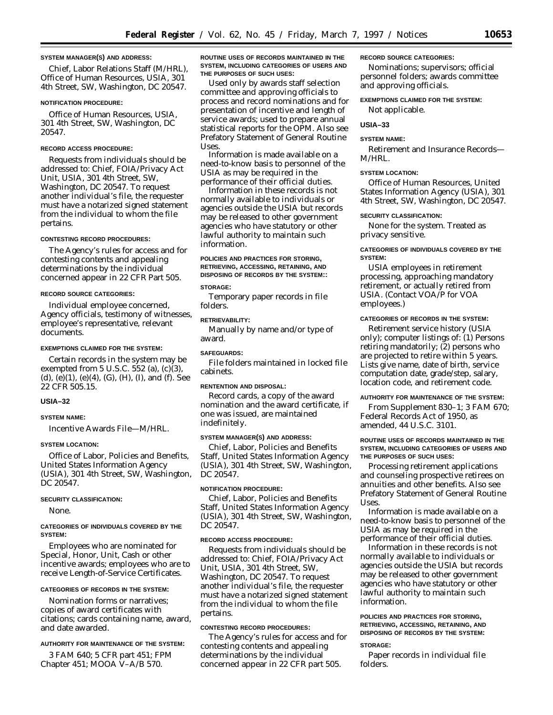### **SYSTEM MANAGER(S) AND ADDRESS:**

Chief, Labor Relations Staff (M/HRL), Office of Human Resources, USIA, 301 4th Street, SW, Washington, DC 20547.

### **NOTIFICATION PROCEDURE:**

Office of Human Resources, USIA, 301 4th Street, SW, Washington, DC 20547.

### **RECORD ACCESS PROCEDURE:**

Requests from individuals should be addressed to: Chief, FOIA/Privacy Act Unit, USIA, 301 4th Street, SW, Washington, DC 20547. To request another individual's file, the requester must have a notarized signed statement from the individual to whom the file pertains.

#### **CONTESTING RECORD PROCEDURES:**

The Agency's rules for access and for contesting contents and appealing determinations by the individual concerned appear in 22 CFR Part 505.

### **RECORD SOURCE CATEGORIES:**

Individual employee concerned, Agency officials, testimony of witnesses, employee's representative, relevant documents.

### **EXEMPTIONS CLAIMED FOR THE SYSTEM:**

Certain records in the system may be exempted from 5 U.S.C. 552 (a), (c)(3), (d), (e)(1), (e)(4), (G), (H), (I), and (f). See 22 CFR 505.15.

#### **USIA–32**

### **SYSTEM NAME:**

Incentive Awards File—M/HRL.

#### **SYSTEM LOCATION:**

Office of Labor, Policies and Benefits, United States Information Agency (USIA), 301 4th Street, SW, Washington, DC 20547.

#### **SECURITY CLASSIFICATION:**

None.

### **CATEGORIES OF INDIVIDUALS COVERED BY THE SYSTEM:**

Employees who are nominated for Special, Honor, Unit, Cash or other incentive awards; employees who are to receive Length-of-Service Certificates.

### **CATEGORIES OF RECORDS IN THE SYSTEM:**

Nomination forms or narratives; copies of award certificates with citations; cards containing name, award, and date awarded.

# **AUTHORITY FOR MAINTENANCE OF THE SYSTEM:**

3 FAM 640; 5 CFR part 451; FPM Chapter 451; MOOA V–A/B 570.

**ROUTINE USES OF RECORDS MAINTAINED IN THE SYSTEM, INCLUDING CATEGORIES OF USERS AND THE PURPOSES OF SUCH USES:**

Used only by awards staff selection committee and approving officials to process and record nominations and for presentation of incentive and length of service awards; used to prepare annual statistical reports for the OPM. Also see Prefatory Statement of General Routine Uses.

Information is made available on a need-to-know basis to personnel of the USIA as may be required in the performance of their official duties.

Information in these records is not normally available to individuals or agencies outside the USIA but records may be released to other government agencies who have statutory or other lawful authority to maintain such information.

**POLICIES AND PRACTICES FOR STORING, RETRIEVING, ACCESSING, RETAINING, AND DISPOSING OF RECORDS BY THE SYSTEM::**

### **STORAGE:**

Temporary paper records in file folders.

### **RETRIEVABILITY:**

Manually by name and/or type of award.

### **SAFEGUARDS:**

File folders maintained in locked file cabinets.

### **RENTENTION AND DISPOSAL:**

Record cards, a copy of the award nomination and the award certificate, if one was issued, are maintained indefinitely.

### **SYSTEM MANAGER(S) AND ADDRESS:**

Chief, Labor, Policies and Benefits Staff, United States Information Agency (USIA), 301 4th Street, SW, Washington, DC 20547.

### **NOTIFICATION PROCEDURE:**

Chief, Labor, Policies and Benefits Staff, United States Information Agency (USIA), 301 4th Street, SW, Washington, DC 20547.

#### **RECORD ACCESS PROCEDURE:**

Requests from individuals should be addressed to: Chief, FOIA/Privacy Act Unit, USIA, 301 4th Street, SW, Washington, DC 20547. To request another individual's file, the requester must have a notarized signed statement from the individual to whom the file pertains.

### **CONTESTING RECORD PROCEDURES:**

The Agency's rules for access and for contesting contents and appealing determinations by the individual concerned appear in 22 CFR part 505.

#### **RECORD SOURCE CATEGORIES:**

Nominations; supervisors; official personnel folders; awards committee and approving officials.

### **EXEMPTIONS CLAIMED FOR THE SYSTEM:**

Not applicable.

### **USIA–33**

#### **SYSTEM NAME:**

Retirement and Insurance Records— M/HRL.

### **SYSTEM LOCATION:**

Office of Human Resources, United States Information Agency (USIA), 301 4th Street, SW, Washington, DC 20547.

#### **SECURITY CLASSIFICATION:**

None for the system. Treated as privacy sensitive.

### **CATEGORIES OF INDIVIDUALS COVERED BY THE SYSTEM:**

USIA employees in retirement processing, approaching mandatory retirement, or actually retired from USIA. (Contact VOA/P for VOA employees.)

#### **CATEGORIES OF RECORDS IN THE SYSTEM:**

Retirement service history (USIA only); computer listings of: (1) Persons retiring mandatorily; (2) persons who are projected to retire within 5 years. Lists give name, date of birth, service computation date, grade/step, salary, location code, and retirement code.

#### **AUTHORITY FOR MAINTENANCE OF THE SYSTEM:**

From Supplement 830–1; 3 FAM 670; Federal Records Act of 1950, as amended, 44 U.S.C. 3101.

### **ROUTINE USES OF RECORDS MAINTAINED IN THE SYSTEM, INCLUDING CATEGORIES OF USERS AND THE PURPOSES OF SUCH USES:**

Processing retirement applications and counseling prospective retirees on annuities and other benefits. Also see Prefatory Statement of General Routine Uses.

Information is made available on a need-to-know basis to personnel of the USIA as may be required in the performance of their official duties.

Information in these records is not normally available to individuals or agencies outside the USIA but records may be released to other government agencies who have statutory or other lawful authority to maintain such information.

# **POLICIES AND PRACTICES FOR STORING, RETRIEVING, ACCESSING, RETAINING, AND DISPOSING OF RECORDS BY THE SYSTEM:**

### **STORAGE:**

Paper records in individual file folders.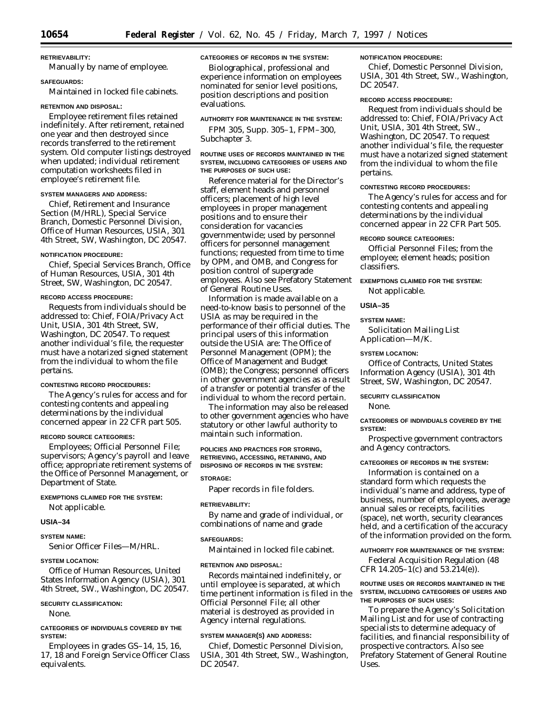# **RETRIEVABILITY:** Manually by name of employee.

# **SAFEGUARDS:**

Maintained in locked file cabinets.

### **RETENTION AND DISPOSAL:**

Employee retirement files retained indefinitely. After retirement, retained one year and then destroyed since records transferred to the retirement system. Old computer listings destroyed when updated; individual retirement computation worksheets filed in employee's retirement file.

### **SYSTEM MANAGERS AND ADDRESS:**

Chief, Retirement and Insurance Section (M/HRL), Special Service Branch, Domestic Personnel Division, Office of Human Resources, USIA, 301 4th Street, SW, Washington, DC 20547.

### **NOTIFICATION PROCEDURE:**

Chief, Special Services Branch, Office of Human Resources, USIA, 301 4th Street, SW, Washington, DC 20547.

### **RECORD ACCESS PROCEDURE:**

Requests from individuals should be addressed to: Chief, FOIA/Privacy Act Unit, USIA, 301 4th Street, SW, Washington, DC 20547. To request another individual's file, the requester must have a notarized signed statement from the individual to whom the file pertains.

### **CONTESTING RECORD PROCEDURES:**

The Agency's rules for access and for contesting contents and appealing determinations by the individual concerned appear in 22 CFR part 505.

#### **RECORD SOURCE CATEGORIES:**

Employees; Official Personnel File; supervisors; Agency's payroll and leave office; appropriate retirement systems of the Office of Personnel Management, or Department of State.

### **EXEMPTIONS CLAIMED FOR THE SYSTEM:**

Not applicable.

### **USIA–34**

### **SYSTEM NAME:**

Senior Officer Files—M/HRL.

# **SYSTEM LOCATION:**

Office of Human Resources, United States Information Agency (USIA), 301 4th Street, SW., Washington, DC 20547.

### **SECURITY CLASSIFICATION:**

None.

### **CATEGORIES OF INDIVIDUALS COVERED BY THE SYSTEM:**

Employees in grades GS–14, 15, 16, 17, 18 and Foreign Service Officer Class equivalents.

# **CATEGORIES OF RECORDS IN THE SYSTEM:**

Biolographical, professional and experience information on employees nominated for senior level positions, position descriptions and position evaluations.

### **AUTHORITY FOR MAINTENANCE IN THE SYSTEM:**

FPM 305, Supp. 305–1, FPM–300, Subchapter 3.

#### **ROUTINE USES OF RECORDS MAINTAINED IN THE SYSTEM, INCLUDING CATEGORIES OF USERS AND THE PURPOSES OF SUCH USE:**

Reference material for the Director's staff, element heads and personnel officers; placement of high level employees in proper management positions and to ensure their consideration for vacancies governmentwide; used by personnel officers for personnel management functions; requested from time to time by OPM, and OMB, and Congress for position control of supergrade employees. Also see Prefatory Statement of General Routine Uses.

Information is made available on a need-to-know basis to personnel of the USIA as may be required in the performance of their official duties. The principal users of this information outside the USIA are: The Office of Personnel Management (OPM); the Office of Management and Budget (OMB); the Congress; personnel officers in other government agencies as a result of a transfer or potential transfer of the individual to whom the record pertain.

The information may also be released to other government agencies who have statutory or other lawful authority to maintain such information.

# **POLICIES AND PRACTICES FOR STORING, RETRIEVING, ACCESSING, RETAINING, AND DISPOSING OF RECORDS IN THE SYSTEM:**

# **STORAGE:**

Paper records in file folders.

#### **RETRIEVABILITY:**

By name and grade of individual, or combinations of name and grade

#### **SAFEGUARDS:**

Maintained in locked file cabinet.

# **RETENTION AND DISPOSAL:**

Records maintained indefinitely, or until employee is separated, at which time pertinent information is filed in the Official Personnel File; all other material is destroyed as provided in Agency internal regulations.

#### **SYSTEM MANAGER(S) AND ADDRESS:**

Chief, Domestic Personnel Division, USIA, 301 4th Street, SW., Washington, DC 20547.

### **NOTIFICATION PROCEDURE:**

Chief, Domestic Personnel Division, USIA, 301 4th Street, SW., Washington, DC 20547.

# **RECORD ACCESS PROCEDURE:**

Request from individuals should be addressed to: Chief, FOIA/Privacy Act Unit, USIA, 301 4th Street, SW., Washington, DC 20547. To request another individual's file, the requester must have a notarized signed statement from the individual to whom the file pertains.

# **CONTESTING RECORD PROCEDURES:**

The Agency's rules for access and for contesting contents and appealing determinations by the individual concerned appear in 22 CFR Part 505.

# **RECORD SOURCE CATEGORIES:**

Official Personnel Files; from the employee; element heads; position classifiers.

# **EXEMPTIONS CLAIMED FOR THE SYSTEM:** Not applicable.

### **USIA–35**

#### **SYSTEM NAME:**

Solicitation Mailing List Application—M/K.

### **SYSTEM LOCATION:**

Office of Contracts, United States Information Agency (USIA), 301 4th Street, SW, Washington, DC 20547.

# **SECURITY CLASSIFICATION**

None.

### **CATEGORIES OF INDIVIDUALS COVERED BY THE SYSTEM:**

Prospective government contractors and Agency contractors.

### **CATEGORIES OF RECORDS IN THE SYSTEM:**

Information is contained on a standard form which requests the individual's name and address, type of business, number of employees, average annual sales or receipts, facilities (space), net worth, security clearances held, and a certification of the accuracy of the information provided on the form.

#### **AUTHORITY FOR MAINTENANCE OF THE SYSTEM:**

Federal Acquisition Regulation (48 CFR 14.205–1(c) and 53.214(e)).

### **ROUTINE USES OR RECORDS MAINTAINED IN THE SYSTEM, INCLUDING CATEGORIES OF USERS AND THE PURPOSES OF SUCH USES:**

To prepare the Agency's Solicitation Mailing List and for use of contracting specialists to determine adequacy of facilities, and financial responsibility of prospective contractors. Also see Prefatory Statement of General Routine Uses.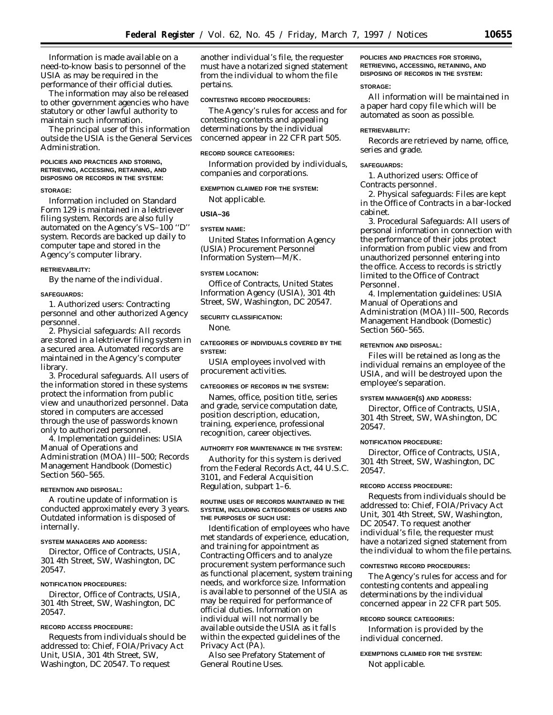Information is made available on a need-to-know basis to personnel of the USIA as may be required in the performance of their official duties.

The information may also be released to other government agencies who have statutory or other lawful authority to maintain such information.

The principal user of this information outside the USIA is the General Services Administration.

### **POLICIES AND PRACTICES AND STORING, RETRIEVING, ACCESSING, RETAINING, AND DISPOSING OR RECORDS IN THE SYSTEM:**

### **STORAGE:**

Information included on Standard Form 129 is maintained in a lektriever filing system. Records are also fully automated on the Agency's VS-100 "D" system. Records are backed up daily to computer tape and stored in the Agency's computer library.

# **RETRIEVABILITY:**

By the name of the individual.

### **SAFEGUARDS:**

1. *Authorized users:* Contracting personnel and other authorized Agency personnel.

2. *Physicial safeguards:* All records are stored in a lektriever filing system in a secured area. Automated records are maintained in the Agency's computer library.

3. *Procedural safeguards.* All users of the information stored in these systems protect the information from public view and unauthorized personnel. Data stored in computers are accessed through the use of passwords known only to authorized personnel.

4. *Implementation guidelines:* USIA Manual of Operations and Administration (MOA) III–500; Records Management Handbook (Domestic) Section 560–565.

# **RETENTION AND DISPOSAL:**

A routine update of information is conducted approximately every 3 years. Outdated information is disposed of internally.

### **SYSTEM MANAGERS AND ADDRESS:**

Director, Office of Contracts, USIA, 301 4th Street, SW, Washington, DC 20547.

#### **NOTIFICATION PROCEDURES:**

Director, Office of Contracts, USIA, 301 4th Street, SW, Washington, DC 20547.

#### **RECORD ACCESS PROCEDURE:**

Requests from individuals should be addressed to: Chief, FOIA/Privacy Act Unit, USIA, 301 4th Street, SW, Washington, DC 20547. To request

another individual's file, the requester must have a notarized signed statement from the individual to whom the file pertains.

### **CONTESTING RECORD PROCEDURES:**

The Agency's rules for access and for contesting contents and appealing determinations by the individual concerned appear in 22 CFR part 505.

### **RECORD SOURCE CATEGORIES:**

Information provided by individuals, companies and corporations.

### **EXEMPTION CLAIMED FOR THE SYSTEM:**

Not applicable.

# **USIA–36**

# **SYSTEM NAME:**

United States Information Agency (USIA) Procurement Personnel Information System—M/K.

#### **SYSTEM LOCATION:**

Office of Contracts, United States Information Agency (USIA), 301 4th Street, SW, Washington, DC 20547.

### **SECURITY CLASSIFICATION:**

None.

### **CATEGORIES OF INDIVIDUALS COVERED BY THE SYSTEM:**

USIA employees involved with procurement activities.

#### **CATEGORIES OF RECORDS IN THE SYSTEM:**

Names, office, position title, series and grade, service computation date, position description, education, training, experience, professional recognition, career objectives.

#### **AUTHORITY FOR MAINTENANCE IN THE SYSTEM:**

Authority for this system is derived from the Federal Records Act, 44 U.S.C. 3101, and Federal Acquisition Regulation, subpart 1–6.

### **ROUTINE USES OF RECORDS MAINTAINED IN THE SYSTEM, INCLUDING CATEGORIES OF USERS AND THE PURPOSES OF SUCH USE:**

Identification of employees who have met standards of experience, education, and training for appointment as Contracting Officers and to analyze procurement system performance such as functional placement, system training needs, and workforce size. Information is available to personnel of the USIA as may be required for performance of official duties. Information on individual will not normally be available outside the USIA as it falls within the expected guidelines of the Privacy Act (PA).

Also see Prefatory Statement of General Routine Uses.

# **POLICIES AND PRACTICES FOR STORING, RETRIEVING, ACCESSING, RETAINING, AND DISPOSING OF RECORDS IN THE SYSTEM:**

### **STORAGE:**

All information will be maintained in a paper hard copy file which will be automated as soon as possible.

#### **RETRIEVABILITY:**

Records are retrieved by name, office, series and grade.

### **SAFEGUARDS:**

1. *Authorized users:* Office of Contracts personnel.

2. *Physical safeguards:* Files are kept in the Office of Contracts in a bar-locked cabinet.

3. *Procedural Safeguards:* All users of personal information in connection with the performance of their jobs protect information from public view and from unauthorized personnel entering into the office. Access to records is strictly limited to the Office of Contract Personnel.

4. *Implementation guidelines:* USIA Manual of Operations and Administration (MOA) III–500, Records Management Handbook (Domestic) Section 560–565.

#### **RETENTION AND DISPOSAL:**

Files will be retained as long as the individual remains an employee of the USIA, and will be destroyed upon the employee's separation.

# **SYSTEM MANAGER(S) AND ADDRESS:**

Director, Office of Contracts, USIA, 301 4th Street, SW, WAshington, DC 20547.

### **NOTIFICATION PROCEDURE:**

Director, Office of Contracts, USIA, 301 4th Street, SW, Washington, DC 20547.

### **RECORD ACCESS PROCEDURE:**

Requests from individuals should be addressed to: Chief, FOIA/Privacy Act Unit, 301 4th Street, SW, Washington, DC 20547. To request another individual's file, the requester must have a notarized signed statement from the individual to whom the file pertains.

### **CONTESTING RECORD PROCEDURES:**

The Agency's rules for access and for contesting contents and appealing determinations by the individual concerned appear in 22 CFR part 505.

#### **RECORD SOURCE CATEGORIES:**

Information is provided by the individual concerned.

**EXEMPTIONS CLAIMED FOR THE SYSTEM:** Not applicable.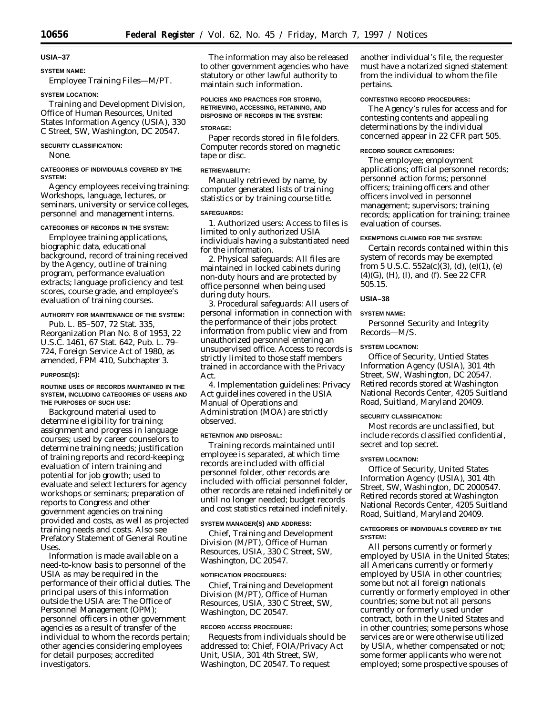# **USIA–37 SYSTEM NAME:**

Employee Training Files—M/PT.

### **SYSTEM LOCATION:**

Training and Development Division, Office of Human Resources, United States Information Agency (USIA), 330 C Street, SW, Washington, DC 20547.

### **SECURITY CLASSIFICATION:**

None.

### **CATEGORIES OF INDIVIDUALS COVERED BY THE SYSTEM:**

Agency employees receiving training: Workshops, language, lectures, or seminars, university or service colleges, personnel and management interns.

#### **CATEGORIES OF RECORDS IN THE SYSTEM:**

Employee training applications, biographic data, educational background, record of training received by the Agency, outline of training program, performance evaluation extracts; language proficiency and test scores, course grade, and employee's evaluation of training courses.

### **AUTHORITY FOR MAINTENANCE OF THE SYSTEM:**

Pub. L. 85–507, 72 Stat. 335, Reorganization Plan No. 8 of 1953, 22 U.S.C. 1461, 67 Stat. 642, Pub. L. 79– 724, Foreign Service Act of 1980, as amended, FPM 410, Subchapter 3.

#### **PURPOSE(S):**

#### **ROUTINE USES OF RECORDS MAINTAINED IN THE SYSTEM, INCLUDING CATEGORIES OF USERS AND THE PURPOSES OF SUCH USE:**

Background material used to determine eligibility for training; assignment and progress in language courses; used by career counselors to determine training needs; justification of training reports and record-keeping; evaluation of intern training and potential for job growth; used to evaluate and select lecturers for agency workshops or seminars; preparation of reports to Congress and other government agencies on training provided and costs, as well as projected training needs and costs. Also see Prefatory Statement of General Routine Uses.

Information is made available on a need-to-know basis to personnel of the USIA as may be required in the performance of their official duties. The principal users of this information outside the USIA are: The Office of Personnel Management (OPM); personnel officers in other government agencies as a result of transfer of the individual to whom the records pertain; other agencies considering employees for detail purposes; accredited investigators.

The information may also be released to other government agencies who have statutory or other lawful authority to maintain such information.

### **POLICIES AND PRACTICES FOR STORING, RETRIEVING, ACCESSING, RETAINING, AND DISPOSING OF RECORDS IN THE SYSTEM:**

#### **STORAGE:**

Paper records stored in file folders. Computer records stored on magnetic tape or disc.

#### **RETRIEVABILITY:**

Manually retrieved by name, by computer generated lists of training statistics or by training course title.

#### **SAFEGUARDS:**

1. *Authorized users:* Access to files is limited to only authorized USIA individuals having a substantiated need for the information.

2. *Physical safeguards:* All files are maintained in locked cabinets during non-duty hours and are protected by office personnel when being used during duty hours.

3. *Procedural safeguards:* All users of personal information in connection with the performance of their jobs protect information from public view and from unauthorized personnel entering an unsupervised office. Access to records is strictly limited to those staff members trained in accordance with the Privacy Act.

4. *Implementation guidelines:* Privacy Act guidelines covered in the USIA Manual of Operations and Administration (MOA) are strictly observed.

### **RETENTION AND DISPOSAL:**

Training records maintained until employee is separated, at which time records are included with official personnel folder, other records are included with official personnel folder, other records are retained indefinitely or until no longer needed; budget records and cost statistics retained indefinitely.

#### **SYSTEM MANAGER(S) AND ADDRESS:**

Chief, Training and Development Division (M/PT), Office of Human Resources, USIA, 330 C Street, SW, Washington, DC 20547.

#### **NOTIFICATION PROCEDURES:**

Chief, Training and Development Division (M/PT), Office of Human Resources, USIA, 330 C Street, SW, Washington, DC 20547.

### **RECORD ACCESS PROCEDURE:**

Requests from individuals should be addressed to: Chief, FOIA/Privacy Act Unit, USIA, 301 4th Street, SW, Washington, DC 20547. To request

another individual's file, the requester must have a notarized signed statement from the individual to whom the file pertains.

### **CONTESTING RECORD PROCEDURES:**

The Agency's rules for access and for contesting contents and appealing determinations by the individual concerned appear in 22 CFR part 505.

### **RECORD SOURCE CATEGORIES:**

The employee; employment applications; official personnel records; personnel action forms; personnel officers; training officers and other officers involved in personnel management; supervisors; training records; application for training; trainee evaluation of courses.

### **EXEMPTIONS CLAIMED FOR THE SYSTEM:**

Certain records contained within this system of records may be exempted from 5 U.S.C.  $552a(c)(3)$ , (d), (e)(1), (e) (4)(G), (H), (I), and (f). See 22 CFR 505.15.

### **USIA–38**

#### **SYSTEM NAME:**

Personnel Security and Integrity Records—M/S.

### **SYSTEM LOCATION:**

Office of Security, Untied States Information Agency (USIA), 301 4th Street, SW, Washington, DC 20547. Retired records stored at Washington National Records Center, 4205 Suitland Road, Suitland, Maryland 20409.

### **SECURITY CLASSIFICATION:**

Most records are unclassified, but include records classified confidential, secret and top secret.

#### **SYSTEM LOCATION:**

Office of Security, United States Information Agency (USIA), 301 4th Street, SW, Washington, DC 2000547. Retired records stored at Washington National Records Center, 4205 Suitland Road, Suitland, Maryland 20409.

### **CATEGORIES OF INDIVIDUALS COVERED BY THE SYSTEM:**

All persons currently or formerly employed by USIA in the United States; all Americans currently or formerly employed by USIA in other countries; some but not all foreign nationals currently or formerly employed in other countries; some but not all persons currently or formerly used under contract, both in the United States and in other countries; some persons whose services are or were otherwise utilized by USIA, whether compensated or not; some former applicants who were not employed; some prospective spouses of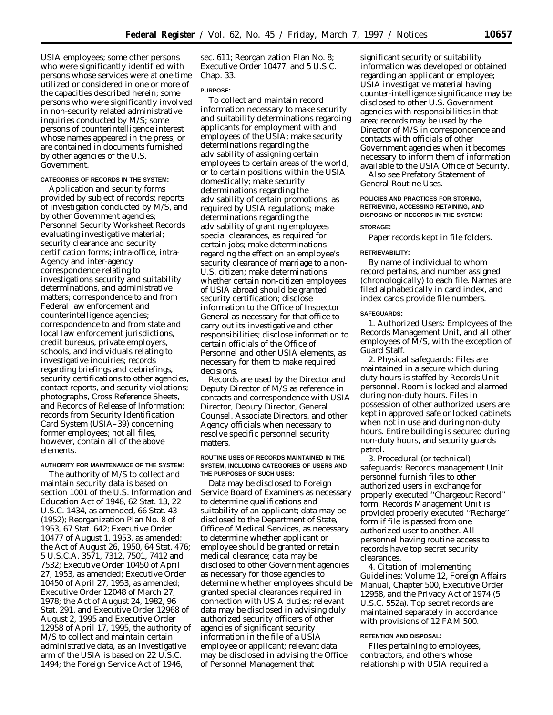USIA employees; some other persons who were significantly identified with persons whose services were at one time utilized or considered in one or more of the capacities described herein; some persons who were significantly involved in non-security related administrative inquiries conducted by M/S; some persons of counterintelligence interest whose names appeared in the press, or are contained in documents furnished by other agencies of the U.S. Government.

### **CATEGORIES OF RECORDS IN THE SYSTEM:**

Application and security forms provided by subject of records; reports of investigation conducted by M/S, and by other Government agencies; Personnel Security Worksheet Records evaluating investigative material; security clearance and security certification forms; intra-office, intra-Agency and inter-agency correspondence relating to investigations security and suitability determinations, and administrative matters; correspondence to and from Federal law enforcement and counterintelligence agencies; correspondence to and from state and local law enforcement jurisdictions, credit bureaus, private employers, schools, and individuals relating to investigative inquiries; records regarding briefings and debriefings, security certifications to other agencies, contact reports, and security violations; photographs, Cross Reference Sheets, and Records of Release of Information; records from Security Identification Card System (USIA–39) concerning former employees; not all files, however, contain all of the above elements.

#### **AUTHORITY FOR MAINTENANCE OF THE SYSTEM:**

The authority of M/S to collect and maintain security data is based on section 1001 of the U.S. Information and Education Act of 1948, 62 Stat. 13, 22 U.S.C. 1434, as amended, 66 Stat. 43 (1952); Reorganization Plan No. 8 of 1953, 67 Stat. 642; Executive Order 10477 of August 1, 1953, as amended; the Act of August 26, 1950, 64 Stat. 476; 5 U.S.C.A. 3571, 7312, 7501, 7412 and 7532; Executive Order 10450 of April 27, 1953, as amended; Executive Order 10450 of April 27, 1953, as amended; Executive Order 12048 of March 27, 1978; the Act of August 24, 1982, 96 Stat. 291, and Executive Order 12968 of August 2, 1995 and Executive Order 12958 of April 17, 1995, the authority of M/S to collect and maintain certain administrative data, as an investigative arm of the USIA is based on 22 U.S.C. 1494; the Foreign Service Act of 1946,

sec. 611; Reorganization Plan No. 8; Executive Order 10477, and 5 U.S.C. Chap. 33.

### **PURPOSE:**

To collect and maintain record information necessary to make security and suitability determinations regarding applicants for employment with and employees of the USIA; make security determinations regarding the advisability of assigning certain employees to certain areas of the world, or to certain positions within the USIA domestically; make security determinations regarding the advisability of certain promotions, as required by USIA regulations; make determinations regarding the advisability of granting employees special clearances, as required for certain jobs; make determinations regarding the effect on an employee's security clearance of marriage to a non-U.S. citizen; make determinations whether certain non-citizen employees of USIA abroad should be granted security certification; disclose information to the Office of Inspector General as necessary for that office to carry out its investigative and other responsibilities; disclose information to certain officials of the Office of Personnel and other USIA elements, as necessary for them to make required decisions.

Records are used by the Director and Deputy Director of M/S as reference in contacts and correspondence with USIA Director, Deputy Director, General Counsel, Associate Directors, and other Agency officials when necessary to resolve specific personnel security matters.

### **ROUTINE USES OF RECORDS MAINTAINED IN THE SYSTEM, INCLUDING CATEGORIES OF USERS AND THE PURPOSES OF SUCH USES:**

Data may be disclosed to Foreign Service Board of Examiners as necessary to determine qualifications and suitability of an applicant; data may be disclosed to the Department of State, Office of Medical Services, as necessary to determine whether applicant or employee should be granted or retain medical clearance; data may be disclosed to other Government agencies as necessary for those agencies to determine whether employees should be granted special clearances required in connection with USIA duties; relevant data may be disclosed in advising duly authorized security officers of other agencies of significant security information in the file of a USIA employee or applicant; relevant data may be disclosed in advising the Office of Personnel Management that

significant security or suitability information was developed or obtained regarding an applicant or employee; USIA investigative material having counter-intelligence significance may be disclosed to other U.S. Government agencies with responsibilities in that area; records may be used by the Director of M/S in correspondence and contacts with officials of other Government agencies when it becomes necessary to inform them of information available to the USIA Office of Security.

Also see Prefatory Statement of General Routine Uses.

# **POLICIES AND PRACTICES FOR STORING, RETRIEVING, ACCESSING RETAINING, AND DISPOSING OF RECORDS IN THE SYSTEM:**

### **STORAGE:**

Paper records kept in file folders.

### **RETRIEVABILITY:**

By name of individual to whom record pertains, and number assigned (chronologically) to each file. Names are filed alphabetically in card index, and index cards provide file numbers.

### **SAFEGUARDS:**

1. *Authorized Users:* Employees of the Records Management Unit, and all other employees of M/S, with the exception of Guard Staff.

2. *Physical safeguards:* Files are maintained in a secure which during duty hours is staffed by Records Unit personnel. Room is locked and alarmed during non-duty hours. Files in possession of other authorized users are kept in approved safe or locked cabinets when not in use and during non-duty hours. Entire building is secured during non-duty hours, and security guards patrol.

3. *Procedural (or technical) safeguards:* Records management Unit personnel furnish files to other authorized users in exchange for properly executed ''Chargeout Record'' form. Records Management Unit is provided properly executed ''Recharge'' form if file is passed from one authorized user to another. All personnel having routine access to records have top secret security clearances.

4. *Citation of Implementing Guidelines:* Volume 12, Foreign Affairs Manual, Chapter 500, Executive Order 12958, and the Privacy Act of 1974 (5 U.S.C. 552a). Top secret records are maintained separately in accordance with provisions of 12 FAM 500.

#### **RETENTION AND DISPOSAL:**

Files pertaining to employees, contractors, and others whose relationship with USIA required a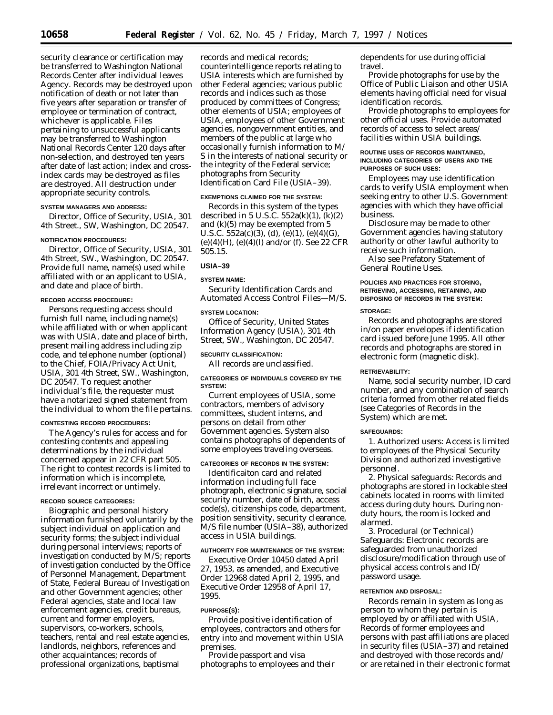security clearance or certification may be transferred to Washington National Records Center after individual leaves Agency. Records may be destroyed upon notification of death or not later than five years after separation or transfer of employee or termination of contract, whichever is applicable. Files pertaining to unsuccessful applicants may be transferred to Washington National Records Center 120 days after non-selection, and destroyed ten years after date of last action; index and crossindex cards may be destroyed as files are destroyed. All destruction under appropriate security controls.

## **SYSTEM MANAGERS AND ADDRESS:**

Director, Office of Security, USIA, 301 4th Street., SW, Washington, DC 20547.

#### **NOTIFICATION PROCEDURES:**

Director, Office of Security, USIA, 301 4th Street, SW., Washington, DC 20547. Provide full name, name(s) used while affiliated with or an applicant to USIA, and date and place of birth.

#### **RECORD ACCESS PROCEDURE:**

Persons requesting access should furnish full name, including name(s) while affiliated with or when applicant was with USIA, date and place of birth, present mailing address including zip code, and telephone number (optional) to the Chief, FOIA/Privacy Act Unit, USIA, 301 4th Street, SW., Washington, DC 20547. To request another individual's file, the requester must have a notarized signed statement from the individual to whom the file pertains.

#### **CONTESTING RECORD PROCEDURES:**

The Agency's rules for access and for contesting contents and appealing determinations by the individual concerned appear in 22 CFR part 505. The right to contest records is limited to information which is incomplete, irrelevant incorrect or untimely.

# **RECORD SOURCE CATEGORIES:**

Biographic and personal history information furnished voluntarily by the subject individual on application and security forms; the subject individual during personal interviews; reports of investigation conducted by M/S; reports of investigation conducted by the Office of Personnel Management, Department of State, Federal Bureau of Investigation and other Government agencies; other Federal agencies, state and local law enforcement agencies, credit bureaus, current and former employers, supervisors, co-workers, schools, teachers, rental and real estate agencies, landlords, neighbors, references and other acquaintances; records of professional organizations, baptismal

records and medical records; counterintelligence reports relating to USIA interests which are furnished by other Federal agencies; various public records and indices such as those produced by committees of Congress; other elements of USIA; employees of USIA, employees of other Government agencies, nongovernment entities, and members of the public at large who occasionally furnish information to M/ S in the interests of national security or the integrity of the Federal service; photographs from Security Identification Card File (USIA–39).

### **EXEMPTIONS CLAIMED FOR THE SYSTEM:**

Records in this system of the types described in 5 U.S.C.  $552a(k)(1)$ ,  $(k)(2)$ and (k)(5) may be exempted from 5 U.S.C.  $552a(c)(3)$ , (d), (e)(1), (e)(4)(G)  $(e)(4)(H)$ ,  $(e)(4)(I)$  and/or (f). See 22 CFR 505.15.

### **USIA–39**

#### **SYSTEM NAME:**

Security Identification Cards and Automated Access Control Files—M/S.

### **SYSTEM LOCATION:**

Office of Security, United States Information Agency (USIA), 301 4th Street, SW., Washington, DC 20547.

#### **SECURITY CLASSIFICATION:**

All records are unclassified.

### **CATEGORIES OF INDIVIDUALS COVERED BY THE SYSTEM:**

Current employees of USIA, some contractors, members of advisory committees, student interns, and persons on detail from other Government agencies. System also contains photographs of dependents of some employees traveling overseas.

### **CATEGORIES OF RECORDS IN THE SYSTEM:**

Identificaiton card and related information including full face photograph, electronic signature, social security number, date of birth, access code(s), citizenships code, department, position sensitivity, security clearance, M/S file number (USIA–38), authorized access in USIA buildings.

### **AUTHORITY FOR MAINTENANCE OF THE SYSTEM:**

Executive Order 10450 dated April 27, 1953, as amended, and Executive Order 12968 dated April 2, 1995, and Executive Order 12958 of April 17, 1995.

### **PURPOSE(S):**

Provide positive identification of employees, contractors and others for entry into and movement within USIA premises.

Provide passport and visa photographs to employees and their dependents for use during official travel.

Provide photographs for use by the Office of Public Liaison and other USIA elements having official need for visual identification records.

Provide photographs to employees for other official uses. Provide automated records of access to select areas/ facilities within USIA buildings.

### **ROUTINE USES OF RECORDS MAINTAINED, INCLUDING CATEGORIES OF USERS AND THE PURPOSES OF SUCH USES:**

Employees may use identification cards to verify USIA employment when seeking entry to other U.S. Government agencies with which they have official business.

Disclosure may be made to other Government agencies having statutory authority or other lawful authority to receive such information.

Also see Prefatory Statement of General Routine Uses.

# **POLICIES AND PRACTICES FOR STORING, RETRIEVING, ACCESSING, RETAINING, AND DISPOSING OF RECORDS IN THE SYSTEM:**

#### **STORAGE:**

Records and photographs are stored in/on paper envelopes if identification card issued before June 1995. All other records and photographs are stored in electronic form (magnetic disk).

# **RETRIEVABILITY:**

Name, social security number, ID card number, and any combination of search criteria formed from other related fields (see Categories of Records in the System) which are met.

### **SAFEGUARDS:**

1. *Authorized users:* Access is limited to employees of the Physical Security Division and authorized investigative personnel.

2. *Physical safeguards:* Records and photographs are stored in lockable steel cabinets located in rooms with limited access during duty hours. During nonduty hours, the room is locked and alarmed.

3. *Procedural (or Technical) Safeguards:* Electronic records are safeguarded from unauthorized disclosure/modification through use of physical access controls and ID/ password usage.

### **RETENTION AND DISPOSAL:**

Records remain in system as long as person to whom they pertain is employed by or affiliated with USIA, Records of former employees and persons with past affiliations are placed in security files (USIA–37) and retained and destroyed with those records and/ or are retained in their electronic format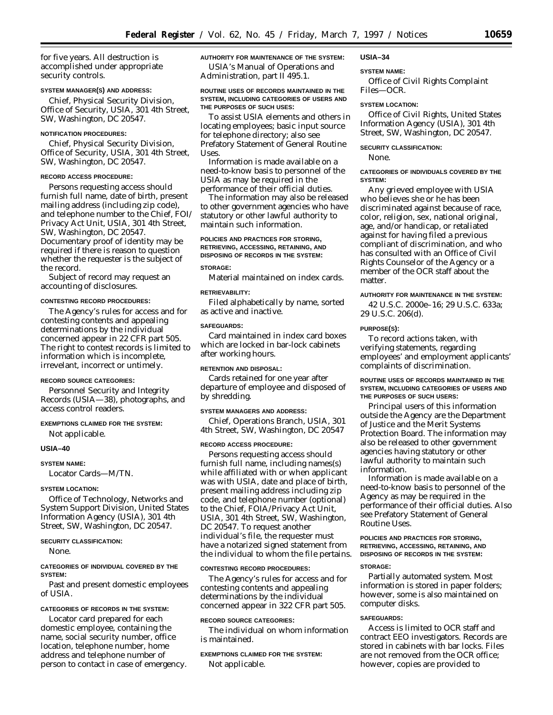for five years. All destruction is accomplished under appropriate security controls.

#### **SYSTEM MANAGER(S) AND ADDRESS:**

Chief, Physical Security Division, Office of Security, USIA, 301 4th Street, SW, Washington, DC 20547.

# **NOTIFICATION PROCEDURES:**

Chief, Physical Security Division, Office of Security, USIA, 301 4th Street, SW, Washington, DC 20547.

### **RECORD ACCESS PROCEDURE:**

Persons requesting access should furnish full name, date of birth, present mailing address (including zip code), and telephone number to the Chief, FOI/ Privacy Act Unit, USIA, 301 4th Street, SW, Washington, DC 20547. Documentary proof of identity may be required if there is reason to question whether the requester is the subject of the record.

Subject of record may request an accounting of disclosures.

#### **CONTESTING RECORD PROCEDURES:**

The Agency's rules for access and for contesting contents and appealing determinations by the individual concerned appear in 22 CFR part 505. The right to contest records is limited to information which is incomplete, irrevelant, incorrect or untimely.

### **RECORD SOURCE CATEGORIES:**

Personnel Security and Integrity Records (USIA—38), photographs, and access control readers.

#### **EXEMPTIONS CLAIMED FOR THE SYSTEM:**

Not applicable.

#### **USIA–40**

**SYSTEM NAME:**

Locator Cards—M/TN.

#### **SYSTEM LOCATION:**

Office of Technology, Networks and System Support Division, United States Information Agency (USIA), 301 4th Street, SW, Washington, DC 20547.

### **SECURITY CLASSIFICATION:**

None.

## **CATEGORIES OF INDIVIDUAL COVERED BY THE SYSTEM:**

Past and present domestic employees of USIA.

### **CATEGORIES OF RECORDS IN THE SYSTEM:**

Locator card prepared for each domestic employee, containing the name, social security number, office location, telephone number, home address and telephone number of person to contact in case of emergency.

# **AUTHORITY FOR MAINTENANCE OF THE SYSTEM:**

USIA's Manual of Operations and Administration, part II 495.1.

### **ROUTINE USES OF RECORDS MAINTAINED IN THE SYSTEM, INCLUDING CATEGORIES OF USERS AND THE PURPOSES OF SUCH USES:**

To assist USIA elements and others in locating employees; basic input source for telephone directory; also see Prefatory Statement of General Routine Uses.

Information is made available on a need-to-know basis to personnel of the USIA as may be required in the performance of their official duties.

The information may also be released to other government agencies who have statutory or other lawful authority to maintain such information.

### **POLICIES AND PRACTICES FOR STORING, RETRIEVING, ACCESSING, RETAINING, AND DISPOSING OF RECORDS IN THE SYSTEM:**

### **STORAGE:**

Material maintained on index cards.

#### **RETRIEVABILITY:**

Filed alphabetically by name, sorted as active and inactive.

# **SAFEGUARDS:**

Card maintained in index card boxes which are locked in bar-lock cabinets after working hours.

#### **RETENTION AND DISPOSAL:**

Cards retained for one year after departure of employee and disposed of by shredding.

#### **SYSTEM MANAGERS AND ADDRESS:**

Chief, Operations Branch, USIA, 301 4th Street, SW, Washington, DC 20547

#### **RECORD ACCESS PROCEDURE:**

Persons requesting access should furnish full name, including names(s) while affiliated with or when applicant was with USIA, date and place of birth, present mailing address including zip code, and telephone number (optional) to the Chief, FOIA/Privacy Act Unit, USIA, 301 4th Street, SW, Washington, DC 20547. To request another individual's file, the requester must have a notarized signed statement from the individual to whom the file pertains.

#### **CONTESTING RECORD PROCEDURES:**

The Agency's rules for access and for contesting contents and appealing determinations by the individual concerned appear in 322 CFR part 505.

### **RECORD SOURCE CATEGORIES:**

The individual on whom information is maintained.

# **EXEMPTIONS CLAIMED FOR THE SYSTEM:** Not applicable.

# **USIA–34**

#### **SYSTEM NAME:**

Office of Civil Rights Complaint Files—OCR.

## **SYSTEM LOCATION:**

Office of Civil Rights, United States Information Agency (USIA), 301 4th Street, SW, Washington, DC 20547.

#### **SECURITY CLASSIFICATION:**

None.

### **CATEGORIES OF INDIVIDUALS COVERED BY THE SYSTEM:**

Any grieved employee with USIA who believes she or he has been discriminated against because of race, color, religion, sex, national original, age, and/or handicap, or retaliated against for having filed a previous compliant of discrimination, and who has consulted with an Office of Civil Rights Counselor of the Agency or a member of the OCR staff about the matter.

#### **AUTHORITY FOR MAINTENANCE IN THE SYSTEM:**

42 U.S.C. 2000e–16; 29 U.S.C. 633a; 29 U.S.C. 206(d).

# **PURPOSE(S):**

To record actions taken, with verifying statements, regarding employees' and employment applicants' complaints of discrimination.

#### **ROUTINE USES OF RECORDS MAINTAINED IN THE SYSTEM, INCLUDING CATEGORIES OF USERS AND THE PURPOSES OF SUCH USERS:**

Principal users of this information outside the Agency are the Department of Justice and the Merit Systems Protection Board. The information may also be released to other government agencies having statutory or other lawful authority to maintain such information.

Information is made available on a need-to-know basis to personnel of the Agency as may be required in the performance of their official duties. Also see Prefatory Statement of General Routine Uses.

#### **POLICIES AND PRACTICES FOR STORING, RETRIEVING, ACCESSING, RETAINING, AND DISPOSING OF RECORDS IN THE SYSTEM:**

# **STORAGE:**

Partially automated system. Most information is stored in paper folders; however, some is also maintained on computer disks.

### **SAFEGUARDS:**

Access is limited to OCR staff and contract EEO investigators. Records are stored in cabinets with bar locks. Files are not removed from the OCR office; however, copies are provided to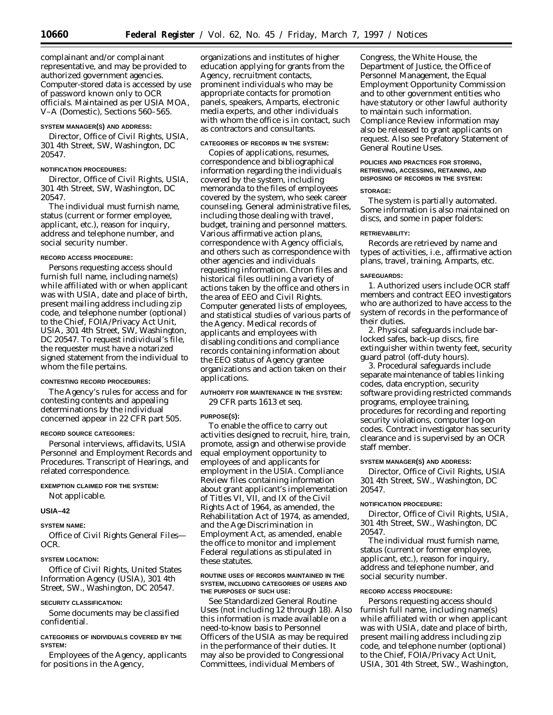complainant and/or complainant representative, and may be provided to authorized government agencies. Computer-stored data is accessed by use of password known only to OCR officials. Maintained as per USIA MOA, V–A (Domestic), Sections 560–565.

### **SYSTEM MANAGER(S) AND ADDRESS:**

Director, Office of Civil Rights, USIA, 301 4th Street, SW, Washington, DC 20547.

### **NOTIFICATION PROCEDURES:**

Director, Office of Civil Rights, USIA, 301 4th Street, SW, Washington, DC 20547.

The individual must furnish name, status (current or former employee, applicant, etc.), reason for inquiry, address and telephone number, and social security number.

#### **RECORD ACCESS PROCEDURE:**

Persons requesting access should furnish full name, including name(s) while affiliated with or when applicant was with USIA, date and place of birth, present mailing address including zip code, and telephone number (optional) to the Chief, FOIA/Privacy Act Unit, USIA, 301 4th Street, SW, Washington, DC 20547. To request individual's file, the requester must have a notarized signed statement from the individual to whom the file pertains.

### **CONTESTING RECORD PROCEDURES:**

The Agency's rules for access and for contesting contents and appealing determinations by the individual concerned appear in 22 CFR part 505.

#### **RECORD SOURCE CATEGORIES:**

Personal interviews, affidavits, USIA Personnel and Employment Records and Procedures. Transcript of Hearings, and related correspondence.

# **EXEMPTION CLAIMED FOR THE SYSTEM:**

Not applicable.

#### **USIA–42**

### **SYSTEM NAME:**

Office of Civil Rights General Files— OCR.

## **SYSTEM LOCATION:**

Office of Civil Rights, United States Information Agency (USIA), 301 4th Street, SW., Washington, DC 20547.

#### **SECURITY CLASSIFICATION:**

Some documents may be classified confidential.

### **CATEGORIES OF INDIVIDUALS COVERED BY THE SYSTEM:**

Employees of the Agency, applicants for positions in the Agency,

organizations and institutes of higher education applying for grants from the Agency, recruitment contacts, prominent individuals who may be appropriate contacts for promotion panels, speakers, Amparts, electronic media experts, and other individuals with whom the office is in contact, such as contractors and consultants.

# **CATEGORIES OF RECORDS IN THE SYSTEM:**

Copies of applications, resumes, correspondence and bibliographical information regarding the individuals covered by the system, including memoranda to the files of employees covered by the system, who seek career counseling. General administrative files, including those dealing with travel, budget, training and personnel matters. Various affirmative action plans, correspondence with Agency officials, and others such as correspondence with other agencies and individuals requesting information. Chron files and historical files outlining a variety of actions taken by the office and others in the area of EEO and Civil Rights. Computer generated lists of employees, and statistical studies of various parts of the Agency. Medical records of applicants and employees with disabling conditions and compliance records containing information about the EEO status of Agency grantee organizations and action taken on their applications.

# **AUTHORITY FOR MAINTENANCE IN THE SYSTEM:**

29 CFR parts 1613 et seq.

### **PURPOSE(S):**

To enable the office to carry out activities designed to recruit, hire, train, promote, assign and otherwise provide equal employment opportunity to employees of and applicants for employment in the USIA. Compliance Review files containing information about grant applicant's implementation of Titles VI, VII, and IX of the Civil Rights Act of 1964, as amended, the Rehabilitation Act of 1974, as amended, and the Age Discrimination in Employment Act, as amended, enable the office to monitor and implement Federal regulations as stipulated in these statutes.

### **ROUTINE USES OF RECORDS MAINTAINED IN THE SYSTEM, INCLUDING CATEGORIES OF USERS AND THE PURPOSES OF SUCH USE:**

See Standardized General Routine Uses (not including 12 through 18). Also this information is made available on a need-to-know basis to Personnel Officers of the USIA as may be required in the performance of their duties. It may also be provided to Congressional Committees, individual Members of

Congress, the White House, the Department of Justice, the Office of Personnel Management, the Equal Employment Opportunity Commission and to other government entities who have statutory or other lawful authority to maintain such information. Compliance Review information may also be released to grant applicants on request. Also see Prefatory Statement of General Routine Uses.

# **POLICIES AND PRACTICES FOR STORING, RETRIEVING, ACCESSING, RETAINING, AND DISPOSING OF RECORDS IN THE SYSTEM:**

### **STORAGE:**

The system is partially automated. Some information is also maintained on discs, and some in paper folders:

### **RETRIEVABILITY:**

Records are retrieved by name and types of activities, i.e., affirmative action plans, travel, training, Amparts, etc.

#### **SAFEGUARDS:**

1. Authorized users include OCR staff members and contract EEO investigators who are authorized to have access to the system of records in the performance of their duties.

2. Physical safeguards include barlocked safes, back-up discs, fire extinguisher within twenty feet, security guard patrol (off-duty hours).

3. Procedural safeguards include separate maintenance of tables linking codes, data encryption, security software providing restricted commands programs, employee training, procedures for recording and reporting security violations, computer log-on codes. Contract investigator has security clearance and is supervised by an OCR staff member.

### **SYSTEM MANAGER(S) AND ADDRESS:**

Director, Office of Civil Rights, USIA 301 4th Street, SW., Washington, DC 20547.

### **NOTIFICATION PROCEDURE:**

Director, Office of Civil Rights, USIA, 301 4th Street, SW., Washington, DC 20547.

The individual must furnish name, status (current or former employee, applicant, etc.), reason for inquiry, address and telephone number, and social security number.

### **RECORD ACCESS PROCEDURE:**

Persons requesting access should furnish full name, including name(s) while affiliated with or when applicant was with USIA, date and place of birth, present mailing address including zip code, and telephone number (optional) to the Chief, FOIA/Privacy Act Unit, USIA, 301 4th Street, SW., Washington,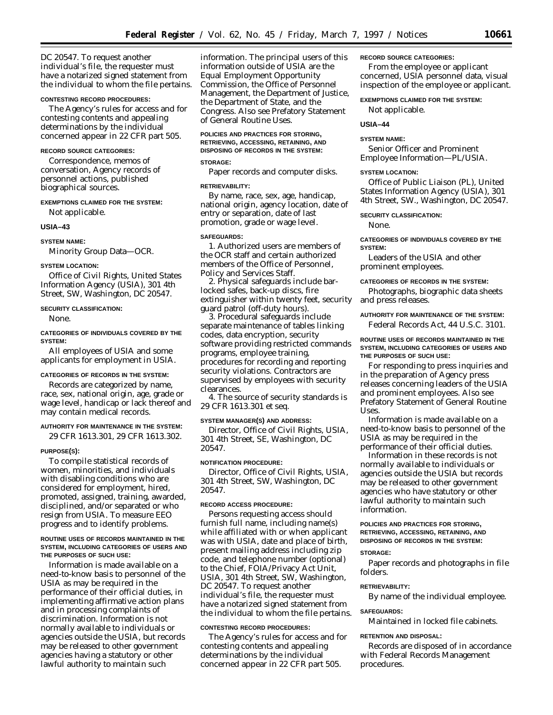DC 20547. To request another individual's file, the requester must have a notarized signed statement from the individual to whom the file pertains.

#### **CONTESTING RECORD PROCEDURES:**

The Agency's rules for access and for contesting contents and appealing determinations by the individual concerned appear in 22 CFR part 505.

### **RECORD SOURCE CATEGORIES:**

Correspondence, memos of conversation, Agency records of personnel actions, published biographical sources.

### **EXEMPTIONS CLAIMED FOR THE SYSTEM:**

Not applicable.

#### **USIA–43**

**SYSTEM NAME:**

Minority Group Data—OCR.

#### **SYSTEM LOCATION:**

Office of Civil Rights, United States Information Agency (USIA), 301 4th Street, SW, Washington, DC 20547.

### **SECURITY CLASSIFICATION:**

None.

### **CATEGORIES OF INDIVIDUALS COVERED BY THE SYSTEM:**

All employees of USIA and some applicants for employment in USIA.

#### **CATEGORIES OF RECORDS IN THE SYSTEM:**

Records are categorized by name, race, sex, national origin, age, grade or wage level, handicap or lack thereof and may contain medical records.

#### **AUTHORITY FOR MAINTENANCE IN THE SYSTEM:**

29 CFR 1613.301, 29 CFR 1613.302.

#### **PURPOSE(S):**

To compile statistical records of women, minorities, and individuals with disabling conditions who are considered for employment, hired, promoted, assigned, training, awarded, disciplined, and/or separated or who resign from USIA. To measure EEO progress and to identify problems.

#### **ROUTINE USES OF RECORDS MAINTAINED IN THE SYSTEM, INCLUDING CATEGORIES OF USERS AND THE PURPOSES OF SUCH USE:**

Information is made available on a need-to-know basis to personnel of the USIA as may be required in the performance of their official duties, in implementing affirmative action plans and in processing complaints of discrimination. Information is not normally available to individuals or agencies outside the USIA, but records may be released to other government agencies having a statutory or other lawful authority to maintain such

information. The principal users of this information outside of USIA are the Equal Employment Opportunity Commission, the Office of Personnel Management, the Department of Justice, the Department of State, and the Congress. Also see Prefatory Statement of General Routine Uses.

### **POLICIES AND PRACTICES FOR STORING, RETRIEVING, ACCESSING, RETAINING, AND DISPOSING OF RECORDS IN THE SYSTEM:**

# **STORAGE:**

Paper records and computer disks.

#### **RETRIEVABILITY:**

By name, race, sex, age, handicap, national origin, agency location, date of entry or separation, date of last promotion, grade or wage level.

# **SAFEGUARDS:**

1. Authorized users are members of the OCR staff and certain authorized members of the Office of Personnel, Policy and Services Staff.

2. Physical safeguards include barlocked safes, back-up discs, fire extinguisher within twenty feet, security guard patrol (off-duty hours).

3. Procedural safeguards include separate maintenance of tables linking codes, data encryption, security software providing restricted commands programs, employee training, procedures for recording and reporting security violations. Contractors are supervised by employees with security clearances.

4. The source of security standards is 29 CFR 1613.301 et seq.

#### **SYSTEM MANAGER(S) AND ADDRESS:**

Director, Office of Civil Rights, USIA, 301 4th Street, SE, Washington, DC 20547.

### **NOTIFICATION PROCEDURE:**

Director, Office of Civil Rights, USIA, 301 4th Street, SW, Washington, DC 20547.

# **RECORD ACCESS PROCEDURE:**

Persons requesting access should furnish full name, including name(s) while affiliated with or when applicant was with USIA, date and place of birth, present mailing address including zip code, and telephone number (optional) to the Chief, FOIA/Privacy Act Unit, USIA, 301 4th Street, SW, Washington, DC 20547. To request another individual's file, the requester must have a notarized signed statement from the individual to whom the file pertains.

### **CONTESTING RECORD PROCEDURES:**

The Agency's rules for access and for contesting contents and appealing determinations by the individual concerned appear in 22 CFR part 505.

### **RECORD SOURCE CATEGORIES:**

From the employee or applicant concerned, USIA personnel data, visual inspection of the employee or applicant.

**EXEMPTIONS CLAIMED FOR THE SYSTEM:** Not applicable.

# **USIA–44**

#### **SYSTEM NAME:**

Senior Officer and Prominent Employee Information—PL/USIA.

#### **SYSTEM LOCATION:**

Office of Public Liaison (PL), United States Information Agency (USIA), 301 4th Street, SW., Washington, DC 20547.

#### **SECURITY CLASSIFICATION:**

None.

**CATEGORIES OF INDIVIDUALS COVERED BY THE SYSTEM:**

Leaders of the USIA and other prominent employees.

### **CATEGORIES OF RECORDS IN THE SYSTEM:**

Photographs, biographic data sheets and press releases.

# **AUTHORITY FOR MAINTENANCE OF THE SYSTEM:** Federal Records Act, 44 U.S.C. 3101.

### **ROUTINE USES OF RECORDS MAINTAINED IN THE SYSTEM, INCLUDING CATEGORIES OF USERS AND THE PURPOSES OF SUCH USE:**

For responding to press inquiries and in the preparation of Agency press releases concerning leaders of the USIA and prominent employees. Also see Prefatory Statement of General Routine Uses.

Information is made available on a need-to-know basis to personnel of the USIA as may be required in the performance of their official duties.

Information in these records is not normally available to individuals or agencies outside the USIA but records may be released to other government agencies who have statutory or other lawful authority to maintain such information.

### **POLICIES AND PRACTICES FOR STORING, RETRIEVING, ACCESSING, RETAINING, AND DISPOSING OF RECORDS IN THE SYSTEM:**

#### **STORAGE:**

Paper records and photographs in file folders.

#### **RETRIEVABILITY:**

By name of the individual employee.

#### **SAFEGUARDS:**

Maintained in locked file cabinets.

#### **RETENTION AND DISPOSAL:**

Records are disposed of in accordance with Federal Records Management procedures.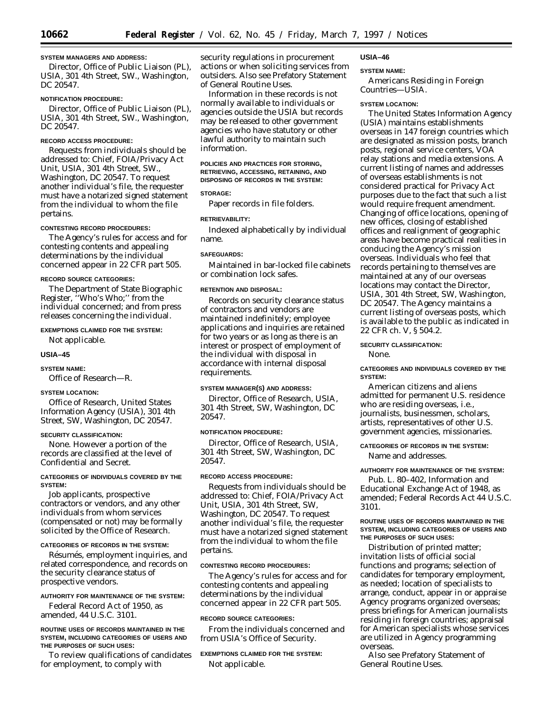### **SYSTEM MANAGERS AND ADDRESS:**

Director, Office of Public Liaison (PL), USIA, 301 4th Street, SW., Washington, DC 20547.

## **NOTIFICATION PROCEDURE:**

Director, Office of Public Liaison (PL), USIA, 301 4th Street, SW., Washington, DC 20547.

## **RECORD ACCESS PROCEDURE:**

Requests from individuals should be addressed to: Chief, FOIA/Privacy Act Unit, USIA, 301 4th Street, SW., Washington, DC 20547. To request another individual's file, the requester must have a notarized signed statement from the individual to whom the file pertains.

### **CONTESTING RECORD PROCEDURES:**

The Agency's rules for access and for contesting contents and appealing determinations by the individual concerned appear in 22 CFR part 505.

### **RECORD SOURCE CATEGORIES:**

The Department of State Biographic Register, ''Who's Who;'' from the individual concerned; and from press releases concerning the individual.

# **EXEMPTIONS CLAIMED FOR THE SYSTEM:**

Not applicable.

# **USIA–45**

**SYSTEM NAME:**

Office of Research—R.

# **SYSTEM LOCATION:**

Office of Research, United States Information Agency (USIA), 301 4th Street, SW, Washington, DC 20547.

#### **SECURITY CLASSIFICATION:**

None. However a portion of the records are classified at the level of Confidential and Secret.

### **CATEGORIES OF INDIVIDUALS COVERED BY THE SYSTEM:**

Job applicants, prospective contractors or vendors, and any other individuals from whom services (compensated or not) may be formally solicited by the Office of Research.

# **CATEGORIES OF RECORDS IN THE SYSTEM:**

Résumés, employment inquiries, and related correspondence, and records on the security clearance status of prospective vendors.

# **AUTHORITY FOR MAINTENANCE OF THE SYSTEM:**

Federal Record Act of 1950, as amended, 44 U.S.C. 3101.

#### **ROUTINE USES OF RECORDS MAINTAINED IN THE SYSTEM, INCLUDING CATEGORIES OF USERS AND THE PURPOSES OF SUCH USES:**

To review qualifications of candidates for employment, to comply with

security regulations in procurement actions or when soliciting services from outsiders. Also see Prefatory Statement of General Routine Uses.

Information in these records is not normally available to individuals or agencies outside the USIA but records may be released to other government agencies who have statutory or other lawful authority to maintain such information.

### **POLICIES AND PRACTICES FOR STORING, RETRIEVING, ACCESSING, RETAINING, AND DISPOSING OF RECORDS IN THE SYSTEM:**

# **STORAGE:**

Paper records in file folders.

### **RETRIEVABILITY:**

Indexed alphabetically by individual name.

### **SAFEGUARDS:**

Maintained in bar-locked file cabinets or combination lock safes.

### **RETENTION AND DISPOSAL:**

Records on security clearance status of contractors and vendors are maintained indefinitely; employee applications and inquiries are retained for two years or as long as there is an interest or prospect of employment of the individual with disposal in accordance with internal disposal requirements.

### **SYSTEM MANAGER(S) AND ADDRESS:**

Director, Office of Research, USIA, 301 4th Street, SW, Washington, DC 20547.

### **NOTIFICATION PROCEDURE:**

Director, Office of Research, USIA, 301 4th Street, SW, Washington, DC 20547.

### **RECORD ACCESS PROCEDURE:**

Requests from individuals should be addressed to: Chief, FOIA/Privacy Act Unit, USIA, 301 4th Street, SW, Washington, DC 20547. To request another individual's file, the requester must have a notarized signed statement from the individual to whom the file pertains.

# **CONTESTING RECORD PROCEDURES:**

The Agency's rules for access and for contesting contents and appealing determinations by the individual concerned appear in 22 CFR part 505.

#### **RECORD SOURCE CATEGORIES:**

From the individuals concerned and from USIA's Office of Security.

# **EXEMPTIONS CLAIMED FOR THE SYSTEM:** Not applicable.

### **USIA–46**

#### **SYSTEM NAME:**

Americans Residing in Foreign Countries—USIA.

### **SYSTEM LOCATION:**

The United States Information Agency (USIA) maintains establishments overseas in 147 foreign countries which are designated as mission posts, branch posts, regional service centers, VOA relay stations and media extensions. A current listing of names and addresses of overseas establishments is not considered practical for Privacy Act purposes due to the fact that such a list would require frequent amendment. Changing of office locations, opening of new offices, closing of established offices and realignment of geographic areas have become practical realities in conducing the Agency's mission overseas. Individuals who feel that records pertaining to themselves are maintained at any of our overseas locations may contact the Director, USIA, 301 4th Street, SW, Washington, DC 20547. The Agency maintains a current listing of overseas posts, which is available to the public as indicated in 22 CFR ch. V, § 504.2.

#### **SECURITY CLASSIFICATION:**

None.

### **CATEGORIES AND INDIVIDUALS COVERED BY THE SYSTEM:**

American citizens and aliens admitted for permanent U.S. residence who are residing overseas, i.e., journalists, businessmen, scholars, artists, representatives of other U.S. government agencies, missionaries.

# **CATEGORIES OF RECORDS IN THE SYSTEM:**

Name and addresses.

## **AUTHORITY FOR MAINTENANCE OF THE SYSTEM:**

Pub. L. 80–402, Information and Educational Exchange Act of 1948, as amended; Federal Records Act 44 U.S.C. 3101.

### **ROUTINE USES OF RECORDS MAINTAINED IN THE SYSTEM, INCLUDING CATEGORIES OF USERS AND THE PURPOSES OF SUCH USES:**

Distribution of printed matter; invitation lists of official social functions and programs; selection of candidates for temporary employment, as needed; location of specialists to arrange, conduct, appear in or appraise Agency programs organized overseas; press briefings for American journalists residing in foreign countries; appraisal for American specialists whose services are utilized in Agency programming overseas.

Also see Prefatory Statement of General Routine Uses.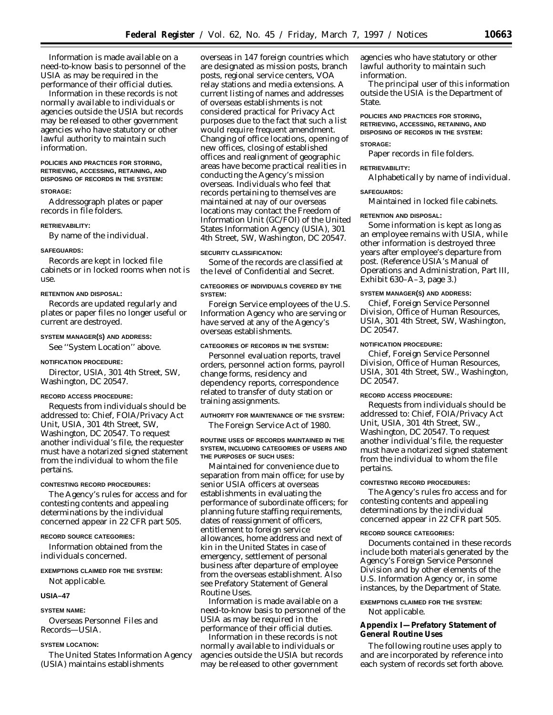Information is made available on a need-to-know basis to personnel of the USIA as may be required in the performance of their official duties.

Information in these records is not normally available to individuals or agencies outside the USIA but records may be released to other government agencies who have statutory or other lawful authority to maintain such information.

#### **POLICIES AND PRACTICES FOR STORING, RETRIEVING, ACCESSING, RETAINING, AND DISPOSING OF RECORDS IN THE SYSTEM:**

### **STORAGE:**

Addressograph plates or paper records in file folders.

#### **RETRIEVABILITY:**

By name of the individual.

#### **SAFEGUARDS:**

Records are kept in locked file cabinets or in locked rooms when not is use.

# **RETENTION AND DISPOSAL:**

Records are updated regularly and plates or paper files no longer useful or current are destroyed.

#### **SYSTEM MANAGER(S) AND ADDRESS:**

See ''System Location'' above.

### **NOTIFICATION PROCEDURE:**

Director, USIA, 301 4th Street, SW, Washington, DC 20547.

### **RECORD ACCESS PROCEDURE:**

Requests from individuals should be addressed to: Chief, FOIA/Privacy Act Unit, USIA, 301 4th Street, SW, Washington, DC 20547. To request another individual's file, the requester must have a notarized signed statement from the individual to whom the file pertains.

#### **CONTESTING RECORD PROCEDURES:**

The Agency's rules for access and for contesting contents and appealing determinations by the individual concerned appear in 22 CFR part 505.

### **RECORD SOURCE CATEGORIES:**

Information obtained from the individuals concerned.

# **EXEMPTIONS CLAIMED FOR THE SYSTEM:**

Not applicable.

### **USIA–47**

### **SYSTEM NAME:**

Overseas Personnel Files and Records—USIA.

#### **SYSTEM LOCATION:**

The United States Information Agency (USIA) maintains establishments

overseas in 147 foreign countries which are designated as mission posts, branch posts, regional service centers, VOA relay stations and media extensions. A current listing of names and addresses of overseas establishments is not considered practical for Privacy Act purposes due to the fact that such a list would require frequent amendment. Changing of office locations, opening of new offices, closing of established offices and realignment of geographic areas have become practical realities in conducting the Agency's mission overseas. Individuals who feel that records pertaining to themselves are maintained at nay of our overseas locations may contact the Freedom of Information Unit (GC/FOI) of the United States Information Agency (USIA), 301 4th Street, SW, Washington, DC 20547.

# **SECURITY CLASSIFICATION:**

Some of the records are classified at the level of Confidential and Secret.

### **CATEGORIES OF INDIVIDUALS COVERED BY THE SYSTEM:**

Foreign Service employees of the U.S. Information Agency who are serving or have served at any of the Agency's overseas establishments.

### **CATEGORIES OF RECORDS IN THE SYSTEM:**

Personnel evaluation reports, travel orders, personnel action forms, payroll change forms, residency and dependency reports, correspondence related to transfer of duty station or training assignments.

# **AUTHORITY FOR MAINTENANCE OF THE SYSTEM:**

The Foreign Service Act of 1980.

### **ROUTINE USES OF RECORDS MAINTAINED IN THE SYSTEM, INCLUDING CATEGORIES OF USERS AND THE PURPOSES OF SUCH USES:**

Maintained for convenience due to separation from main office; for use by senior USIA officers at overseas establishments in evaluating the performance of subordinate officers; for planning future staffing requirements, dates of reassignment of officers, entitlement to foreign service allowances, home address and next of kin in the United States in case of emergency, settlement of personal business after departure of employee from the overseas establishment. Also see Prefatory Statement of General Routine Uses.

Information is made available on a need-to-know basis to personnel of the USIA as may be required in the performance of their official duties.

Information in these records is not normally available to individuals or agencies outside the USIA but records may be released to other government

agencies who have statutory or other lawful authority to maintain such information.

The principal user of this information outside the USIA is the Department of State.

# **POLICIES AND PRACTICES FOR STORING, RETRIEVING, ACCESSING, RETAINING, AND DISPOSING OF RECORDS IN THE SYSTEM:**

# **STORAGE:**

Paper records in file folders.

# **RETRIEVABILITY:**

**SAFEGUARDS:**

#### Maintained in locked file cabinets.

Alphabetically by name of individual.

### **RETENTION AND DISPOSAL:**

Some information is kept as long as an employee remains with USIA, while other information is destroyed three years after employee's departure from post. (Reference USIA's Manual of Operations and Administration, Part III, Exhibit 630–A–3, page 3.)

### **SYSTEM MANAGER(S) AND ADDRESS:**

Chief, Foreign Service Personnel Division, Office of Human Resources, USIA, 301 4th Street, SW, Washington, DC 20547.

#### **NOTIFICATION PROCEDURE:**

Chief, Foreign Service Personnel Division, Office of Human Resources, USIA, 301 4th Street, SW., Washington, DC 20547.

#### **RECORD ACCESS PROCEDURE:**

Requests from individuals should be addressed to: Chief, FOIA/Privacy Act Unit, USIA, 301 4th Street, SW., Washington, DC 20547. To request another individual's file, the requester must have a notarized signed statement from the individual to whom the file pertains.

#### **CONTESTING RECORD PROCEDURES:**

The Agency's rules fro access and for contesting contents and appealing determinations by the individual concerned appear in 22 CFR part 505.

#### **RECORD SOURCE CATEGORIES:**

Documents contained in these records include both materials generated by the Agency's Foreign Service Personnel Division and by other elements of the U.S. Information Agency or, in some instances, by the Department of State.

#### **EXEMPTIONS CLAIMED FOR THE SYSTEM:**

Not applicable.

**Appendix I—Prefatory Statement of General Routine Uses**

The following routine uses apply to and are incorporated by reference into each system of records set forth above.